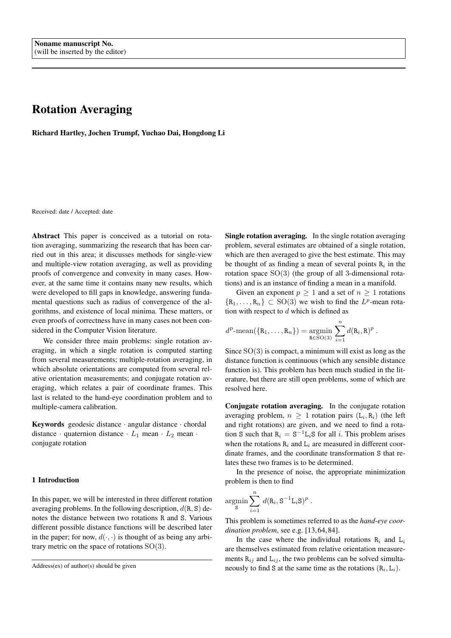# Rotation Averaging

Richard Hartley, Jochen Trumpf, Yuchao Dai, Hongdong Li

Received: date / Accepted: date

Abstract This paper is conceived as a tutorial on rotation averaging, summarizing the research that has been carried out in this area; it discusses methods for single-view and multiple-view rotation averaging, as well as providing proofs of convergence and convexity in many cases. However, at the same time it contains many new results, which were developed to fill gaps in knowledge, answering fundamental questions such as radius of convergence of the algorithms, and existence of local minima. These matters, or even proofs of correctness have in many cases not been considered in the Computer Vision literature.

We consider three main problems: single rotation averaging, in which a single rotation is computed starting from several measurements; multiple-rotation averaging, in which absolute orientations are computed from several relative orientation measurements; and conjugate rotation averaging, which relates a pair of coordinate frames. This last is related to the hand-eye coordination problem and to multiple-camera calibration.

Keywords geodesic distance · angular distance · chordal distance · quaternion distance ·  $L_1$  mean ·  $L_2$  mean · conjugate rotation

# 1 Introduction

In this paper, we will be interested in three different rotation averaging problems. In the following description,  $d(R, S)$  denotes the distance between two rotations R and S. Various different possible distance functions will be described later in the paper; for now,  $d(\cdot, \cdot)$  is thought of as being any arbitrary metric on the space of rotations  $SO(3)$ .

Single rotation averaging. In the single rotation averaging problem, several estimates are obtained of a single rotation, which are then averaged to give the best estimate. This may be thought of as finding a mean of several points  $R_i$  in the rotation space  $SO(3)$  (the group of all 3-dimensional rotations) and is an instance of finding a mean in a manifold.

Given an exponent  $p \ge 1$  and a set of  $n \ge 1$  rotations  $\{R_1, \ldots, R_n\} \subset SO(3)$  we wish to find the  $L^p$ -mean rotation with respect to  $d$  which is defined as

$$
d^{\mathrm{p}}\text{-}\mathrm{mean}(\{\mathrm{R}_1,\ldots,\mathrm{R}_n\})=\underset{\mathrm{R}\in\mathrm{SO}(3)}{\mathrm{argmin}}\sum_{i=1}^n d(\mathrm{R}_i,\mathrm{R})^p.
$$

Since  $SO(3)$  is compact, a minimum will exist as long as the distance function is continuous (which any sensible distance function is). This problem has been much studied in the literature, but there are still open problems, some of which are resolved here.

Conjugate rotation averaging. In the conjugate rotation averaging problem,  $n \geq 1$  rotation pairs  $(L_i, R_i)$  (the left and right rotations) are given, and we need to find a rotation S such that  $R_i = S^{-1}L_iS$  for all i. This problem arises when the rotations  $R_i$  and  $L_i$  are measured in different coordinate frames, and the coordinate transformation S that relates these two frames is to be determined.

In the presence of noise, the appropriate minimization problem is then to find

$$
\underset{\mathbf{S}}{\operatorname{argmin}} \sum_{i=1}^{n} d(\mathbf{R}_i, \mathbf{S}^{-1} \mathbf{L}_i \mathbf{S})^p.
$$

This problem is sometimes referred to as the *hand-eye coordination problem*, see e.g. [13, 64, 84].

In the case where the individual rotations  $R_i$  and  $L_i$ are themselves estimated from relative orientation measurements  $R_{ij}$  and  $L_{ij}$ , the two problems can be solved simultaneously to find S at the same time as the rotations  $(R_i, L_i)$ .

Address(es) of author(s) should be given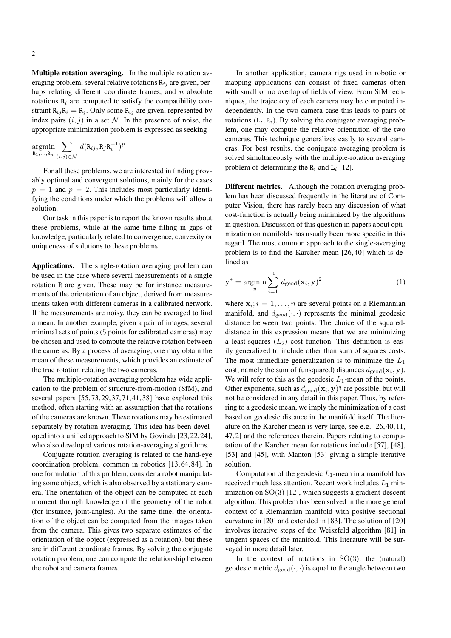Multiple rotation averaging. In the multiple rotation averaging problem, several relative rotations  $R_{ij}$  are given, perhaps relating different coordinate frames, and  $n$  absolute rotations  $R_i$  are computed to satisfy the compatibility constraint  $R_{ij}R_i = R_j$ . Only some  $R_{ij}$  are given, represented by index pairs  $(i, j)$  in a set N. In the presence of noise, the appropriate minimization problem is expressed as seeking

$$
\underset{\mathrm{R}_1,\ldots,\mathrm{R}_n}{\mathrm{argmin}} \sum_{(i,j)\in\mathcal{N}} d(\mathrm{R}_{ij},\mathrm{R}_j\mathrm{R}_i^{-1})^p.
$$

For all these problems, we are interested in finding provably optimal and convergent solutions, mainly for the cases  $p = 1$  and  $p = 2$ . This includes most particularly identifying the conditions under which the problems will allow a solution.

Our task in this paper is to report the known results about these problems, while at the same time filling in gaps of knowledge, particularly related to convergence, convexity or uniqueness of solutions to these problems.

Applications. The single-rotation averaging problem can be used in the case where several measurements of a single rotation R are given. These may be for instance measurements of the orientation of an object, derived from measurements taken with different cameras in a calibrated network. If the measurements are noisy, they can be averaged to find a mean. In another example, given a pair of images, several minimal sets of points (5 points for calibrated cameras) may be chosen and used to compute the relative rotation between the cameras. By a process of averaging, one may obtain the mean of these measurements, which provides an estimate of the true rotation relating the two cameras.

The multiple-rotation averaging problem has wide application to the problem of structure-from-motion (SfM), and several papers [55, 73, 29, 37, 71, 41, 38] have explored this method, often starting with an assumption that the rotations of the cameras are known. These rotations may be estimated separately by rotation averaging. This idea has been developed into a unified approach to SfM by Govindu [23, 22, 24], who also developed various rotation-averaging algorithms.

Conjugate rotation averaging is related to the hand-eye coordination problem, common in robotics [13, 64, 84]. In one formulation of this problem, consider a robot manipulating some object, which is also observed by a stationary camera. The orientation of the object can be computed at each moment through knowledge of the geometry of the robot (for instance, joint-angles). At the same time, the orientation of the object can be computed from the images taken from the camera. This gives two separate estimates of the orientation of the object (expressed as a rotation), but these are in different coordinate frames. By solving the conjugate rotation problem, one can compute the relationship between the robot and camera frames.

In another application, camera rigs used in robotic or mapping applications can consist of fixed cameras often with small or no overlap of fields of view. From SfM techniques, the trajectory of each camera may be computed independently. In the two-camera case this leads to pairs of rotations  $(L_i, R_i)$ . By solving the conjugate averaging problem, one may compute the relative orientation of the two cameras. This technique generalizes easily to several cameras. For best results, the conjugate averaging problem is solved simultaneously with the multiple-rotation averaging problem of determining the  $R_i$  and  $L_i$  [12].

Different metrics. Although the rotation averaging problem has been discussed frequently in the literature of Computer Vision, there has rarely been any discussion of what cost-function is actually being minimized by the algorithms in question. Discussion of this question in papers about optimization on manifolds has usually been more specific in this regard. The most common approach to the single-averaging problem is to find the Karcher mean [26, 40] which is defined as

$$
\mathbf{y}^* = \operatorname*{argmin}_{y} \sum_{i=1}^{n} d_{\text{geod}}(\mathbf{x}_i, \mathbf{y})^2
$$
 (1)

where  $x_i$ ;  $i = 1, ..., n$  are several points on a Riemannian manifold, and  $d_{\text{geod}}(\cdot, \cdot)$  represents the minimal geodesic distance between two points. The choice of the squareddistance in this expression means that we are minimizing a least-squares  $(L_2)$  cost function. This definition is easily generalized to include other than sum of squares costs. The most immediate generalization is to minimize the  $L_1$ cost, namely the sum of (unsquared) distances  $d_{\text{geod}}(\mathbf{x}_i, \mathbf{y})$ . We will refer to this as the geodesic  $L_1$ -mean of the points. Other exponents, such as  $d_{\text{geod}}(\mathbf{x}_i, \mathbf{y})^q$  are possible, but will not be considered in any detail in this paper. Thus, by referring to a geodesic mean, we imply the minimization of a cost based on geodesic distance in the manifold itself. The literature on the Karcher mean is very large, see e.g. [26, 40, 11, 47, 2] and the references therein. Papers relating to computation of the Karcher mean for rotations include [57], [48], [53] and [45], with Manton [53] giving a simple iterative solution.

Computation of the geodesic  $L_1$ -mean in a manifold has received much less attention. Recent work includes  $L_1$  minimization on SO(3) [12], which suggests a gradient-descent algorithm. This problem has been solved in the more general context of a Riemannian manifold with positive sectional curvature in [20] and extended in [83]. The solution of [20] involves iterative steps of the Weiszfeld algorithm [81] in tangent spaces of the manifold. This literature will be surveyed in more detail later.

In the context of rotations in  $SO(3)$ , the (natural) geodesic metric  $d_{\text{geod}}(\cdot, \cdot)$  is equal to the angle between two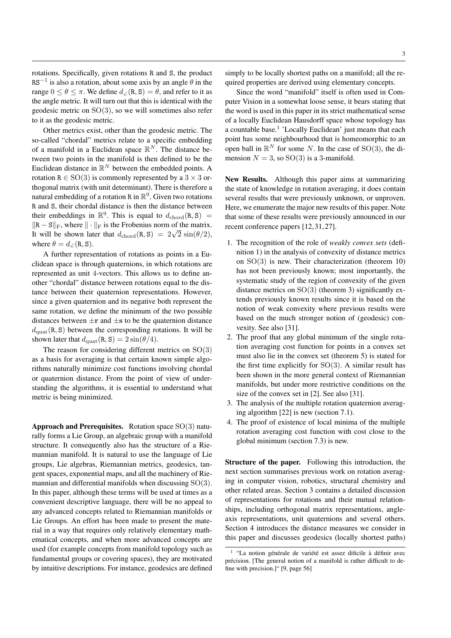rotations. Specifically, given rotations R and S, the product RS<sup>-1</sup> is also a rotation, about some axis by an angle  $\theta$  in the range  $0 \le \theta \le \pi$ . We define  $d_{\angle}(\mathbf{R}, \mathbf{S}) = \theta$ , and refer to it as the angle metric. It will turn out that this is identical with the geodesic metric on SO(3), so we will sometimes also refer to it as the geodesic metric.

Other metrics exist, other than the geodesic metric. The so-called "chordal" metrics relate to a specific embedding of a manifold in a Euclidean space  $\mathbb{R}^N$ . The distance between two points in the manifold is then defined to be the Euclidean distance in  $\mathbb{R}^N$  between the embedded points. A rotation  $R \in SO(3)$  is commonly represented by a  $3 \times 3$  orthogonal matrix (with unit determinant). There is therefore a natural embedding of a rotation R in  $\mathbb{R}^9$ . Given two rotations R and S, their chordal distance is then the distance between their embeddings in  $\mathbb{R}^9$ . This is equal to  $d_{\text{chord}}(R, S)$  =  $\|R - S\|_F$ , where  $\|\cdot\|_F$  is the Frobenius norm of the matrix.  $\|\mathbf{R} - \mathbf{S}\| \mathbf{F}$ , where  $\|\cdot\| \mathbf{F}$  is the Frobenius norm of the matrix.<br>It will be shown later that  $d_{\text{chord}}(\mathbf{R}, \mathbf{S}) = 2\sqrt{2} \sin(\theta/2)$ , where  $\theta = d_{\angle}(\text{R}, \text{S}).$ 

A further representation of rotations as points in a Euclidean space is through quaternions, in which rotations are represented as unit 4-vectors. This allows us to define another "chordal" distance between rotations equal to the distance between their quaternion representations. However, since a given quaternion and its negative both represent the same rotation, we define the minimum of the two possible distances between  $\pm r$  and  $\pm s$  to be the quaternion distance  $d_{\text{quat}}(R, S)$  between the corresponding rotations. It will be shown later that  $d_{\text{quat}}(R, S) = 2 \sin(\theta/4)$ .

The reason for considering different metrics on  $SO(3)$ as a basis for averaging is that certain known simple algorithms naturally minimize cost functions involving chordal or quaternion distance. From the point of view of understanding the algorithms, it is essential to understand what metric is being minimized.

Approach and Prerequisites. Rotation space SO(3) naturally forms a Lie Group, an algebraic group with a manifold structure. It consequently also has the structure of a Riemannian manifold. It is natural to use the language of Lie groups, Lie algebras, Riemannian metrics, geodesics, tangent spaces, exponential maps, and all the machinery of Riemannian and differential manifolds when discussing SO(3). In this paper, although these terms will be used at times as a convenient descriptive language, there will be no appeal to any advanced concepts related to Riemannian manifolds or Lie Groups. An effort has been made to present the material in a way that requires only relatively elementary mathematical concepts, and when more advanced concepts are used (for example concepts from manifold topology such as fundamental groups or covering spaces), they are motivated by intuitive descriptions. For instance, geodesics are defined

simply to be locally shortest paths on a manifold; all the required properties are derived using elementary concepts.

Since the word "manifold" itself is often used in Computer Vision in a somewhat loose sense, it bears stating that the word is used in this paper in its strict mathematical sense of a locally Euclidean Hausdorff space whose topology has a countable base.<sup>1</sup> 'Locally Euclidean' just means that each point has some neighbourhood that is homeomorphic to an open ball in  $\mathbb{R}^N$  for some N. In the case of SO(3), the dimension  $N = 3$ , so  $SO(3)$  is a 3-manifold.

New Results. Although this paper aims at summarizing the state of knowledge in rotation averaging, it does contain several results that were previously unknown, or unproven. Here, we enumerate the major new results of this paper. Note that some of these results were previously announced in our recent conference papers [12, 31, 27].

- 1. The recognition of the role of *weakly convex sets* (definition 1) in the analysis of convexity of distance metrics on SO(3) is new. Their characterization (theorem 10) has not been previously known; most importantly, the systematic study of the region of convexity of the given distance metrics on  $SO(3)$  (theorem 3) significantly extends previously known results since it is based on the notion of weak convexity where previous results were based on the much stronger notion of (geodesic) convexity. See also [31].
- 2. The proof that any global minimum of the single rotation averaging cost function for points in a convex set must also lie in the convex set (theorem 5) is stated for the first time explicitly for  $SO(3)$ . A similar result has been shown in the more general context of Riemannian manifolds, but under more restrictive conditions on the size of the convex set in [2]. See also [31].
- 3. The analysis of the multiple rotation quaternion averaging algorithm [22] is new (section 7.1).
- 4. The proof of existence of local minima of the multiple rotation averaging cost function with cost close to the global minimum (section 7.3) is new.

Structure of the paper. Following this introduction, the next section summarises previous work on rotation averaging in computer vision, robotics, structural chemistry and other related areas. Section 3 contains a detailed discussion of representations for rotations and their mutual relationships, including orthogonal matrix representations, angleaxis representations, unit quaternions and several others. Section 4 introduces the distance measures we consider in this paper and discusses geodesics (locally shortest paths)

 $1$  "La notion générale de variété est assez dificile à définir avec précision. [The general notion of a manifold is rather difficult to define with precision.]" [9, page 56]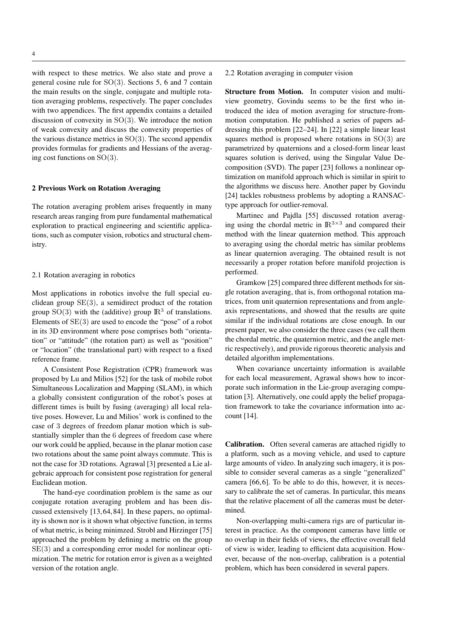with respect to these metrics. We also state and prove a general cosine rule for SO(3). Sections 5, 6 and 7 contain the main results on the single, conjugate and multiple rotation averaging problems, respectively. The paper concludes with two appendices. The first appendix contains a detailed discussion of convexity in SO(3). We introduce the notion of weak convexity and discuss the convexity properties of the various distance metrics in  $SO(3)$ . The second appendix provides formulas for gradients and Hessians of the averaging cost functions on SO(3).

# 2 Previous Work on Rotation Averaging

The rotation averaging problem arises frequently in many research areas ranging from pure fundamental mathematical exploration to practical engineering and scientific applications, such as computer vision, robotics and structural chemistry.

#### 2.1 Rotation averaging in robotics

Most applications in robotics involve the full special euclidean group  $SE(3)$ , a semidirect product of the rotation group  $SO(3)$  with the (additive) group  $\mathbb{R}^3$  of translations. Elements of SE(3) are used to encode the "pose" of a robot in its 3D environment where pose comprises both "orientation" or "attitude" (the rotation part) as well as "position" or "location" (the translational part) with respect to a fixed reference frame.

A Consistent Pose Registration (CPR) framework was proposed by Lu and Milios [52] for the task of mobile robot Simultaneous Localization and Mapping (SLAM), in which a globally consistent configuration of the robot's poses at different times is built by fusing (averaging) all local relative poses. However, Lu and Milios' work is confined to the case of 3 degrees of freedom planar motion which is substantially simpler than the 6 degrees of freedom case where our work could be applied, because in the planar motion case two rotations about the same point always commute. This is not the case for 3D rotations. Agrawal [3] presented a Lie algebraic approach for consistent pose registration for general Euclidean motion.

The hand-eye coordination problem is the same as our conjugate rotation averaging problem and has been discussed extensively [13, 64, 84]. In these papers, no optimality is shown nor is it shown what objective function, in terms of what metric, is being minimzed. Strobl and Hirzinger [75] approached the problem by defining a metric on the group  $SE(3)$  and a corresponding error model for nonlinear optimization. The metric for rotation error is given as a weighted version of the rotation angle.

2.2 Rotation averaging in computer vision

Structure from Motion. In computer vision and multiview geometry, Govindu seems to be the first who introduced the idea of motion averaging for structure-frommotion computation. He published a series of papers addressing this problem [22–24]. In [22] a simple linear least squares method is proposed where rotations in  $SO(3)$  are parametrized by quaternions and a closed-form linear least squares solution is derived, using the Singular Value Decomposition (SVD). The paper [23] follows a nonlinear optimization on manifold approach which is similar in spirit to the algorithms we discuss here. Another paper by Govindu [24] tackles robustness problems by adopting a RANSACtype approach for outlier-removal.

Martinec and Pajdla [55] discussed rotation averaging using the chordal metric in  $\mathbb{R}^{3\times3}$  and compared their method with the linear quaternion method. This approach to averaging using the chordal metric has similar problems as linear quaternion averaging. The obtained result is not necessarily a proper rotation before manifold projection is performed.

Gramkow [25] compared three different methods for single rotation averaging, that is, from orthogonal rotation matrices, from unit quaternion representations and from angleaxis representations, and showed that the results are quite similar if the individual rotations are close enough. In our present paper, we also consider the three cases (we call them the chordal metric, the quaternion metric, and the angle metric respectively), and provide rigorous theoretic analysis and detailed algorithm implementations.

When covariance uncertainty information is available for each local measurement, Agrawal shows how to incorporate such information in the Lie-group averaging computation [3]. Alternatively, one could apply the belief propagation framework to take the covariance information into account [14].

Calibration. Often several cameras are attached rigidly to a platform, such as a moving vehicle, and used to capture large amounts of video. In analyzing such imagery, it is possible to consider several cameras as a single "generalized" camera [66, 6]. To be able to do this, however, it is necessary to calibrate the set of cameras. In particular, this means that the relative placement of all the cameras must be determined.

Non-overlapping multi-camera rigs are of particular interest in practice. As the component cameras have little or no overlap in their fields of views, the effective overall field of view is wider, leading to efficient data acquisition. However, because of the non-overlap, calibration is a potential problem, which has been considered in several papers.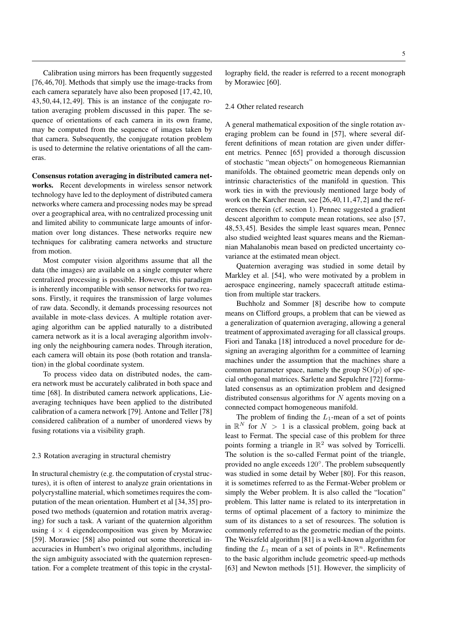Calibration using mirrors has been frequently suggested [76, 46, 70]. Methods that simply use the image-tracks from each camera separately have also been proposed [17, 42, 10, 43, 50, 44, 12, 49]. This is an instance of the conjugate rotation averaging problem discussed in this paper. The sequence of orientations of each camera in its own frame, may be computed from the sequence of images taken by that camera. Subsequently, the conjugate rotation problem is used to determine the relative orientations of all the cameras.

Consensus rotation averaging in distributed camera networks. Recent developments in wireless sensor network technology have led to the deployment of distributed camera networks where camera and processing nodes may be spread over a geographical area, with no centralized processing unit and limited ability to communicate large amounts of information over long distances. These networks require new techniques for calibrating camera networks and structure from motion.

Most computer vision algorithms assume that all the data (the images) are available on a single computer where centralized processing is possible. However, this paradigm is inherently incompatible with sensor networks for two reasons. Firstly, it requires the transmission of large volumes of raw data. Secondly, it demands processing resources not available in mote-class devices. A multiple rotation averaging algorithm can be applied naturally to a distributed camera network as it is a local averaging algorithm involving only the neighbouring camera nodes. Through iteration, each camera will obtain its pose (both rotation and translation) in the global coordinate system.

To process video data on distributed nodes, the camera network must be accurately calibrated in both space and time [68]. In distributed camera network applications, Lieaveraging techniques have been applied to the distributed calibration of a camera network [79]. Antone and Teller [78] considered calibration of a number of unordered views by fusing rotations via a visibility graph.

#### 2.3 Rotation averaging in structural chemistry

In structural chemistry (e.g. the computation of crystal structures), it is often of interest to analyze grain orientations in polycrystalline material, which sometimes requires the computation of the mean orientation. Humbert et al [34, 35] proposed two methods (quaternion and rotation matrix averaging) for such a task. A variant of the quaternion algorithm using  $4 \times 4$  eigendecomposition was given by Morawiec [59]. Morawiec [58] also pointed out some theoretical inaccuracies in Humbert's two original algorithms, including the sign ambiguity associated with the quaternion representation. For a complete treatment of this topic in the crystallography field, the reader is referred to a recent monograph by Morawiec [60].

## 2.4 Other related research

A general mathematical exposition of the single rotation averaging problem can be found in [57], where several different definitions of mean rotation are given under different metrics. Pennec [65] provided a thorough discussion of stochastic "mean objects" on homogeneous Riemannian manifolds. The obtained geometric mean depends only on intrinsic characteristics of the manifold in question. This work ties in with the previously mentioned large body of work on the Karcher mean, see [26, 40, 11, 47, 2] and the references therein (cf. section 1). Pennec suggested a gradient descent algorithm to compute mean rotations, see also [57, 48, 53, 45]. Besides the simple least squares mean, Pennec also studied weighted least squares means and the Riemannian Mahalanobis mean based on predicted uncertainty covariance at the estimated mean object.

Quaternion averaging was studied in some detail by Markley et al. [54], who were motivated by a problem in aerospace engineering, namely spacecraft attitude estimation from multiple star trackers.

Buchholz and Sommer [8] describe how to compute means on Clifford groups, a problem that can be viewed as a generalization of quaternion averaging, allowing a general treatment of approximated averaging for all classical groups. Fiori and Tanaka [18] introduced a novel procedure for designing an averaging algorithm for a committee of learning machines under the assumption that the machines share a common parameter space, namely the group  $SO(p)$  of special orthogonal matrices. Sarlette and Sepulchre [72] formulated consensus as an optimization problem and designed distributed consensus algorithms for  $N$  agents moving on a connected compact homogeneous manifold.

The problem of finding the  $L_1$ -mean of a set of points in  $\mathbb{R}^N$  for  $N > 1$  is a classical problem, going back at least to Fermat. The special case of this problem for three points forming a triangle in  $\mathbb{R}^2$  was solved by Torricelli. The solution is the so-called Fermat point of the triangle, provided no angle exceeds 120°. The problem subsequently was studied in some detail by Weber [80]. For this reason, it is sometimes referred to as the Fermat-Weber problem or simply the Weber problem. It is also called the "location" problem. This latter name is related to its interpretation in terms of optimal placement of a factory to minimize the sum of its distances to a set of resources. The solution is commonly referred to as the geometric median of the points. The Weiszfeld algorithm [81] is a well-known algorithm for finding the  $L_1$  mean of a set of points in  $\mathbb{R}^n$ . Refinements to the basic algorithm include geometric speed-up methods [63] and Newton methods [51]. However, the simplicity of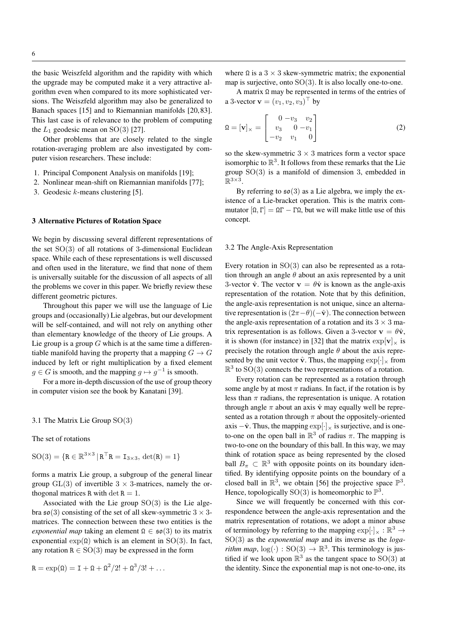the basic Weiszfeld algorithm and the rapidity with which the upgrade may be computed make it a very attractive algorithm even when compared to its more sophisticated versions. The Weiszfeld algorithm may also be generalized to Banach spaces [15] and to Riemannian manifolds [20, 83]. This last case is of relevance to the problem of computing the  $L_1$  geodesic mean on SO(3) [27].

Other problems that are closely related to the single rotation-averaging problem are also investigated by computer vision researchers. These include:

- 1. Principal Component Analysis on manifolds [19];
- 2. Nonlinear mean-shift on Riemannian manifolds [77];
- 3. Geodesic k-means clustering [5].

## 3 Alternative Pictures of Rotation Space

We begin by discussing several different representations of the set  $SO(3)$  of all rotations of 3-dimensional Euclidean space. While each of these representations is well discussed and often used in the literature, we find that none of them is universally suitable for the discussion of all aspects of all the problems we cover in this paper. We briefly review these different geometric pictures.

Throughout this paper we will use the language of Lie groups and (occasionally) Lie algebras, but our development will be self-contained, and will not rely on anything other than elementary knowledge of the theory of Lie groups. A Lie group is a group  $G$  which is at the same time a differentiable manifold having the property that a mapping  $G \to G$ induced by left or right multiplication by a fixed element  $g \in G$  is smooth, and the mapping  $g \mapsto g^{-1}$  is smooth.

For a more in-depth discussion of the use of group theory in computer vision see the book by Kanatani [39].

3.1 The Matrix Lie Group SO(3)

The set of rotations

$$
\mathrm{SO}(3) = \{ \mathbf{R} \in \mathbb{R}^{3 \times 3} \, | \, \mathbf{R}^\top \mathbf{R} = \mathbf{I}_{3 \times 3}, \, \det(\mathbf{R}) = 1 \}
$$

forms a matrix Lie group, a subgroup of the general linear group  $GL(3)$  of invertible  $3 \times 3$ -matrices, namely the orthogonal matrices R with det  $R = 1$ .

Associated with the Lie group  $SO(3)$  is the Lie algebra  $\mathfrak{so}(3)$  consisting of the set of all skew-symmetric  $3 \times 3$ matrices. The connection between these two entities is the *exponential map* taking an element  $\Omega \in \mathfrak{so}(3)$  to its matrix exponential  $\exp(\Omega)$  which is an element in SO(3). In fact, any rotation  $R \in SO(3)$  may be expressed in the form

$$
R = \exp(\Omega) = I + \Omega + \Omega^2/2! + \Omega^3/3! + \dots
$$

where  $\Omega$  is a 3 × 3 skew-symmetric matrix; the exponential map is surjective, onto  $SO(3)$ . It is also locally one-to-one.

A matrix  $\Omega$  may be represented in terms of the entries of a 3-vector  $\mathbf{v} = (v_1, v_2, v_3)^\top$  by

$$
\Omega = [\mathbf{v}]_{\times} = \begin{bmatrix} 0 & -v_3 & v_2 \\ v_3 & 0 & -v_1 \\ -v_2 & v_1 & 0 \end{bmatrix}
$$
(2)

so the skew-symmetric  $3 \times 3$  matrices form a vector space isomorphic to  $\mathbb{R}^3$ . It follows from these remarks that the Lie group SO(3) is a manifold of dimension 3, embedded in  $\mathbb{R}^{3\times 3}$ .

By referring to  $\mathfrak{so}(3)$  as a Lie algebra, we imply the existence of a Lie-bracket operation. This is the matrix commutator  $[Ω, Γ] = ΩΓ - ΓΩ$ , but we will make little use of this concept.

#### 3.2 The Angle-Axis Representation

Every rotation in SO(3) can also be represented as a rotation through an angle  $\theta$  about an axis represented by a unit 3-vector  $\hat{\mathbf{v}}$ . The vector  $\mathbf{v} = \theta \hat{\mathbf{v}}$  is known as the angle-axis representation of the rotation. Note that by this definition, the angle-axis representation is not unique, since an alternative representation is  $(2\pi - \theta)(-\hat{v})$ . The connection between the angle-axis representation of a rotation and its  $3 \times 3$  matrix representation is as follows. Given a 3-vector  $\mathbf{v} = \theta \hat{\mathbf{v}}$ , it is shown (for instance) in [32] that the matrix  $\exp[\mathbf{v}]_{\times}$  is precisely the rotation through angle  $\theta$  about the axis represented by the unit vector  $\hat{\mathbf{v}}$ . Thus, the mapping  $\exp[\cdot]_{\times}$  from  $\mathbb{R}^3$  to  $SO(3)$  connects the two representations of a rotation.

Every rotation can be represented as a rotation through some angle by at most  $\pi$  radians. In fact, if the rotation is by less than  $\pi$  radians, the representation is unique. A rotation through angle  $\pi$  about an axis  $\hat{v}$  may equally well be represented as a rotation through  $\pi$  about the oppositely-oriented axis  $-\hat{\mathbf{v}}$ . Thus, the mapping  $\exp[\cdot] \times$  is surjective, and is oneto-one on the open ball in  $\mathbb{R}^3$  of radius  $\pi$ . The mapping is two-to-one on the boundary of this ball. In this way, we may think of rotation space as being represented by the closed ball  $B_{\pi} \subset \mathbb{R}^3$  with opposite points on its boundary identified. By identifying opposite points on the boundary of a closed ball in  $\mathbb{R}^3$ , we obtain [56] the projective space  $\mathbb{P}^3$ . Hence, topologically SO(3) is homeomorphic to  $\mathbb{P}^3$ .

Since we will frequently be concerned with this correspondence between the angle-axis representation and the matrix representation of rotations, we adopt a minor abuse of terminology by referring to the mapping  $\exp[\cdot]_{\times} : \mathbb{R}^3 \to$ SO(3) as the *exponential map* and its inverse as the *logarithm map*,  $log(·): SO(3) \rightarrow \mathbb{R}^3$ . This terminology is justified if we look upon  $\mathbb{R}^3$  as the tangent space to SO(3) at the identity. Since the exponential map is not one-to-one, its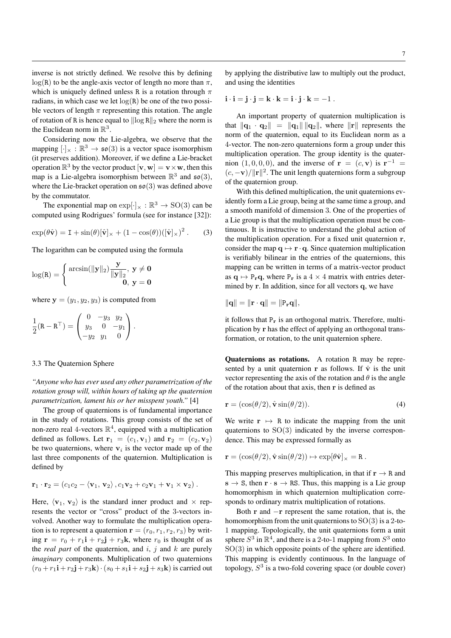inverse is not strictly defined. We resolve this by defining  $log(R)$  to be the angle-axis vector of length no more than  $\pi$ , which is uniquely defined unless R is a rotation through  $\pi$ radians, in which case we let  $log(R)$  be one of the two possible vectors of length  $\pi$  representing this rotation. The angle of rotation of R is hence equal to  $\|\log R\|_2$  where the norm is the Euclidean norm in  $\mathbb{R}^3$ .

Considering now the Lie-algebra, we observe that the mapping  $[\cdot]_{\times} : \mathbb{R}^3 \to \mathfrak{so}(3)$  is a vector space isomorphism (it preserves addition). Moreover, if we define a Lie-bracket operation  $\mathbb{R}^3$  by the vector product  $[\mathbf{v}, \mathbf{w}] = \mathbf{v} \times \mathbf{w}$ , then this map is a Lie-algebra isomorphism between  $\mathbb{R}^3$  and  $\mathfrak{so}(3)$ , where the Lie-bracket operation on  $\mathfrak{so}(3)$  was defined above by the commutator.

The exponential map on  $\exp[\cdot]_{\times} : \mathbb{R}^3 \to SO(3)$  can be computed using Rodrigues' formula (see for instance [32]):

$$
\exp(\theta \hat{\mathbf{v}}) = \mathbf{I} + \sin(\theta) [\hat{\mathbf{v}}]_{\times} + (1 - \cos(\theta)) ([\hat{\mathbf{v}}]_{\times})^2. \quad (3)
$$

The logarithm can be computed using the formula

$$
\log(R)=\left\{\begin{matrix}\arcsin(\|\mathbf{y}\|_2)\frac{\mathbf{y}}{\|\mathbf{y}\|_2}, ~\mathbf{y}\neq\mathbf{0}\\0, ~\mathbf{y}=\mathbf{0}\end{matrix}\right.
$$

where  $y = (y_1, y_2, y_3)$  is computed from

$$
\frac{1}{2}(\mathbf{R} - \mathbf{R}^{\top}) = \begin{pmatrix} 0 & -y_3 & y_2 \\ y_3 & 0 & -y_1 \\ -y_2 & y_1 & 0 \end{pmatrix}.
$$

## 3.3 The Quaternion Sphere

*"Anyone who has ever used any other parametrization of the rotation group will, within hours of taking up the quaternion parametrization, lament his or her misspent youth."* [4]

The group of quaternions is of fundamental importance in the study of rotations. This group consists of the set of non-zero real 4-vectors  $\mathbb{R}^4$ , equipped with a multiplication defined as follows. Let  $\mathbf{r}_1 = (c_1, \mathbf{v}_1)$  and  $\mathbf{r}_2 = (c_2, \mathbf{v}_2)$ be two quaternions, where  $v_i$  is the vector made up of the last three components of the quaternion. Multiplication is defined by

$$
\mathbf{r}_1 \cdot \mathbf{r}_2 = (c_1c_2 - \langle \mathbf{v}_1, \mathbf{v}_2 \rangle, c_1\mathbf{v}_2 + c_2\mathbf{v}_1 + \mathbf{v}_1 \times \mathbf{v}_2).
$$

Here,  $\langle v_1, v_2 \rangle$  is the standard inner product and  $\times$  represents the vector or "cross" product of the 3-vectors involved. Another way to formulate the multiplication operation is to represent a quaternion  $\mathbf{r} = (r_0, r_1, r_2, r_3)$  by writing  $\mathbf{r} = r_0 + r_1 \mathbf{i} + r_2 \mathbf{j} + r_3 \mathbf{k}$ , where  $r_0$  is thought of as the *real part* of the quaternion, and  $i$ ,  $j$  and  $k$  are purely *imaginary* components. Multiplication of two quaternions  $(r_0 + r_1 i + r_2 j + r_3 k) \cdot (s_0 + s_1 i + s_2 j + s_3 k)$  is carried out by applying the distributive law to multiply out the product, and using the identities

 $\mathbf{i} \cdot \mathbf{i} = \mathbf{j} \cdot \mathbf{j} = \mathbf{k} \cdot \mathbf{k} = \mathbf{i} \cdot \mathbf{j} \cdot \mathbf{k} = -1$ .

An important property of quaternion multiplication is that  $\|\mathbf{q}_1 \cdot \mathbf{q}_2\| = \|\mathbf{q}_1\| \|\mathbf{q}_2\|$ , where  $\|\mathbf{r}\|$  represents the norm of the quaternion, equal to its Euclidean norm as a 4-vector. The non-zero quaternions form a group under this multiplication operation. The group identity is the quaternion  $(1,0,0,0)$ , and the inverse of  $\mathbf{r} = (c, \mathbf{v})$  is  $\mathbf{r}^{-1} =$  $(c, -\mathbf{v})/\|\mathbf{r}\|^2$ . The unit length quaternions form a subgroup of the quaternion group.

With this defined multiplication, the unit quaternions evidently form a Lie group, being at the same time a group, and a smooth manifold of dimension 3. One of the properties of a Lie group is that the multiplication operation must be continuous. It is instructive to understand the global action of the multiplication operation. For a fixed unit quaternion r, consider the map  $q \mapsto r \cdot q$ . Since quaternion multiplication is verifiably bilinear in the entries of the quaternions, this mapping can be written in terms of a matrix-vector product as  $q \mapsto P_r q$ , where  $P_r$  is a 4 × 4 matrix with entries determined by r. In addition, since for all vectors q, we have

$$
\|\mathbf{q}\|=\|\mathbf{r}\cdot\mathbf{q}\|=\|\mathtt{P}_\mathbf{r}\mathbf{q}\|,
$$

it follows that  $P_r$  is an orthogonal matrix. Therefore, multiplication by r has the effect of applying an orthogonal transformation, or rotation, to the unit quaternion sphere.

Quaternions as rotations. A rotation R may be represented by a unit quaternion r as follows. If  $\hat{v}$  is the unit vector representing the axis of the rotation and  $\theta$  is the angle of the rotation about that axis, then r is defined as

$$
\mathbf{r} = (\cos(\theta/2), \hat{\mathbf{v}}\sin(\theta/2)).\tag{4}
$$

We write  $r \mapsto R$  to indicate the mapping from the unit quaternions to  $SO(3)$  indicated by the inverse correspondence. This may be expressed formally as

$$
\mathbf{r} = (\cos(\theta/2), \hat{\mathbf{v}}\sin(\theta/2)) \mapsto \exp[\theta\hat{\mathbf{v}}]_{\times} = \mathbf{R}.
$$

This mapping preserves multiplication, in that if  $r \rightarrow R$  and  $s \to S$ , then  $r \cdot s \to RS$ . Thus, this mapping is a Lie group homomorphism in which quaternion multiplication corresponds to ordinary matrix multiplication of rotations.

Both r and −r represent the same rotation, that is, the homomorphism from the unit quaternions to  $SO(3)$  is a 2-to-1 mapping. Topologically, the unit quaternions form a unit sphere  $S^3$  in  $\mathbb{R}^4$ , and there is a 2-to-1 mapping from  $S^3$  onto  $SO(3)$  in which opposite points of the sphere are identified. This mapping is evidently continuous. In the language of topology,  $S<sup>3</sup>$  is a two-fold covering space (or double cover)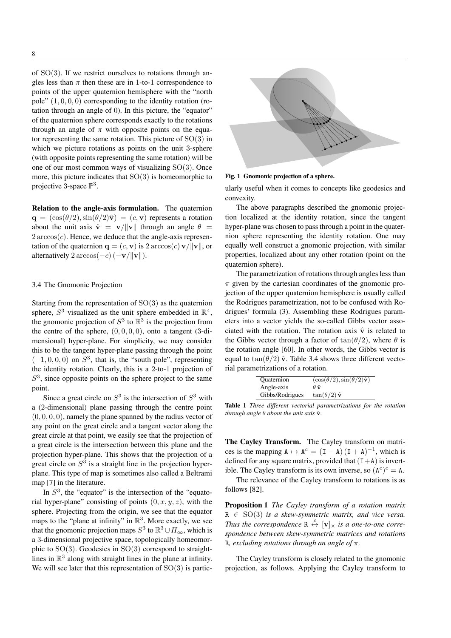of  $SO(3)$ . If we restrict ourselves to rotations through angles less than  $\pi$  then these are in 1-to-1 correspondence to points of the upper quaternion hemisphere with the "north pole"  $(1, 0, 0, 0)$  corresponding to the identity rotation (rotation through an angle of 0). In this picture, the "equator" of the quaternion sphere corresponds exactly to the rotations through an angle of  $\pi$  with opposite points on the equator representing the same rotation. This picture of  $SO(3)$  in which we picture rotations as points on the unit 3-sphere (with opposite points representing the same rotation) will be one of our most common ways of visualizing SO(3). Once more, this picture indicates that  $SO(3)$  is homeomorphic to projective 3-space  $\mathbb{P}^3$ .

Relation to the angle-axis formulation. The quaternion  $\mathbf{q} = (\cos(\theta/2), \sin(\theta/2)\hat{\mathbf{v}}) = (c, \mathbf{v})$  represents a rotation about the unit axis  $\hat{\mathbf{v}} = \mathbf{v}/\|\mathbf{v}\|$  through an angle  $\theta =$  $2 \arccos(c)$ . Hence, we deduce that the angle-axis representation of the quaternion  ${\bf q} = (c, {\bf v})$  is  $2 \arccos(c) {\bf v}/||{\bf v}||$ , or alternatively  $2 \arccos(-c) (-v/\Vert v \Vert)$ .

# 3.4 The Gnomonic Projection

Starting from the representation of SO(3) as the quaternion sphere,  $S^3$  visualized as the unit sphere embedded in  $\mathbb{R}^4$ , the gnomonic projection of  $S^3$  to  $\mathbb{R}^3$  is the projection from the centre of the sphere,  $(0, 0, 0, 0)$ , onto a tangent  $(3-di-)$ mensional) hyper-plane. For simplicity, we may consider this to be the tangent hyper-plane passing through the point  $(-1, 0, 0, 0)$  on  $S<sup>3</sup>$ , that is, the "south pole", representing the identity rotation. Clearly, this is a 2-to-1 projection of  $S<sup>3</sup>$ , since opposite points on the sphere project to the same point.

Since a great circle on  $S^3$  is the intersection of  $S^3$  with a (2-dimensional) plane passing through the centre point  $(0, 0, 0, 0)$ , namely the plane spanned by the radius vector of any point on the great circle and a tangent vector along the great circle at that point, we easily see that the projection of a great circle is the intersection between this plane and the projection hyper-plane. This shows that the projection of a great circle on  $S<sup>3</sup>$  is a straight line in the projection hyperplane. This type of map is sometimes also called a Beltrami map [7] in the literature.

In  $S<sup>3</sup>$ , the "equator" is the intersection of the "equatorial hyper-plane" consisting of points  $(0, x, y, z)$ , with the sphere. Projecting from the origin, we see that the equator maps to the "plane at infinity" in  $\mathbb{R}^3$ . More exactly, we see that the gnomonic projection maps  $S^3$  to  $\mathbb{R}^3 \cup \Pi_{\infty}$ , which is a 3-dimensional projective space, topologically homeomorphic to  $SO(3)$ . Geodesics in  $SO(3)$  correspond to straightlines in  $\mathbb{R}^3$  along with straight lines in the plane at infinity. We will see later that this representation of  $SO(3)$  is partic-



Fig. 1 Gnomonic projection of a sphere.

ularly useful when it comes to concepts like geodesics and convexity.

The above paragraphs described the gnomonic projection localized at the identity rotation, since the tangent hyper-plane was chosen to pass through a point in the quaternion sphere representing the identity rotation. One may equally well construct a gnomonic projection, with similar properties, localized about any other rotation (point on the quaternion sphere).

The parametrization of rotations through angles less than  $\pi$  given by the cartesian coordinates of the gnomonic projection of the upper quaternion hemisphere is usually called the Rodrigues parametrization, not to be confused with Rodrigues' formula (3). Assembling these Rodrigues parameters into a vector yields the so-called Gibbs vector associated with the rotation. The rotation axis  $\hat{v}$  is related to the Gibbs vector through a factor of  $tan(\theta/2)$ , where  $\theta$  is the rotation angle [60]. In other words, the Gibbs vector is equal to  $tan(\theta/2)$   $\hat{v}$ . Table 3.4 shows three different vectorial parametrizations of a rotation.

| Quaternion      | $(\cos(\theta/2), \sin(\theta/2)\hat{\mathbf{v}})$ |
|-----------------|----------------------------------------------------|
| Angle-axis      | $\theta \, \hat{\bf v}$                            |
| Gibbs/Rodrigues | $tan(\theta/2) \hat{\mathbf{v}}$                   |

Table 1 *Three different vectorial parametrizations for the rotation through angle*  $\theta$  *about the unit axis*  $\hat{\mathbf{v}}$ *.* 

The Cayley Transform. The Cayley transform on matrices is the mapping  $A \mapsto A^c = (I - A) (I + A)^{-1}$ , which is defined for any square matrix, provided that  $(I+A)$  is invertible. The Cayley transform is its own inverse, so  $(A<sup>c</sup>)<sup>c</sup> = A$ .

The relevance of the Cayley transform to rotations is as follows [82].

Proposition 1 *The Cayley transform of a rotation matrix*  $R \in SO(3)$  *is a skew-symmetric matrix, and vice versa. Thus the correspondence*  $\mathbb{R} \stackrel{c}{\leftrightarrow} [\mathbf{v}]_{\times}$  *is a one-to-one correspondence between skew-symmetric matrices and rotations* R*, excluding rotations through an angle of* π*.*

The Cayley transform is closely related to the gnomonic projection, as follows. Applying the Cayley transform to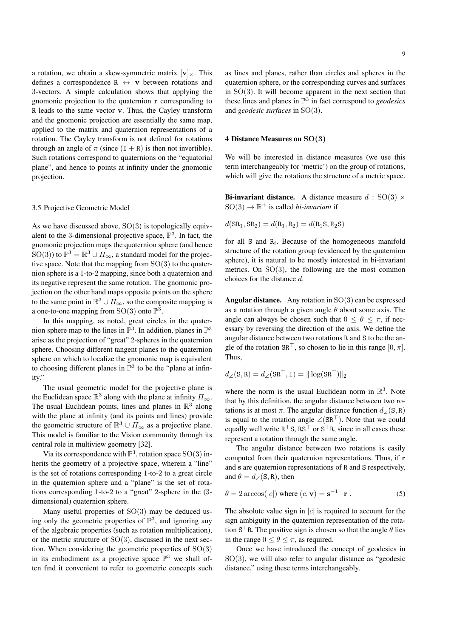a rotation, we obtain a skew-symmetric matrix  $[v]_x$ . This defines a correspondence  $R \leftrightarrow v$  between rotations and 3-vectors. A simple calculation shows that applying the gnomonic projection to the quaternion r corresponding to R leads to the same vector v. Thus, the Cayley transform and the gnomonic projection are essentially the same map, applied to the matrix and quaternion representations of a rotation. The Cayley transform is not defined for rotations through an angle of  $\pi$  (since  $(I + R)$ ) is then not invertible). Such rotations correspond to quaternions on the "equatorial plane", and hence to points at infinity under the gnomonic projection.

#### 3.5 Projective Geometric Model

As we have discussed above,  $SO(3)$  is topologically equivalent to the 3-dimensional projective space,  $\mathbb{P}^3$ . In fact, the gnomonic projection maps the quaternion sphere (and hence SO(3)) to  $\mathbb{P}^3 = \mathbb{R}^3 \cup \Pi_{\infty}$ , a standard model for the projective space. Note that the mapping from  $SO(3)$  to the quaternion sphere is a 1-to-2 mapping, since both a quaternion and its negative represent the same rotation. The gnomonic projection on the other hand maps opposite points on the sphere to the same point in  $\mathbb{R}^3 \cup \Pi_{\infty}$ , so the composite mapping is a one-to-one mapping from  $SO(3)$  onto  $\mathbb{P}^3$ .

In this mapping, as noted, great circles in the quaternion sphere map to the lines in  $\mathbb{P}^3$ . In addition, planes in  $\mathbb{P}^3$ arise as the projection of "great" 2-spheres in the quaternion sphere. Choosing different tangent planes to the quaternion sphere on which to localize the gnomonic map is equivalent to choosing different planes in  $\mathbb{P}^3$  to be the "plane at infinity."

The usual geometric model for the projective plane is the Euclidean space  $\mathbb{R}^3$  along with the plane at infinity  $\Pi_{\infty}$ . The usual Euclidean points, lines and planes in  $\mathbb{R}^3$  along with the plane at infinity (and its points and lines) provide the geometric structure of  $\mathbb{R}^3 \cup \Pi_{\infty}$  as a projective plane. This model is familiar to the Vision community through its central role in multiview geometry [32].

Via its correspondence with  $\mathbb{P}^3$ , rotation space  $SO(3)$  inherits the geometry of a projective space, wherein a "line" is the set of rotations corresponding 1-to-2 to a great circle in the quaternion sphere and a "plane" is the set of rotations corresponding 1-to-2 to a "great" 2-sphere in the (3 dimensional) quaternion sphere.

Many useful properties of SO(3) may be deduced using only the geometric properties of  $\mathbb{P}^3$ , and ignoring any of the algebraic properties (such as rotation multiplication), or the metric structure of  $SO(3)$ , discussed in the next section. When considering the geometric properties of  $SO(3)$ in its embodiment as a projective space  $\mathbb{P}^3$  we shall often find it convenient to refer to geometric concepts such

as lines and planes, rather than circles and spheres in the quaternion sphere, or the corresponding curves and surfaces in  $SO(3)$ . It will become apparent in the next section that these lines and planes in P 3 in fact correspond to *geodesics* and *geodesic surfaces* in SO(3).

## 4 Distance Measures on SO(3)

We will be interested in distance measures (we use this term interchangeably for 'metric') on the group of rotations, which will give the rotations the structure of a metric space.

**Bi-invariant distance.** A distance measure  $d : SO(3) \times$  $SO(3) \rightarrow \mathbb{R}^+$  is called *bi-invariant* if

$$
d(SR_1, SR_2) = d(R_1, R_2) = d(R_1S, R_2S)
$$

for all  $S$  and  $R_i$ . Because of the homogeneous manifold structure of the rotation group (evidenced by the quaternion sphere), it is natural to be mostly interested in bi-invariant metrics. On SO(3), the following are the most common choices for the distance d.

**Angular distance.** Any rotation in  $SO(3)$  can be expressed as a rotation through a given angle  $\theta$  about some axis. The angle can always be chosen such that  $0 \le \theta \le \pi$ , if necessary by reversing the direction of the axis. We define the angular distance between two rotations R and S to be the angle of the rotation  $SR^{\top}$ , so chosen to lie in this range  $[0, \pi]$ . Thus,

$$
d_{\angle}(\mathbf{S}, \mathbf{R}) = d_{\angle}(\mathbf{S} \mathbf{R}^{\top}, \mathbf{I}) = || \log(\mathbf{S} \mathbf{R}^{\top}) ||_2
$$

where the norm is the usual Euclidean norm in  $\mathbb{R}^3$ . Note that by this definition, the angular distance between two rotations is at most  $\pi$ . The angular distance function  $d_{\angle}(\mathbf{S}, \mathbf{R})$ is equal to the rotation angle  $\angle (SR^{\top})$ . Note that we could equally well write  $R^{\top}S$ ,  $RS^{\top}$  or  $S^{\top}R$ , since in all cases these represent a rotation through the same angle.

The angular distance between two rotations is easily computed from their quaternion representations. Thus, if r and s are quaternion representations of R and S respectively, and  $\theta = d$  /(S, R), then

$$
\theta = 2 \arccos(|c|) \text{ where } (c, \mathbf{v}) = \mathbf{s}^{-1} \cdot \mathbf{r}. \tag{5}
$$

The absolute value sign in  $|c|$  is required to account for the sign ambiguity in the quaternion representation of the rotation  $S<sup>T</sup>R$ . The positive sign is chosen so that the angle  $\theta$  lies in the range  $0 \le \theta \le \pi$ , as required.

Once we have introduced the concept of geodesics in  $SO(3)$ , we will also refer to angular distance as "geodesic distance," using these terms interchangeably.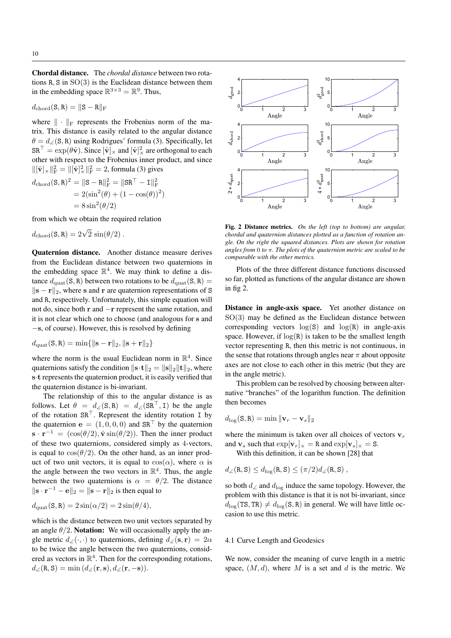Chordal distance. The *chordal distance* between two rotations R, S in  $SO(3)$  is the Euclidean distance between them in the embedding space  $\mathbb{R}^{3 \times 3} = \mathbb{R}^9$ . Thus,

$$
d_{\rm chord}({\bf S},{\bf R})=\|{\bf S}-{\bf R}\|_{\rm F}
$$

where  $\|\cdot\|_F$  represents the Frobenius norm of the matrix. This distance is easily related to the angular distance  $\theta = d_{\angle}(\mathbf{S}, \mathbf{R})$  using Rodrigues' formula (3). Specifically, let  $\texttt{SR}^\top = \exp(\theta \hat{\mathbf{v}}).$  Since  $[\hat{\mathbf{v}}]_\times$  and  $[\hat{\mathbf{v}}]_\times^2$  are orthogonal to each other with respect to the Frobenius inner product, and since  $\|[\hat{\mathbf{v}}]_{\times}\|_{\text{F}}^2 = \|[\hat{\mathbf{v}}]_{\times}^2\|_{\text{F}}^2 = 2$ , formula (3) gives

$$
d_{\text{chord}}(S, R)^2 = ||S - R||_F^2 = ||SR^{\top} - I||_F^2
$$
  
= 2(sin<sup>2</sup>(\theta) + (1 - cos(\theta))<sup>2</sup>)  
= 8 sin<sup>2</sup>(\theta/2)

from which we obtain the required relation

$$
d_{\text{chord}}(\mathbf{S}, \mathbf{R}) = 2\sqrt{2} \, \sin(\theta/2) \, .
$$

Quaternion distance. Another distance measure derives from the Euclidean distance between two quaternions in the embedding space  $\mathbb{R}^4$ . We may think to define a distance  $d_{\text{quad}}(S, R)$  between two rotations to be  $d_{\text{quad}}(S, R)$  =  $\|\mathbf{s} - \mathbf{r}\|_2$ , where s and r are quaternion representations of S and R, respectively. Unfortunately, this simple equation will not do, since both r and −r represent the same rotation, and it is not clear which one to choose (and analogous for s and −s, of course). However, this is resolved by defining

$$
d_{\rm{quat}}(\mathbf{S}, \mathbf{R}) = \min\{\|\mathbf{s} - \mathbf{r}\|_2, \|\mathbf{s} + \mathbf{r}\|_2\}
$$

where the norm is the usual Euclidean norm in  $\mathbb{R}^4$ . Since quaternions satisfy the condition  $\|\mathbf{s} \cdot \mathbf{t}\|_2 = \|\mathbf{s}\|_2 \|\mathbf{t}\|_2$ , where s·t represents the quaternion product, it is easily verified that the quaternion distance is bi-invariant.

The relationship of this to the angular distance is as follows. Let  $\theta = d_{\angle}(S, R) = d_{\angle}(SR^{\top}, I)$  be the angle of the rotation  $SR^{\top}$ . Represent the identity rotation I by the quaternion  $\mathbf{e} = (1, 0, 0, 0)$  and  $\mathbf{SR}^{\top}$  by the quaternion  $\mathbf{s} \cdot \mathbf{r}^{-1} = (\cos(\theta/2), \hat{\mathbf{v}} \sin(\theta/2))$ . Then the inner product of these two quaternions, considered simply as 4-vectors, is equal to  $\cos(\theta/2)$ . On the other hand, as an inner product of two unit vectors, it is equal to  $cos(\alpha)$ , where  $\alpha$  is the angle between the two vectors in  $\mathbb{R}^4$ . Thus, the angle between the two quaternions is  $\alpha = \theta/2$ . The distance  $\|\mathbf{s} \cdot \mathbf{r}^{-1} - \mathbf{e}\|_2 = \|\mathbf{s} - \mathbf{r}\|_2$  is then equal to

$$
d_{\rm{quat}}(\mathbf{S}, \mathbf{R}) = 2\sin(\alpha/2) = 2\sin(\theta/4),
$$

which is the distance between two unit vectors separated by an angle  $\theta/2$ . **Notation:** We will occasionally apply the angle metric  $d\angle(\cdot,\cdot)$  to quaternions, defining  $d\angle(\mathbf{s},\mathbf{r}) = 2\alpha$ to be twice the angle between the two quaternions, considered as vectors in  $\mathbb{R}^4$ . Then for the corresponding rotations,  $d_{\angle}(\mathbf{R}, \mathbf{S}) = \min (d_{\angle}(\mathbf{r}, \mathbf{s}), d_{\angle}(\mathbf{r}, -\mathbf{s})).$ 



Fig. 2 Distance metrics. *On the left (top to bottom) are angular, chordal and quaternion distances plotted as a function of rotation angle. On the right the squared distances. Plots are shown for rotation angles from* 0 *to* π*. The plots of the quaternion metric are scaled to be comparable with the other metrics.*

Plots of the three different distance functions discussed so far, plotted as functions of the angular distance are shown in fig 2.

Distance in angle-axis space. Yet another distance on  $SO(3)$  may be defined as the Euclidean distance between corresponding vectors  $log(S)$  and  $log(R)$  in angle-axis space. However, if  $log(R)$  is taken to be the smallest length vector representing R, then this metric is not continuous, in the sense that rotations through angles near  $\pi$  about opposite axes are not close to each other in this metric (but they are in the angle metric).

This problem can be resolved by choosing between alternative "branches" of the logarithm function. The definition then becomes

$$
d_{\log}(\mathbf{S}, \mathbf{R}) = \min \|\mathbf{v}_r - \mathbf{v}_s\|_2
$$

where the minimum is taken over all choices of vectors  $v_r$ and  $v_s$  such that  $\exp[v_r]_{\times} = R$  and  $\exp[v_s]_{\times} = S$ .

With this definition, it can be shown [28] that

$$
d_{\angle}(\mathbf{R}, \mathbf{S}) \leq d_{\log}(\mathbf{R}, \mathbf{S}) \leq (\pi/2) d_{\angle}(\mathbf{R}, \mathbf{S}),
$$

so both  $d_{\angle}$  and  $d_{\log}$  induce the same topology. However, the problem with this distance is that it is not bi-invariant, since  $d_{\text{log}}(\text{TS}, \text{TR}) \neq d_{\text{log}}(\text{S}, \text{R})$  in general. We will have little occasion to use this metric.

## 4.1 Curve Length and Geodesics

We now, consider the meaning of curve length in a metric space,  $(M, d)$ , where M is a set and d is the metric. We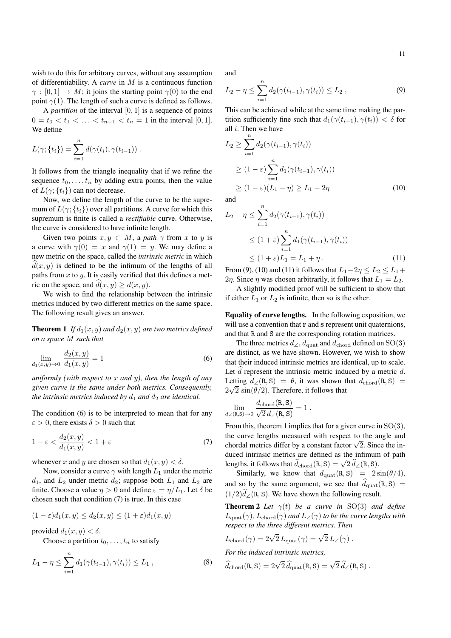wish to do this for arbitrary curves, without any assumption of differentiability. A *curve* in M is a continuous function  $\gamma : [0, 1] \rightarrow M$ ; it joins the starting point  $\gamma(0)$  to the end point  $\gamma(1)$ . The length of such a curve is defined as follows.

A *partition* of the interval  $[0, 1]$  is a sequence of points  $0 = t_0 < t_1 < \ldots < t_{n-1} < t_n = 1$  in the interval [0, 1]. We define

$$
L(\gamma; \{t_i\}) = \sum_{i=1}^n d(\gamma(t_i), \gamma(t_{i-1})) .
$$

It follows from the triangle inequality that if we refine the sequence  $t_0, \ldots, t_n$  by adding extra points, then the value of  $L(\gamma; \{t_i\})$  can not decrease.

Now, we define the length of the curve to be the supremum of  $L(\gamma; \{t_i\})$  over all partitions. A curve for which this supremum is finite is called a *rectifiable* curve. Otherwise, the curve is considered to have infinite length.

Given two points  $x, y \in M$ , a path  $\gamma$  from x to y is a curve with  $\gamma(0) = x$  and  $\gamma(1) = y$ . We may define a new metric on the space, called the *intrinsic metric* in which  $d(x, y)$  is defined to be the infimum of the lengths of all paths from  $x$  to  $y$ . It is easily verified that this defines a metric on the space, and  $\hat{d}(x, y) \geq d(x, y)$ .

We wish to find the relationship between the intrinsic metrics induced by two different metrics on the same space. The following result gives an answer.

**Theorem 1** *If*  $d_1(x, y)$  *and*  $d_2(x, y)$  *are two metrics defined on a space* M *such that*

$$
\lim_{d_1(x,y)\to 0} \frac{d_2(x,y)}{d_1(x,y)} = 1
$$
\n(6)

*uniformly (with respect to* x *and* y*), then the length of any given curve is the same under both metrics. Consequently, the intrinsic metrics induced by*  $d_1$  *and*  $d_2$  *are identical.* 

The condition (6) is to be interpreted to mean that for any  $\epsilon > 0$ , there exists  $\delta > 0$  such that

$$
1 - \varepsilon < \frac{d_2(x, y)}{d_1(x, y)} < 1 + \varepsilon \tag{7}
$$

whenever x and y are chosen so that  $d_1(x, y) < \delta$ .

Now, consider a curve  $\gamma$  with length  $L_1$  under the metric  $d_1$ , and  $L_2$  under metric  $d_2$ ; suppose both  $L_1$  and  $L_2$  are finite. Choose a value  $\eta > 0$  and define  $\varepsilon = \eta/L_1$ . Let  $\delta$  be chosen such that condition (7) is true. In this case

$$
(1 - \varepsilon)d_1(x, y) \le d_2(x, y) \le (1 + \varepsilon)d_1(x, y)
$$

provided  $d_1(x, y) < \delta$ .

Choose a partition  $t_0, \ldots, t_n$  to satisfy

$$
L_1 - \eta \le \sum_{i=1}^n d_1(\gamma(t_{i-1}), \gamma(t_i)) \le L_1 , \qquad (8)
$$

and

$$
L_2 - \eta \le \sum_{i=1}^n d_2(\gamma(t_{i-1}), \gamma(t_i)) \le L_2 , \qquad (9)
$$

This can be achieved while at the same time making the partition sufficiently fine such that  $d_1(\gamma(t_{i-1}), \gamma(t_i)) < \delta$  for all  $i$ . Then we have

$$
L_2 \ge \sum_{i=1}^n d_2(\gamma(t_{i-1}), \gamma(t_i))
$$
  
\n
$$
\ge (1 - \varepsilon) \sum_{i=1}^n d_1(\gamma(t_{i-1}), \gamma(t_i))
$$
  
\n
$$
\ge (1 - \varepsilon)(L_1 - \eta) \ge L_1 - 2\eta
$$
 (10)

and

 $\overline{n}$ 

$$
L_2 - \eta \le \sum_{i=1} d_2(\gamma(t_{i-1}), \gamma(t_i))
$$
  
\n
$$
\le (1 + \varepsilon) \sum_{i=1}^n d_1(\gamma(t_{i-1}), \gamma(t_i))
$$
  
\n
$$
\le (1 + \varepsilon)L_1 = L_1 + \eta.
$$
 (11)

From (9), (10) and (11) it follows that  $L_1-2\eta \le L_2 \le L_1+$ 2η. Since η was chosen arbitrarily, it follows that  $L_1 = L_2$ .

A slightly modified proof will be sufficient to show that if either  $L_1$  or  $L_2$  is infinite, then so is the other.

Equality of curve lengths. In the following exposition, we will use a convention that r and s represent unit quaternions, and that R and S are the corresponding rotation matrices.

The three metrics  $d_{\angle}$ ,  $d_{\text{quad}}$  and  $d_{\text{chord}}$  defined on SO(3) are distinct, as we have shown. However, we wish to show that their induced intrinsic metrics are identical, up to scale. Let  $d$  represent the intrinsic metric induced by a metric  $d$ . Letting  $d_{\angle}(\mathbf{R}, \mathbf{S}) = \theta$ , it was shown that  $d_{\text{chord}}(\mathbf{R}, \mathbf{S}) =$  $2\sqrt{2} \sin(\theta/2)$ . Therefore, it follows that

$$
\lim_{d_{\angle}(\mathbf{R}, \mathbf{S}) \to 0} \frac{d_{\mathrm{chord}}(\mathbf{R}, \mathbf{S})}{\sqrt{2} d_{\angle}(\mathbf{R}, \mathbf{S})} = 1.
$$

From this, theorem 1 implies that for a given curve in  $SO(3)$ , the curve lengths measured with respect to the angle and the curve lengths measured with respect to the angle and chordal metrics differ by a constant factor  $\sqrt{2}$ . Since the induced intrinsic metrics are defined as the infimum of path lengths, it follows that  $\hat{d}_{\text{chord}}(R, S) = \sqrt{2} \hat{d}_{\angle}(R, S)$ .

Similarly, we know that  $d_{\text{quat}}(R, S) = 2 \sin(\theta/4)$ , and so by the same argument, we see that  $\hat{d}_{\text{quad}}(R, S)$  =  $(1/2)\hat{d}_{\angle}(\text{R}, \text{S})$ . We have shown the following result.

**Theorem 2** *Let*  $\gamma(t)$  *be a curve in* SO(3) *and define*  $L_{\text{quad}}(\gamma)$ ,  $L_{\text{chord}}(\gamma)$  *and*  $L_{\angle}(\gamma)$  *to be the curve lengths with respect to the three different metrics. Then*

$$
L_{\text{chord}}(\gamma) = 2\sqrt{2} L_{\text{quat}}(\gamma) = \sqrt{2} L_{\angle}(\gamma) .
$$

*For the induced intrinsic metrics,*

$$
\widehat{d}_{\rm chord}({\tt R},{\tt S})=2\sqrt{2}\,\widehat{d}_{\rm quad}({\tt R},{\tt S})=\sqrt{2}\,\widehat{d}_{\angle}({\tt R},{\tt S})\;.
$$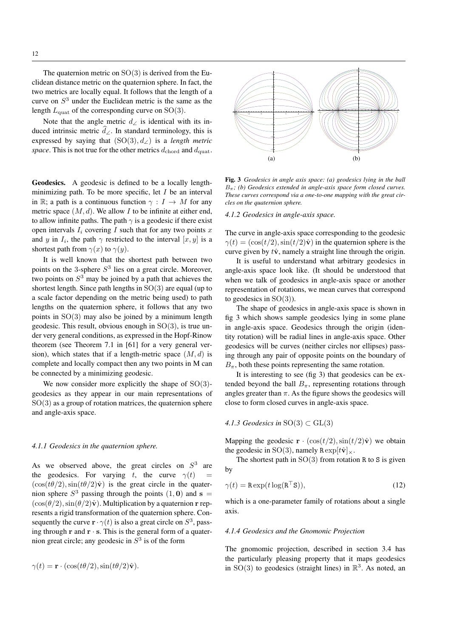The quaternion metric on  $SO(3)$  is derived from the Euclidean distance metric on the quaternion sphere. In fact, the two metrics are locally equal. It follows that the length of a curve on  $S<sup>3</sup>$  under the Euclidean metric is the same as the length  $L_{\text{quat}}$  of the corresponding curve on SO(3).

Note that the angle metric  $d\angle$  is identical with its induced intrinsic metric  $\hat{d}$ ∠. In standard terminology, this is expressed by saying that (SO(3), d∠) is a *length metric space*. This is not true for the other metrics  $d_{\text{chord}}$  and  $d_{\text{quat}}$ .

Geodesics. A geodesic is defined to be a locally lengthminimizing path. To be more specific, let  $I$  be an interval in R; a path is a continuous function  $\gamma : I \to M$  for any metric space  $(M, d)$ . We allow I to be infinite at either end, to allow infinite paths. The path  $\gamma$  is a geodesic if there exist open intervals  $I_i$  covering I such that for any two points x and y in  $I_i$ , the path  $\gamma$  restricted to the interval  $[x, y]$  is a shortest path from  $\gamma(x)$  to  $\gamma(y)$ .

It is well known that the shortest path between two points on the 3-sphere  $S<sup>3</sup>$  lies on a great circle. Moreover, two points on  $S<sup>3</sup>$  may be joined by a path that achieves the shortest length. Since path lengths in  $SO(3)$  are equal (up to a scale factor depending on the metric being used) to path lengths on the quaternion sphere, it follows that any two points in  $SO(3)$  may also be joined by a minimum length geodesic. This result, obvious enough in  $SO(3)$ , is true under very general conditions, as expressed in the Hopf-Rinow theorem (see Theorem 7.1 in [61] for a very general version), which states that if a length-metric space  $(M, d)$  is complete and locally compact then any two points in M can be connected by a minimizing geodesic.

We now consider more explicitly the shape of  $SO(3)$ geodesics as they appear in our main representations of  $SO(3)$  as a group of rotation matrices, the quaternion sphere and angle-axis space.

#### *4.1.1 Geodesics in the quaternion sphere.*

As we observed above, the great circles on  $S<sup>3</sup>$  are the geodesics. For varying t, the curve  $\gamma(t)$  $(\cos(t\theta/2), \sin(t\theta/2)\hat{\mathbf{v}})$  is the great circle in the quaternion sphere  $S^3$  passing through the points  $(1, 0)$  and  $s =$  $(\cos(\theta/2), \sin(\theta/2)\hat{\mathbf{v}})$ . Multiplication by a quaternion r represents a rigid transformation of the quaternion sphere. Consequently the curve  $\mathbf{r} \cdot \gamma(t)$  is also a great circle on  $S^3$ , passing through  $\mathbf r$  and  $\mathbf r \cdot \mathbf s$ . This is the general form of a quaternion great circle; any geodesic in  $S<sup>3</sup>$  is of the form

$$
\gamma(t) = \mathbf{r} \cdot (\cos(t\theta/2), \sin(t\theta/2)\hat{\mathbf{v}}).
$$



Fig. 3 *Geodesics in angle axis space: (a) geodesics lying in the ball* Bπ*; (b) Geodesics extended in angle-axis space form closed curves. These curves correspond via a one-to-one mapping with the great circles on the quaternion sphere.*

*4.1.2 Geodesics in angle-axis space.*

The curve in angle-axis space corresponding to the geodesic  $\gamma(t) = (\cos(t/2), \sin(t/2)\hat{\mathbf{v}})$  in the quaternion sphere is the curve given by  $t\hat{v}$ , namely a straight line through the origin.

It is useful to understand what arbitrary geodesics in angle-axis space look like. (It should be understood that when we talk of geodesics in angle-axis space or another representation of rotations, we mean curves that correspond to geodesics in  $SO(3)$ ).

The shape of geodesics in angle-axis space is shown in fig 3 which shows sample geodesics lying in some plane in angle-axis space. Geodesics through the origin (identity rotation) will be radial lines in angle-axis space. Other geodesics will be curves (neither circles nor ellipses) passing through any pair of opposite points on the boundary of  $B_{\pi}$ , both these points representing the same rotation.

It is interesting to see (fig 3) that geodesics can be extended beyond the ball  $B_{\pi}$ , representing rotations through angles greater than  $\pi$ . As the figure shows the geodesics will close to form closed curves in angle-axis space.

4.1.3 *Geodesics in* 
$$
SO(3) \subset GL(3)
$$

Mapping the geodesic  $\mathbf{r} \cdot (\cos(t/2), \sin(t/2)\hat{\mathbf{v}})$  we obtain the geodesic in SO(3), namely  $\text{R} \exp[t\hat{\mathbf{v}}]_{\times}$ .

The shortest path in  $SO(3)$  from rotation R to S is given by

$$
\gamma(t) = \text{R} \exp(t \log(\mathbf{R}^\top \mathbf{S})),\tag{12}
$$

which is a one-parameter family of rotations about a single axis.

#### *4.1.4 Geodesics and the Gnomonic Projection*

The gnomomic projection, described in section 3.4 has the particularly pleasing property that it maps geodesics in  $SO(3)$  to geodesics (straight lines) in  $\mathbb{R}^3$ . As noted, an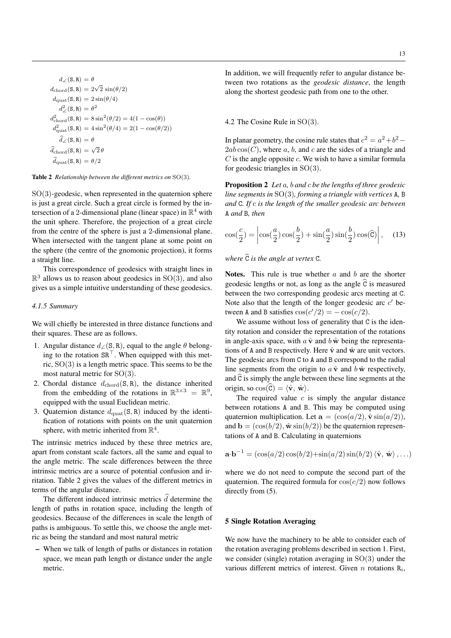$$
d_{\angle}(\mathbf{S}, \mathbf{R}) = \theta
$$
  
\n
$$
d_{\text{chord}}(\mathbf{S}, \mathbf{R}) = 2\sqrt{2} \sin(\theta/2)
$$
  
\n
$$
d_{\text{quat}}(\mathbf{S}, \mathbf{R}) = 2\sin(\theta/4)
$$
  
\n
$$
d_{\angle}^{2}(\mathbf{S}, \mathbf{R}) = \theta^{2}
$$
  
\n
$$
d_{\text{chord}}^{2}(\mathbf{S}, \mathbf{R}) = 8\sin^{2}(\theta/2) = 4(1 - \cos(\theta))
$$
  
\n
$$
d_{\text{quat}}^{2}(\mathbf{S}, \mathbf{R}) = 4\sin^{2}(\theta/4) = 2(1 - \cos(\theta/2))
$$
  
\n
$$
\hat{d}_{\angle}(\mathbf{S}, \mathbf{R}) = \theta
$$
  
\n
$$
\hat{d}_{\text{chord}}(\mathbf{S}, \mathbf{R}) = \sqrt{2}\theta
$$
  
\n
$$
\hat{d}_{\text{quat}}(\mathbf{S}, \mathbf{R}) = \theta/2
$$

Table 2 *Relationship between the different metrics on* SO(3)*.*

 $SO(3)$ -geodesic, when represented in the quaternion sphere is just a great circle. Such a great circle is formed by the intersection of a 2-dimensional plane (linear space) in  $\mathbb{R}^4$  with the unit sphere. Therefore, the projection of a great circle from the centre of the sphere is just a 2-dimensional plane. When intersected with the tangent plane at some point on the sphere (the centre of the gnomonic projection), it forms a straight line.

This correspondence of geodesics with straight lines in  $\mathbb{R}^3$  allows us to reason about geodesics in SO(3), and also gives us a simple intuitive understanding of these geodesics.

# *4.1.5 Summary*

We will chiefly be interested in three distance functions and their squares. These are as follows.

- 1. Angular distance  $d_{\angle}(\mathbf{S}, \mathbf{R})$ , equal to the angle  $\theta$  belonging to the rotation  $SR^{\top}$ . When equipped with this metric, SO(3) is a length metric space. This seems to be the most natural metric for SO(3).
- 2. Chordal distance  $d_{\text{chord}}(S, R)$ , the distance inherited from the embedding of the rotations in  $\mathbb{R}^{3\times3} = \mathbb{R}^9$ , equipped with the usual Euclidean metric.
- 3. Quaternion distance  $d_{\text{quad}}(S, R)$  induced by the identification of rotations with points on the unit quaternion sphere, with metric inherited from  $\mathbb{R}^4$ .

The intrinsic metrics induced by these three metrics are, apart from constant scale factors, all the same and equal to the angle metric. The scale differences between the three intrinsic metrics are a source of potential confusion and irritation. Table 2 gives the values of the different metrics in terms of the angular distance.

The different induced intrinsic metrics  $\hat{d}$  determine the length of paths in rotation space, including the length of geodesics. Because of the differences in scale the length of paths is ambiguous. To settle this, we choose the angle metric as being the standard and most natural metric

– When we talk of length of paths or distances in rotation space, we mean path length or distance under the angle metric.

In addition, we will frequently refer to angular distance between two rotations as the *geodesic distance*, the length along the shortest geodesic path from one to the other.

4.2 The Cosine Rule in SO(3).

In planar geometry, the cosine rule states that  $c^2 = a^2 + b^2$  –  $2ab\cos(C)$ , where a, b, and c are the sides of a triangle and  $C$  is the angle opposite  $c$ . We wish to have a similar formula for geodesic triangles in  $SO(3)$ .

Proposition 2 *Let* a*,* b *and* c *be the lengths of three geodesic line segments in* SO(3)*, forming a triangle with vertices* A*,* B *and* C*. If* c *is the length of the smaller geodesic arc between* A *and* B*, then*

$$
\cos(\frac{c}{2}) = \left| \cos(\frac{a}{2}) \cos(\frac{b}{2}) + \sin(\frac{a}{2}) \sin(\frac{b}{2}) \cos(\widehat{C}) \right|, \quad (13)
$$

*where*  $\hat{C}$  *is the angle at vertex*  $C$ *.* 

Notes. This rule is true whether  $a$  and  $b$  are the shorter geodesic lengths or not, as long as the angle  $\hat{C}$  is measured between the two corresponding geodesic arcs meeting at C. Note also that the length of the longer geodesic arc  $c'$  between A and B satisfies  $cos(c'/2) = -cos(c/2)$ .

We assume without loss of generality that C is the identity rotation and consider the representation of the rotations in angle-axis space, with  $a \hat{v}$  and  $b \hat{w}$  being the representations of A and B respectively. Here  $\hat{v}$  and  $\hat{w}$  are unit vectors. The geodesic arcs from C to A and B correspond to the radial line segments from the origin to  $a \hat{v}$  and  $b \hat{w}$  respectively, and  $\hat{C}$  is simply the angle between these line segments at the origin, so  $\cos(\widehat{\mathbf{C}}) = \langle \hat{\mathbf{v}}, \hat{\mathbf{w}} \rangle$ .

The required value  $c$  is simply the angular distance between rotations A and B. This may be computed using quaternion multiplication. Let  $\mathbf{a} = (\cos(a/2), \hat{\mathbf{v}} \sin(a/2)),$ and  $\mathbf{b} = (\cos(b/2), \hat{\mathbf{w}} \sin(b/2))$  be the quaternion representations of A and B. Calculating in quaternions

$$
\mathbf{a} \cdot \mathbf{b}^{-1} = (\cos(a/2)\cos(b/2) + \sin(a/2)\sin(b/2)\langle \hat{\mathbf{v}}, \hat{\mathbf{w}} \rangle, \ldots)
$$

where we do not need to compute the second part of the quaternion. The required formula for  $cos(c/2)$  now follows directly from (5).

# 5 Single Rotation Averaging

We now have the machinery to be able to consider each of the rotation averaging problems described in section 1. First, we consider (single) rotation averaging in  $SO(3)$  under the various different metrics of interest. Given  $n$  rotations  $R_i$ ,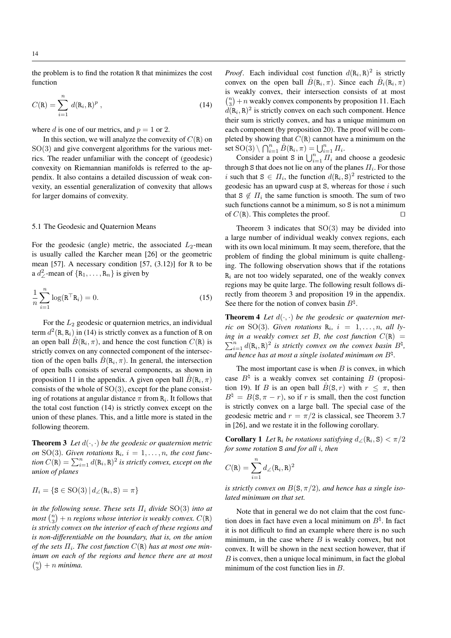the problem is to find the rotation R that minimizes the cost function

$$
C(R) = \sum_{i=1}^{n} d(R_i, R)^p,
$$
 (14)

where d is one of our metrics, and  $p = 1$  or 2.

In this section, we will analyze the convexity of  $C(R)$  on  $SO(3)$  and give convergent algorithms for the various metrics. The reader unfamiliar with the concept of (geodesic) convexity on Riemannian manifolds is referred to the appendix. It also contains a detailed discussion of weak convexity, an essential generalization of convexity that allows for larger domains of convexity.

# 5.1 The Geodesic and Quaternion Means

For the geodesic (angle) metric, the associated  $L_2$ -mean is usually called the Karcher mean [26] or the geometric mean  $[57]$ . A necessary condition  $[57, (3.12)]$  for R to be a  $d^2$ -mean of  $\{R_1, \ldots, R_n\}$  is given by

$$
\frac{1}{n}\sum_{i=1}^{n}\log(\mathbf{R}^{\top}\mathbf{R}_{i})=0.
$$
\n(15)

For the  $L_2$  geodesic or quaternion metrics, an individual term  $d^2(\mathbf{R}, \mathbf{R}_i)$  in (14) is strictly convex as a function of R on an open ball  $\overset{\circ}{B}(\mathbf{R}_i, \pi)$ , and hence the cost function  $C(\mathbf{R})$  is strictly convex on any connected component of the intersection of the open balls  $\overset{\circ}{B}(\mathbf{R}_i, \pi)$ . In general, the intersection of open balls consists of several components, as shown in proposition 11 in the appendix. A given open ball  $\mathring{B}(\mathbf{R}_i, \pi)$ consists of the whole of  $SO(3)$ , except for the plane consisting of rotations at angular distance  $\pi$  from  $R_i$ . It follows that the total cost function (14) is strictly convex except on the union of these planes. This, and a little more is stated in the following theorem.

**Theorem 3** Let  $d(\cdot, \cdot)$  be the geodesic or quaternion metric *on* SO(3). Given rotations  $R_i$ ,  $i = 1, \ldots, n$ , the cost function  $C(\mathbf{R}) = \sum_{i=1}^{n} d(\mathbf{R}_i, \mathbf{R})^2$  is strictly convex, except on the *union of planes*

$$
\Pi_i = \{ \mathbf{S} \in \mathrm{SO}(3) \, | \, d_{\angle}(\mathbf{R}_i, \mathbf{S}) = \pi \}
$$

*in the following sense. These sets*  $\Pi_i$  *divide* SO(3) *into at*  $m$ ost  $\binom{n}{3}+n$  *regions whose interior is weakly convex.*  $C(\mathtt{R})$ *is strictly convex on the interior of each of these regions and is non-differentiable on the boundary, that is, on the union*  $of$  the sets  $\Pi_i$ . The cost function  $C(\mathtt{R})$  has at most one min*imum on each of the regions and hence there are at most*  $\binom{n}{3} + n$  *minima.* 

*Proof.* Each individual cost function  $d(R_i, R)^2$  is strictly convex on the open ball  $\hat{B}(\mathbf{R}_i, \pi)$ . Since each  $\hat{B}_i(\mathbf{R}_i, \pi)$ is weakly convex, their intersection consists of at most  $\binom{n}{3} + n$  weakly convex components by proposition 11. Each  $d(\mathbf{R}_i, \mathbf{R})^2$  is strictly convex on each such component. Hence their sum is strictly convex, and has a unique minimum on each component (by proposition 20). The proof will be completed by showing that  $C(R)$  cannot have a minimum on the set  $\mathrm{SO}(3)\setminus\bigcap_{i=1}^n \overset{\circ}{B}(\mathtt{R}_i,\pi)=\bigcup_{i=1}^n \varPi_i.$ 

Consider a point S in  $\bigcup_{i=1}^{n} \overline{H_i}$  and choose a geodesic through S that does not lie on any of the planes  $\Pi_i$ . For those i such that  $S \in \Pi_i$ , the function  $d(R_i, S)^2$  restricted to the geodesic has an upward cusp at S, whereas for those  $i$  such that  $S \notin \Pi_i$  the same function is smooth. The sum of two such functions cannot be a minimum, so S is not a minimum of  $C(R)$ . This completes the proof.

Theorem 3 indicates that  $SO(3)$  may be divided into a large number of individual weakly convex regions, each with its own local minimum. It may seem, therefore, that the problem of finding the global minimum is quite challenging. The following observation shows that if the rotations  $R_i$  are not too widely separated, one of the weakly convex regions may be quite large. The following result follows directly from theorem 3 and proposition 19 in the appendix. See there for the notion of convex basin  $B^{\natural}$ .

**Theorem 4** Let  $d(\cdot, \cdot)$  be the geodesic or quaternion met*ric on* SO(3). Given rotations  $\mathbf{R}_i$ ,  $i = 1, \ldots, n$ , all lying in a weakly convex set B, the cost function  $C(\mathbb{R}) =$  $\sum_{i=1}^{n} d(R_i, R)^2$  is strictly convex on the convex basin  $B^{\natural}$ , *and hence has at most a single isolated minimum on* B\ *.*

The most important case is when  $B$  is convex, in which case  $B^{\dagger}$  is a weakly convex set containing B (proposition 19). If B is an open ball  $\check{B}(S,r)$  with  $r \leq \pi$ , then  $B^{\natural} = B(\mathbf{S}, \pi - r)$ , so if r is small, then the cost function is strictly convex on a large ball. The special case of the geodesic metric and  $r = \pi/2$  is classical, see Theorem 3.7 in [26], and we restate it in the following corollary.

**Corollary 1** Let  $\mathbf{R}_i$  be rotations satisfying  $d_{\angle}(\mathbf{R}_i, \mathbf{S}) < \pi/2$ *for some rotation* S *and for all* i*, then*

$$
C(\mathbf{R}) = \sum_{i=1}^{n} d_{\angle}(\mathbf{R}_i, \mathbf{R})^2
$$

*is strictly convex on*  $B(S, \pi/2)$ *, and hence has a single isolated minimum on that set.*

Note that in general we do not claim that the cost function does in fact have even a local minimum on  $B^{\natural}$ . In fact it is not difficult to find an example where there is no such minimum, in the case where  $B$  is weakly convex, but not convex. It will be shown in the next section however, that if  $B$  is convex, then a unique local minimum, in fact the global minimum of the cost function lies in B.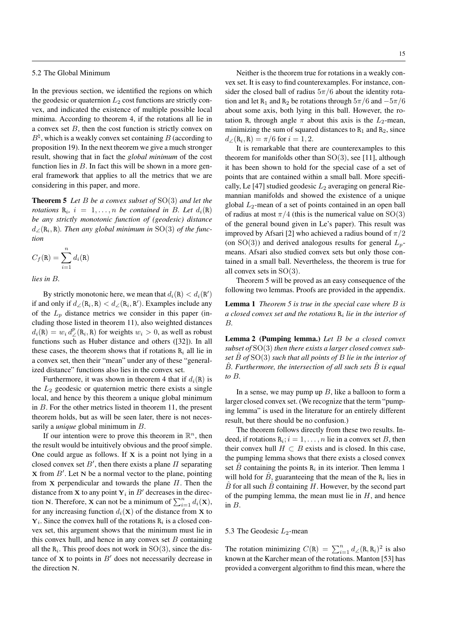# 5.2 The Global Minimum

In the previous section, we identified the regions on which the geodesic or quaternion  $L_2$  cost functions are strictly convex, and indicated the existence of multiple possible local minima. According to theorem 4, if the rotations all lie in a convex set  $B$ , then the cost function is strictly convex on  $B^{\natural}$ , which is a weakly convex set containing B (according to proposition 19). In the next theorem we give a much stronger result, showing that in fact the *global minimum* of the cost function lies in  $B$ . In fact this will be shown in a more general framework that applies to all the metrics that we are considering in this paper, and more.

Theorem 5 *Let* B *be a convex subset of* SO(3) *and let the rotations*  $R_i$ ,  $i = 1, \ldots, n$  *be contained in B. Let*  $d_i(R)$ *be any strictly monotonic function of (geodesic) distance*  $d_{\angle}(\mathbf{R}_i, \mathbf{R})$ . Then any global minimum in SO(3) of the func*tion*

$$
C_f(\mathbf{R}) = \sum_{i=1}^{n} d_i(\mathbf{R})
$$

*lies in* B*.*

By strictly monotonic here, we mean that  $d_i(\mathbf{R}) < d_i(\mathbf{R}')$ if and only if  $d_{\angle}(\mathbf{R}_i, \mathbf{R}) < d_{\angle}(\mathbf{R}_i, \mathbf{R}')$ . Examples include any of the  $L_p$  distance metrics we consider in this paper (including those listed in theorem 11), also weighted distances  $d_i(\mathbf{R}) = w_i d^p(\mathbf{R}_i, \mathbf{R})$  for weights  $w_i > 0$ , as well as robust functions such as Huber distance and others ([32]). In all these cases, the theorem shows that if rotations  $R_i$  all lie in a convex set, then their "mean" under any of these "generalized distance" functions also lies in the convex set.

Furthermore, it was shown in theorem 4 that if  $d_i(\mathbf{R})$  is the  $L_2$  geodesic or quaternion metric there exists a single local, and hence by this theorem a unique global minimum in B. For the other metrics listed in theorem 11, the present theorem holds, but as will be seen later, there is not necessarily a *unique* global minimum in B.

If our intention were to prove this theorem in  $\mathbb{R}^n$ , then the result would be intuitively obvious and the proof simple. One could argue as follows. If  $X$  is a point not lying in a closed convex set  $B'$ , then there exists a plane  $\Pi$  separating  $X$  from  $B'$ . Let N be a normal vector to the plane, pointing from **X** perpendicular and towards the plane  $\Pi$ . Then the distance from **x** to any point  $Y_i$  in  $B'$  decreases in the direction N. Therefore, **X** can not be a minimum of  $\sum_{i=1}^{n} d_i(\mathbf{x})$ , for any increasing function  $d_i(\mathbf{X})$  of the distance from **X** to  $Y_i$ . Since the convex hull of the rotations  $R_i$  is a closed convex set, this argument shows that the minimum must lie in this convex hull, and hence in any convex set  $B$  containing all the  $R_i$ . This proof does not work in  $SO(3)$ , since the distance of  $X$  to points in  $B'$  does not necessarily decrease in the direction N.

Neither is the theorem true for rotations in a weakly convex set. It is easy to find counterexamples. For instance, consider the closed ball of radius  $5\pi/6$  about the identity rotation and let R<sub>1</sub> and R<sub>2</sub> be rotations through  $5\pi/6$  and  $-5\pi/6$ about some axis, both lying in this ball. However, the rotation R, through angle  $\pi$  about this axis is the  $L_2$ -mean, minimizing the sum of squared distances to  $R_1$  and  $R_2$ , since  $d_{\angle}(\mathbf{R}_i, \mathbf{R}) = \pi/6$  for  $i = 1, 2$ .

It is remarkable that there are counterexamples to this theorem for manifolds other than  $SO(3)$ , see [11], although it has been shown to hold for the special case of a set of points that are contained within a small ball. More specifically, Le [47] studied geodesic  $L_2$  averaging on general Riemannian manifolds and showed the existence of a unique global  $L_2$ -mean of a set of points contained in an open ball of radius at most  $\pi/4$  (this is the numerical value on SO(3) of the general bound given in Le's paper). This result was improved by Afsari [2] who achieved a radius bound of  $\pi/2$ (on SO(3)) and derived analogous results for general  $L_p$ means. Afsari also studied convex sets but only those contained in a small ball. Nevertheless, the theorem is true for all convex sets in SO(3).

Theorem 5 will be proved as an easy consequence of the following two lemmas. Proofs are provided in the appendix.

Lemma 1 *Theorem 5 is true in the special case where* B *is a closed convex set and the rotations* R<sup>i</sup> *lie in the interior of* B*.*

Lemma 2 (Pumping lemma.) *Let* B *be a closed convex subset of* SO(3) *then there exists a larger closed convex subset* Bˆ *of* SO(3) *such that all points of* B *lie in the interior of* Bˆ*. Furthermore, the intersection of all such sets* Bˆ *is equal to* B*.*

In a sense, we may pump up  $B$ , like a balloon to form a larger closed convex set. (We recognize that the term "pumping lemma" is used in the literature for an entirely different result, but there should be no confusion.)

The theorem follows directly from these two results. Indeed, if rotations  $R_i$ ;  $i = 1, ..., n$  lie in a convex set B, then their convex hull  $H \subset B$  exists and is closed. In this case, the pumping lemma shows that there exists a closed convex set  $\hat{B}$  containing the points  $\mathbf{R}_i$  in its interior. Then lemma 1 will hold for  $\hat{B}$ , guaranteeing that the mean of the R<sub>i</sub> lies in  $\hat{B}$  for all such  $\hat{B}$  containing H. However, by the second part of the pumping lemma, the mean must lie in  $H$ , and hence in B.

#### 5.3 The Geodesic  $L_2$ -mean

The rotation minimizing  $C(R) = \sum_{i=1}^{n} d \angle (R, R_i)^2$  is also known at the Karcher mean of the rotations. Manton [53] has provided a convergent algorithm to find this mean, where the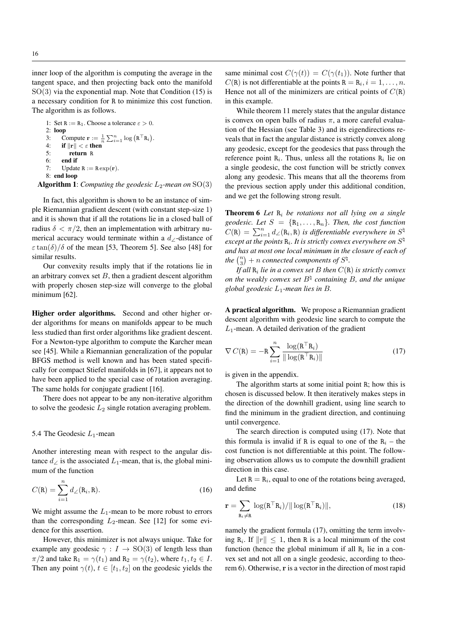inner loop of the algorithm is computing the average in the tangent space, and then projecting back onto the manifold  $SO(3)$  via the exponential map. Note that Condition (15) is a necessary condition for R to minimize this cost function. The algorithm is as follows.

1: Set  $R := R_1$ . Choose a tolerance  $\varepsilon > 0$ . 2: loop 3: Compute  $\mathbf{r} := \frac{1}{n} \sum_{i=1}^{n} \log (\mathbf{R}^{\top} \mathbf{R}_{i}).$ 4: if  $\|\mathbf{r}\| < \varepsilon$  then<br>5: return R 5: return R 6: end if 7: Update  $R := R \exp(r)$ . 8: end loop Algorithm 1: *Computing the geodesic*  $L_2$ -mean on  $SO(3)$ 

In fact, this algorithm is shown to be an instance of simple Riemannian gradient descent (with constant step-size 1) and it is shown that if all the rotations lie in a closed ball of radius  $\delta < \pi/2$ , then an implementation with arbitrary numerical accuracy would terminate within a  $d\angle$ -distance of  $\varepsilon \tan(\delta)/\delta$  of the mean [53, Theorem 5]. See also [48] for similar results.

Our convexity results imply that if the rotations lie in an arbitrary convex set  $B$ , then a gradient descent algorithm with properly chosen step-size will converge to the global minimum [62].

Higher order algorithms. Second and other higher order algorithms for means on manifolds appear to be much less studied than first order algorithms like gradient descent. For a Newton-type algorithm to compute the Karcher mean see [45]. While a Riemannian generalization of the popular BFGS method is well known and has been stated specifically for compact Stiefel manifolds in [67], it appears not to have been applied to the special case of rotation averaging. The same holds for conjugate gradient [16].

There does not appear to be any non-iterative algorithm to solve the geodesic  $L_2$  single rotation averaging problem.

## 5.4 The Geodesic  $L_1$ -mean

Another interesting mean with respect to the angular distance  $d\angle$  is the associated  $L_1$ -mean, that is, the global minimum of the function

$$
C(\mathbf{R}) = \sum_{i=1}^{n} d_{\angle}(\mathbf{R}_i, \mathbf{R}).
$$
 (16)

We might assume the  $L_1$ -mean to be more robust to errors than the corresponding  $L_2$ -mean. See [12] for some evidence for this assertion.

However, this minimizer is not always unique. Take for example any geodesic  $\gamma : I \to SO(3)$  of length less than  $\pi/2$  and take R<sub>1</sub> =  $\gamma(t_1)$  and R<sub>2</sub> =  $\gamma(t_2)$ , where  $t_1, t_2 \in I$ . Then any point  $\gamma(t)$ ,  $t \in [t_1, t_2]$  on the geodesic yields the

same minimal cost  $C(\gamma(t)) = C(\gamma(t_1))$ . Note further that  $C(R)$  is not differentiable at the points  $R = R_i, i = 1, ..., n$ . Hence not all of the minimizers are critical points of  $C(R)$ in this example.

While theorem 11 merely states that the angular distance is convex on open balls of radius  $\pi$ , a more careful evaluation of the Hessian (see Table 3) and its eigendirections reveals that in fact the angular distance is strictly convex along any geodesic, except for the geodesics that pass through the reference point  $R_i$ . Thus, unless all the rotations  $R_i$  lie on a single geodesic, the cost function will be strictly convex along any geodesic. This means that all the theorems from the previous section apply under this additional condition, and we get the following strong result.

Theorem 6 *Let* R<sup>i</sup> *be rotations not all lying on a single geodesic. Let*  $S = \{R_1, \ldots, R_n\}$ *. Then, the cost function*  $C(\mathbf{R}) = \sum_{i=1}^{n} d_{\angle}(\mathbf{R}_i, \mathbf{R})$  *is differentiable everywhere in*  $S^{\natural}$ except at the points  $R_i$ . It is strictly convex everywhere on  $S^{\natural}$ *and has at most one local minimum in the closure of each of the*  $\binom{n}{3}$  + *n connected components of*  $S^{\natural}$ .

*If all* R<sup>i</sup> *lie in a convex set* B *then* C(R) *is strictly convex on the weakly convex set*  $B^{\natural}$  *containing* B, and the unique *global geodesic* L1*-mean lies in* B*.*

A practical algorithm. We propose a Riemannian gradient descent algorithm with geodesic line search to compute the  $L_1$ -mean. A detailed derivation of the gradient

$$
\nabla C(\mathbf{R}) = -\mathbf{R} \sum_{i=1}^{n} \frac{\log(\mathbf{R}^{\top} \mathbf{R}_{i})}{\|\log(\mathbf{R}^{\top} \mathbf{R}_{i})\|}
$$
(17)

is given in the appendix.

The algorithm starts at some initial point R; how this is chosen is discussed below. It then iteratively makes steps in the direction of the downhill gradient, using line search to find the minimum in the gradient direction, and continuing until convergence.

The search direction is computed using (17). Note that this formula is invalid if R is equal to one of the  $R_i$  – the cost function is not differentiable at this point. The following observation allows us to compute the downhill gradient direction in this case.

Let  $R = R_i$ , equal to one of the rotations being averaged, and define

$$
\mathbf{r} = \sum_{\mathbf{R}_i \neq \mathbf{R}} \log(\mathbf{R}^\top \mathbf{R}_i) / || \log(\mathbf{R}^\top \mathbf{R}_i) ||,
$$
 (18)

namely the gradient formula (17), omitting the term involving  $R_i$ . If  $||r|| \leq 1$ , then R is a local minimum of the cost function (hence the global minimum if all  $R_i$  lie in a convex set and not all on a single geodesic, according to theorem 6). Otherwise, r is a vector in the direction of most rapid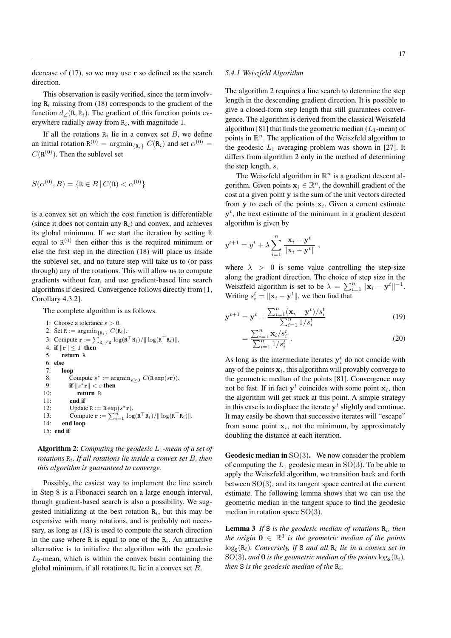This observation is easily verified, since the term involving  $R_i$  missing from (18) corresponds to the gradient of the function  $d$  ∕ (R, R<sub>i</sub>). The gradient of this function points everywhere radially away from  $R_i$ , with magnitude 1.

If all the rotations  $R_i$  lie in a convex set B, we define an initial rotation  $R^{(0)} = \operatorname{argmin}_{\{R_i\}} C(R_i)$  and set  $\alpha^{(0)} =$  $C(\mathbf{R}^{(0)})$ . Then the sublevel set

$$
S(\alpha^{(0)}, B) = \{ \mathbf{R} \in B \, | \, C(\mathbf{R}) < \alpha^{(0)} \}
$$

is a convex set on which the cost function is differentiable (since it does not contain any  $R_i$ ) and convex, and achieves its global minimum. If we start the iteration by setting R equal to  $R^{(0)}$  then either this is the required minimum or else the first step in the direction (18) will place us inside the sublevel set, and no future step will take us to (or pass through) any of the rotations. This will allow us to compute gradients without fear, and use gradient-based line search algorithms if desired. Convergence follows directly from [1, Corollary 4.3.2].

The complete algorithm is as follows.

```
1: Choose a tolerance \varepsilon > 0.
2: Set R := \operatorname{argmin}_{\{R_i\}} C(R_i).
 3: Compute \mathbf{r} := \sum_{\mathbf{R}_i \neq \mathbf{R}} \log(\mathbf{R}^\top \mathbf{R}_i) / || \log(\mathbf{R}^\top \mathbf{R}_i) ||.
 4: if \|\mathbf{r}\| \leq 1 then
5: return R
6: else<br>7: \frac{1}{6}loop
 8: Compute s^* := \operatorname{argmin}_{s \geq 0} C(\operatorname{R} \exp(s\mathbf{r})).9: if \|s^*\mathbf{r}\| < \varepsilon then
10: return R
11: end if
12: Update R := R \exp(s^* \mathbf{r}).13: Compute \mathbf{r} := \sum_{i=1}^n \log(\mathbf{R}^\top \mathbf{R}_i) / || \log(\mathbf{R}^\top \mathbf{R}_i) ||.
14: end loop
15: end if
```
Algorithm 2: *Computing the geodesic* L1*-mean of a set of rotations* R<sup>i</sup> *. If all rotations lie inside a convex set* B*, then this algorithm is guaranteed to converge.*

Possibly, the easiest way to implement the line search in Step 8 is a Fibonacci search on a large enough interval, though gradient-based search is also a possibility. We suggested initializing at the best rotation  $R_i$ , but this may be expensive with many rotations, and is probably not necessary, as long as (18) is used to compute the search direction in the case where R is equal to one of the  $R_i$ . An attractive alternative is to initialize the algorithm with the geodesic  $L_2$ -mean, which is within the convex basin containing the global minimum, if all rotations  $R_i$  lie in a convex set  $B$ .

## *5.4.1 Weiszfeld Algorithm*

The algorithm 2 requires a line search to determine the step length in the descending gradient direction. It is possible to give a closed-form step length that still guarantees convergence. The algorithm is derived from the classical Weiszfeld algorithm [81] that finds the geometric median  $(L_1$ -mean) of points in  $\mathbb{R}^n$ . The application of the Weiszfeld algorithm to the geodesic  $L_1$  averaging problem was shown in [27]. It differs from algorithm 2 only in the method of determining the step length, s.

The Weiszfeld algorithm in  $\mathbb{R}^n$  is a gradient descent algorithm. Given points  $x_i \in \mathbb{R}^n$ , the downhill gradient of the cost at a given point y is the sum of the unit vectors directed from y to each of the points  $x_i$ . Given a current estimate  $y<sup>t</sup>$ , the next estimate of the minimum in a gradient descent algorithm is given by

$$
y^{t+1} = y^t + \lambda \sum_{i=1}^n \frac{\mathbf{x}_i - \mathbf{y}^t}{\|\mathbf{x}_i - \mathbf{y}^t\|},
$$

where  $\lambda > 0$  is some value controlling the step-size along the gradient direction. The choice of step size in the Weiszfeld algorithm is set to be  $\lambda = \sum_{i=1}^{n} ||\mathbf{x}_i - \mathbf{y}^t||^{-1}$ . Writing  $s_i^t = ||\mathbf{x}_i - \mathbf{y}^t||$ , we then find that

$$
\mathbf{y}^{t+1} = \mathbf{y}^t + \frac{\sum_{i=1}^n (\mathbf{x}_i - \mathbf{y}^t) / s_i^t}{\sum_{i=1}^n 1 / s_i^t}
$$
(19)

$$
=\frac{\sum_{i=1}^{n} \mathbf{x}_i / s_i^t}{\sum_{i=1}^{n} 1 / s_i^t} \tag{20}
$$

As long as the intermediate iterates  $y_i^t$  do not concide with any of the points  $x_i$ , this algorithm will provably converge to the geometric median of the points [81]. Convergence may not be fast. If in fact  $y^t$  coincides with some point  $x_i$ , then the algorithm will get stuck at this point. A simple strategy in this case is to displace the iterate  $y<sup>t</sup>$  slightly and continue. It may easily be shown that successive iterates will "escape" from some point  $x_i$ , not the minimum, by approximately doubling the distance at each iteration.

**Geodesic median in**  $SO(3)$ . We now consider the problem of computing the  $L_1$  geodesic mean in SO(3). To be able to apply the Weiszfeld algorithm, we transition back and forth between SO(3), and its tangent space centred at the current estimate. The following lemma shows that we can use the geometric median in the tangent space to find the geodesic median in rotation space SO(3).

**Lemma 3** If  $S$  is the geodesic median of rotations  $R_i$ , then *the origin*  $0 \in \mathbb{R}^3$  *is the geometric median of the points*  $\log_{\mathbf{S}}(\mathbf{R}_i)$ *. Conversely, if* S *and all*  $\mathbf{R}_i$  *lie in a convex set in*  $SO(3)$ , and **0** is the geometric median of the points  $\log_{\mathbf{S}}(\mathbf{R}_i)$ , *then* S *is the geodesic median of the* R<sup>i</sup> *.*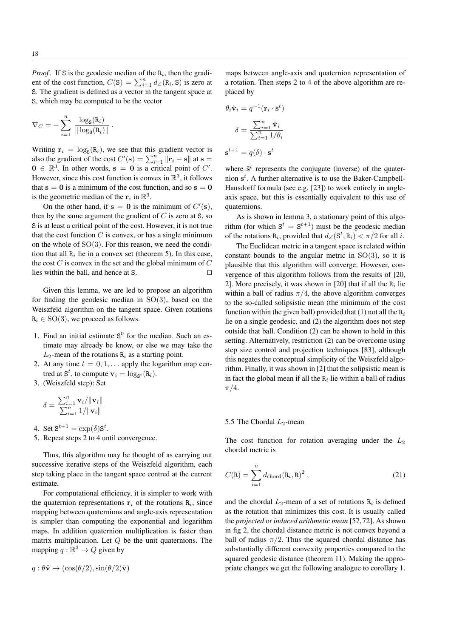*Proof.* If S is the geodesic median of the  $R_i$ , then the gradient of the cost function,  $C(S) = \sum_{i=1}^{n} d \angle (R_i, S)$  is zero at S. The gradient is defined as a vector in the tangent space at S, which may be computed to be the vector

$$
\nabla_C = -\sum_{i=1}^n \frac{\log_S(\mathbf{R}_i)}{\|\log_S(\mathbf{R}_i)\|}.
$$

Writing  $\mathbf{r}_i = \log_{\mathbf{S}}(\mathbf{R}_i)$ , we see that this gradient vector is also the gradient of the cost  $C'(\mathbf{s}) = \sum_{i=1}^{n} ||\mathbf{r}_i - \mathbf{s}||$  at  $\mathbf{s} =$  $0 \in \mathbb{R}^3$ . In other words,  $s = 0$  is a critical point of C'. However, since this cost function is convex in  $\mathbb{R}^3$ , it follows that  $s = 0$  is a minimum of the cost function, and so  $s = 0$ is the geometric median of the  $\mathbf{r}_i$  in  $\mathbb{R}^3$ .

On the other hand, if  $s = 0$  is the minimum of  $C'(s)$ , then by the same argument the gradient of  $C$  is zero at S, so S is at least a critical point of the cost. However, it is not true that the cost function  $C$  is convex, or has a single minimum on the whole of SO(3). For this reason, we need the condition that all  $R_i$  lie in a convex set (theorem 5). In this case, the cost  $C$  is convex in the set and the global minimum of  $C$ lies within the ball, and hence at S.  $\Box$ 

Given this lemma, we are led to propose an algorithm for finding the geodesic median in  $SO(3)$ , based on the Weiszfeld algorithm on the tangent space. Given rotations  $R_i \in SO(3)$ , we proceed as follows.

- 1. Find an initial estimate  $S^0$  for the median. Such an estimate may already be know, or else we may take the  $L_2$ -mean of the rotations  $\mathbf{R}_i$  as a starting point.
- 2. At any time  $t = 0, 1, \ldots$  apply the logarithm map centred at  $S^t$ , to compute  $\mathbf{v}_i = \log_{S^t}(\mathbf{R}_i)$ .
- 3. (Weiszfeld step): Set

$$
\delta = \frac{\sum_{i=1}^{n} \mathbf{v}_i / ||\mathbf{v}_i||}{\sum_{i=1}^{n} 1 / ||\mathbf{v}_i||}
$$

- 4. Set  $S^{t+1} = \exp(\delta)S^t$ .
- 5. Repeat steps 2 to 4 until convergence.

Thus, this algorithm may be thought of as carrying out successive iterative steps of the Weiszfeld algorithm, each step taking place in the tangent space centred at the current estimate.

For computational efficiency, it is simpler to work with the quaternion representations  $r_i$  of the rotations  $R_i$ , since mapping between quaternions and angle-axis representation is simpler than computing the exponential and logarithm maps. In addition quaternion multiplication is faster than matrix multiplication. Let  $Q$  be the unit quaternions. The mapping  $q : \mathbb{R}^3 \to Q$  given by

$$
q: \theta \hat{\mathbf{v}} \mapsto (\cos(\theta/2), \sin(\theta/2)\hat{\mathbf{v}})
$$

maps between angle-axis and quaternion representation of a rotation. Then steps 2 to 4 of the above algorithm are replaced by

$$
\theta_i \hat{\mathbf{v}}_i = q^{-1} (\mathbf{r}_i \cdot \bar{\mathbf{s}}^t)
$$

$$
\delta = \frac{\sum_{i=1}^n \hat{\mathbf{v}}_i}{\sum_{i=1}^n 1/\theta_i}
$$

$$
\mathbf{s}^{t+1} = q(\delta) \cdot \mathbf{s}^t
$$

where  $\bar{s}^t$  represents the conjugate (inverse) of the quaternion  $s<sup>t</sup>$ . A further alternative is to use the Baker-Campbell-Hausdorff formula (see e.g. [23]) to work entirely in angleaxis space, but this is essentially equivalent to this use of quaternions.

As is shown in lemma 3, a stationary point of this algorithm (for which  $S^t = S^{t+1}$ ) must be the geodesic median of the rotations R<sub>i</sub>, provided that  $d_{\angle}(\mathbf{S}^t, \mathbf{R}_i) < \pi/2$  for all i.

The Euclidean metric in a tangent space is related within constant bounds to the angular metric in  $SO(3)$ , so it is plausible that this algorithm will converge. However, convergence of this algorithm follows from the results of [20, 2]. More precisely, it was shown in [20] that if all the  $R_i$  lie within a ball of radius  $\pi/4$ , the above algorithm converges to the so-called solipsistic mean (the minimum of the cost function within the given ball) provided that (1) not all the  $R_i$ lie on a single geodesic, and (2) the algorithm does not step outside that ball. Condition (2) can be shown to hold in this setting. Alternatively, restriction (2) can be overcome using step size control and projection techniques [83], although this negates the conceptual simplicity of the Weiszfeld algorithm. Finally, it was shown in [2] that the solipsistic mean is in fact the global mean if all the  $R_i$  lie within a ball of radius  $\pi/4$ .

## 5.5 The Chordal  $L_2$ -mean

The cost function for rotation averaging under the  $L_2$ chordal metric is

$$
C(\mathbf{R}) = \sum_{i=1}^{n} d_{\text{chord}}(\mathbf{R}_i, \mathbf{R})^2 , \qquad (21)
$$

and the chordal  $L_2$ -mean of a set of rotations  $R_i$  is defined as the rotation that minimizes this cost. It is usually called the *projected* or *induced arithmetic mean* [57, 72]. As shown in fig 2, the chordal distance metric is not convex beyond a ball of radius  $\pi/2$ . Thus the squared chordal distance has substantially different convexity properties compared to the squared geodesic distance (theorem 11). Making the appropriate changes we get the following analogue to corollary 1.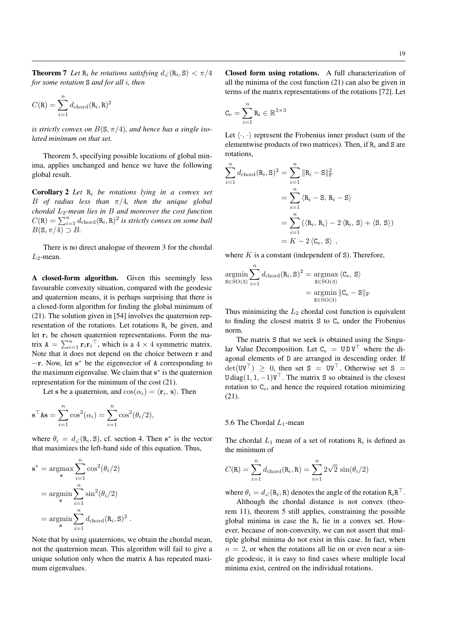19

**Theorem 7** Let  $R_i$  be rotations satisfying  $d_{\angle}(R_i, S) < \pi/4$ *for some rotation* S *and for all* i*, then*

$$
C(\mathbf{R}) = \sum_{i=1}^{n} d_{\text{chord}}(\mathbf{R}_i, \mathbf{R})^2
$$

*is strictly convex on*  $B(S, \pi/4)$ *, and hence has a single isolated minimum on that set.*

Theorem 5, specifying possible locations of global minima, applies unchanged and hence we have the following global result.

Corollary 2 *Let* R<sup>i</sup> *be rotations lying in a convex set* B *of radius less than* π/4*, then the unique global chordal* L2*-mean lies in* B *and moreover the cost function*  $C(\mathbf{R}) = \sum_{i=1}^{n} d_{\text{chord}}(\mathbf{R}_i, \mathbf{R})^2$  is strictly convex on some ball  $B(\mathsf{S}, \pi/4) \supset B$ .

There is no direct analogue of theorem 3 for the chordal  $L_2$ -mean.

A closed-form algorithm. Given this seemingly less favourable convexity situation, compared with the geodesic and quaternion means, it is perhaps surprising that there is a closed-form algorithm for finding the global minimum of (21). The solution given in [54] involves the quaternion representation of the rotations. Let rotations  $R_i$  be given, and let  $r_i$  be chosen quaternion representations. Form the matrix  $A = \sum_{i=1}^{n} \mathbf{r}_i \mathbf{r}_i^{\top}$ , which is a  $4 \times 4$  symmetric matrix. Note that it does not depend on the choice between r and −r. Now, let s <sup>∗</sup> be the eigenvector of A corresponding to the maximum eigenvalue. We claim that s<sup>\*</sup> is the quaternion representation for the minimum of the cost (21).

Let s be a quaternion, and  $cos(\alpha_i) = \langle \mathbf{r}_i, \mathbf{s} \rangle$ . Then

$$
\mathbf{s}^{\top} \mathbf{A} \mathbf{s} = \sum_{i=1}^{n} \cos^2(\alpha_i) = \sum_{i=1}^{n} \cos^2(\theta_i/2),
$$

where  $\theta_i = d_{\angle}(\mathbf{R}_i, \mathbf{S})$ , cf. section 4. Then s<sup>\*</sup> is the vector that maximizes the left-hand side of this equation. Thus,

$$
\mathbf{s}^* = \underset{\mathbf{s}}{\operatorname{argmax}} \sum_{i=1}^n \cos^2(\theta_i/2)
$$

$$
= \underset{\mathbf{s}}{\operatorname{argmin}} \sum_{i=1}^n \sin^2(\theta_i/2)
$$

$$
= \underset{\mathbf{s}}{\operatorname{argmin}} \sum_{i=1}^n d_{\text{chord}}(\mathbf{R}_i, \mathbf{S})^2.
$$

Note that by using quaternions, we obtain the chordal mean, not the quaternion mean. This algorithm will fail to give a unique solution only when the matrix A has repeated maximum eigenvalues.

Closed form using rotations. A full characterization of all the minima of the cost function (21) can also be given in terms of the matrix representations of the rotations [72]. Let

$$
\mathtt{C}_\mathrm{e} = \sum_{i=1}^n \mathtt{R}_i \in \mathbb{R}^{3 \times 3}
$$

Let  $\langle \cdot, \cdot \rangle$  represent the Frobenius inner product (sum of the elementwise products of two matrices). Then, if  $R_i$  and S are rotations,

$$
\sum_{i=1}^{n} d_{\text{chord}}(\mathbf{R}_{i}, \mathbf{S})^{2} = \sum_{i=1}^{n} ||\mathbf{R}_{i} - \mathbf{S}||_{\text{F}}^{2}
$$

$$
= \sum_{i=1}^{n} \langle \mathbf{R}_{i} - \mathbf{S}, \mathbf{R}_{i} - \mathbf{S} \rangle
$$

$$
= \sum_{i=1}^{n} (\langle \mathbf{R}_{i}, \mathbf{R}_{i} \rangle - 2 \langle \mathbf{R}_{i}, \mathbf{S} \rangle + \langle \mathbf{S}, \mathbf{S} \rangle)
$$

$$
= K - 2 \langle \mathbf{C}_{e}, \mathbf{S} \rangle,
$$

where  $K$  is a constant (independent of S). Therefore,

$$
\underset{\mathbf{S} \in \text{SO}(3)}{\text{argmin}} \sum_{i=1}^{n} d_{\text{chord}}(\mathbf{R}_{i}, \mathbf{S})^{2} = \underset{\mathbf{S} \in \text{SO}(3)}{\text{argmax}} \langle \mathbf{C}_{e}, \mathbf{S} \rangle
$$

$$
= \underset{\mathbf{S} \in \text{SO}(3)}{\text{argmin}} ||\mathbf{C}_{e} - \mathbf{S}||_{\text{F}}
$$

Thus minimizing the  $L_2$  chordal cost function is equivalent to finding the closest matrix  $S$  to  $C_e$  under the Frobenius norm.

The matrix S that we seek is obtained using the Singular Value Decomposition. Let  $C_e = UDV^{\top}$  where the diagonal elements of D are arranged in descending order. If  $det(UV^{\top}) \geq 0$ , then set S = UV<sup>T</sup>. Otherwise set S = U diag(1, 1, -1) $V^{\top}$ . The matrix S so obtained is the closest rotation to  $C_e$ , and hence the required rotation minimizing (21).

## 5.6 The Chordal  $L_1$ -mean

The chordal  $L_1$  mean of a set of rotations  $R_i$  is defined as the minimum of

$$
C(\mathbf{R}) = \sum_{i=1}^{n} d_{\text{chord}}(\mathbf{R}_{i}, \mathbf{R}) = \sum_{i=1}^{n} 2\sqrt{2} \sin(\theta_{i}/2)
$$

where  $\theta_i = d_{\angle}(\mathbf{R}_i, \mathbf{R})$  denotes the angle of the rotation  $\mathbf{R}_i \mathbf{R}^{\top}$ .

Although the chordal distance is not convex (theorem 11), theorem 5 still applies, constraining the possible global minima in case the  $R_i$  lie in a convex set. However, because of non-convexity, we can not assert that multiple global minima do not exist in this case. In fact, when  $n = 2$ , or when the rotations all lie on or even near a single geodesic, it is easy to find cases where multiple local minima exist, centred on the individual rotations.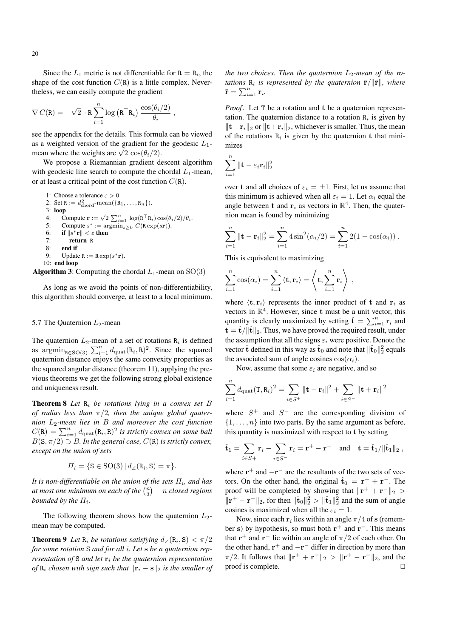Since the  $L_1$  metric is not differentiable for  $R = R_i$ , the shape of the cost function  $C(R)$  is a little complex. Nevertheless, we can easily compute the gradient

$$
\nabla C(\mathbf{R}) = -\sqrt{2} \cdot \mathbf{R} \sum_{i=1}^{n} \log (\mathbf{R}^{\top} \mathbf{R}_{i}) \frac{\cos(\theta_{i}/2)}{\theta_{i}} ,
$$

see the appendix for the details. This formula can be viewed as a weighted version of the gradient for the geodesic  $L_1$ as a weighted version of the gradient for the mean where the weights are  $\sqrt{2} \cos(\theta_i/2)$ .

We propose a Riemannian gradient descent algorithm with geodesic line search to compute the chordal  $L_1$ -mean, or at least a critical point of the cost function  $C(R)$ .

\n- 1: Choose a tolerance 
$$
\varepsilon > 0
$$
.
\n- 2: Set R :=  $d_{\text{chord}}^2$ -mean( $\{R_1, \ldots, R_n\}$ ).
\n- 3: **loop**
\n- 4: Compute  $\mathbf{r} := \sqrt{2} \sum_{i=1}^n \log(R^\top R_i) \cos(\theta_i/2)/\theta_i$ .
\n- 5: Compute  $s^* := \arg\min_{s \geq 0} C(\text{R} \exp(s\mathbf{r}))$ .
\n- 6: if  $\|s^*\mathbf{r}\| < \varepsilon$  then
\n- 7: return R
\n- 8: end if
\n- 9: Update R := Rexp(s^\*r).
\n- 10: end loop
\n- 10: end loop
\n

**Algorithm 3:** Computing the chordal  $L_1$ -mean on  $SO(3)$ 

As long as we avoid the points of non-differentiability, this algorithm should converge, at least to a local minimum.

## 5.7 The Quaternion  $L_2$ -mean

The quaternion  $L_2$ -mean of a set of rotations  $R_i$  is defined as  $\operatorname{argmin}_{R \in SO(3)} \sum_{i=1}^{n} d_{\text{quat}}(R_i, R)^2$ . Since the squared quaternion distance enjoys the same convexity properties as the squared angular distance (theorem 11), applying the previous theorems we get the following strong global existence and uniqueness result.

Theorem 8 *Let* R<sup>i</sup> *be rotations lying in a convex set* B *of radius less than* π/2*, then the unique global quaternion* L2*-mean lies in* B *and moreover the cost function*  $C(\mathbf{R}) = \sum_{i=1}^{n} d_{\text{quat}}(\mathbf{R}_i, \mathbf{R})^2$  is strictly convex on some ball  $B(\mathbf{S}, \pi/2) \supset B$ *. In the general case, C(R) is strictly convex, except on the union of sets*

$$
\Pi_i = \{ \mathbf{S} \in \text{SO}(3) \, | \, d_{\angle}(\mathbf{R}_i, \mathbf{S}) = \pi \}.
$$

It is non-differentiable on the union of the sets  $\Pi_i$ , and has at most one minimum on each of the  $\binom{n}{3}+n$  closed regions *bounded by the*  $\Pi_i$ .

The following theorem shows how the quaternion  $L_2$ mean may be computed.

**Theorem 9** Let  $R_i$  be rotations satisfying  $d_{\angle}(R_i, S) < \pi/2$ *for some rotation* S *and for all* i*. Let* s *be a quaternion representation of* S *and let*  $\mathbf{r}_i$  *be the quaternion representation of*  $R_i$  *chosen with sign such that*  $\|\mathbf{r}_i - \mathbf{s}\|_2$  *is the smaller of*  *the two choices. Then the quaternion*  $L_2$ *-mean of the rotations*  $R_i$  *is represented by the quaternion*  $\bar{r}/\|\bar{r}\|$ *, where*  $\bar{\mathbf{r}} = \sum_{i=1}^n \mathbf{r}_i$ .

*Proof.* Let T be a rotation and t be a quaternion representation. The quaternion distance to a rotation  $R_i$  is given by  $\|\mathbf{t}-\mathbf{r}_i\|_2$  or  $\|\mathbf{t}+\mathbf{r}_i\|_2$ , whichever is smaller. Thus, the mean of the rotations  $R_i$  is given by the quaternion t that minimizes

$$
\sum_{i=1}^n \|\mathbf{t} - \varepsilon_i \mathbf{r}_i\|_2^2
$$

over t and all choices of  $\varepsilon_i = \pm 1$ . First, let us assume that this minimum is achieved when all  $\varepsilon_i = 1$ . Let  $\alpha_i$  equal the angle between **t** and  $\mathbf{r}_i$  as vectors in  $\mathbb{R}^4$ . Then, the quaternion mean is found by minimizing

$$
\sum_{i=1}^{n} \|\mathbf{t} - \mathbf{r}_i\|_2^2 = \sum_{i=1}^{n} 4 \sin^2(\alpha_i/2) = \sum_{i=1}^{n} 2(1 - \cos(\alpha_i)).
$$

This is equivalent to maximizing

$$
\sum_{i=1}^{n} \cos(\alpha_i) = \sum_{i=1}^{n} \langle \mathbf{t}, \mathbf{r}_i \rangle = \left\langle \mathbf{t}, \sum_{i=1}^{n} \mathbf{r}_i \right\rangle ,
$$

where  $\langle \mathbf{t}, \mathbf{r}_i \rangle$  represents the inner product of t and  $\mathbf{r}_i$  as vectors in  $\mathbb{R}^4$ . However, since t must be a unit vector, this quantity is clearly maximized by setting  $\hat{\mathbf{t}} = \sum_{i=1}^{n} \mathbf{r}_i$  and  $\mathbf{t} = \hat{\mathbf{t}} / ||\hat{\mathbf{t}}||_2$ . Thus, we have proved the required result, under the assumption that all the signs  $\varepsilon_i$  were positive. Denote the vector  $\hat{\mathbf{t}}$  defined in this way as  $\hat{\mathbf{t}}_0$  and note that  $\|\hat{\mathbf{t}}_0\|_2^2$  equals the associated sum of angle cosines  $cos(\alpha_i)$ .

Now, assume that some  $\varepsilon_i$  are negative, and so

$$
\sum_{i=1}^{n} d_{\text{quat}}(\mathbf{T}, \mathbf{R}_i)^2 = \sum_{i \in S^+} ||\mathbf{t} - \mathbf{r}_i||^2 + \sum_{i \in S^-} ||\mathbf{t} + \mathbf{r}_i||^2
$$

where  $S^+$  and  $S^-$  are the corresponding division of  $\{1, \ldots, n\}$  into two parts. By the same argument as before, this quantity is maximized with respect to t by setting

$$
\hat{\mathbf{t}}_1 = \sum_{i \in S+} \mathbf{r}_i - \sum_{i \in S^-} \mathbf{r}_i = \mathbf{r}^+ - \mathbf{r}^-
$$
 and  $\mathbf{t} = \hat{\mathbf{t}}_1 / ||\hat{\mathbf{t}}_1||_2$ ,

where  $\mathbf{r}^+$  and  $-\mathbf{r}^-$  are the resultants of the two sets of vectors. On the other hand, the original  $\hat{\mathbf{t}}_0 = \mathbf{r}^+ + \mathbf{r}^-$ . The proof will be completed by showing that  $\|\mathbf{r}^+ + \mathbf{r}^-\|_2 >$  $\|\mathbf{r}^+ - \mathbf{r}^-\|_2$ , for then  $\|\hat{\mathbf{t}}_0\|_2^2 > \|\hat{\mathbf{t}}_1\|_2^2$  and the sum of angle cosines is maximized when all the  $\varepsilon_i = 1$ .

Now, since each  $r_i$  lies within an angle  $\pi/4$  of s (remember s) by hypothesis, so must both  $r^+$  and  $r^-$ . This means that  $\mathbf{r}^+$  and  $\mathbf{r}^-$  lie within an angle of  $\pi/2$  of each other. On the other hand,  $\mathbf{r}^+$  and  $-\mathbf{r}^-$  differ in direction by more than  $\pi/2$ . It follows that  $\|\mathbf{r}^+ + \mathbf{r}^-\|_2 > \|\mathbf{r}^+ - \mathbf{r}^-\|_2$ , and the proof is complete.  $\Box$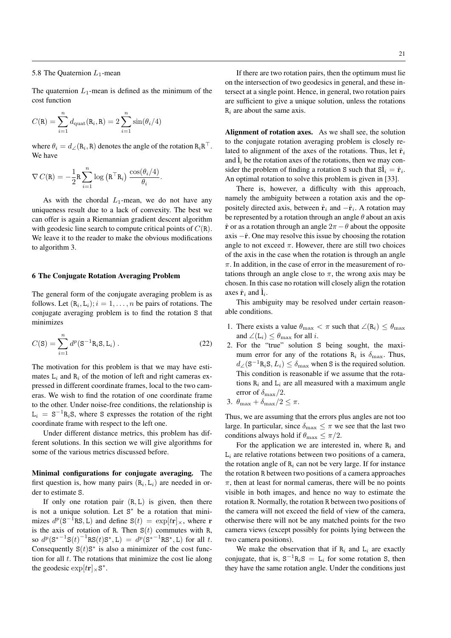## 5.8 The Quaternion  $L_1$ -mean

The quaternion  $L_1$ -mean is defined as the minimum of the cost function

$$
C(\mathbf{R}) = \sum_{i=1}^{n} d_{\text{quat}}(\mathbf{R}_i, \mathbf{R}) = 2 \sum_{i=1}^{n} \sin(\theta_i/4)
$$

where  $\theta_i = d_{\angle}(\mathbf{R}_i, \mathbf{R})$  denotes the angle of the rotation  $\mathbf{R}_i \mathbf{R}^{\top}$ . We have

.

$$
\nabla C(\mathbf{R}) = -\frac{1}{2}\mathbf{R} \sum_{i=1}^{n} \log (\mathbf{R}^{\top} \mathbf{R}_{i}) \frac{\cos(\theta_{i}/4)}{\theta_{i}}
$$

As with the chordal  $L_1$ -mean, we do not have any uniqueness result due to a lack of convexity. The best we can offer is again a Riemannian gradient descent algorithm with geodesic line search to compute critical points of  $C(R)$ . We leave it to the reader to make the obvious modifications to algorithm 3.

#### 6 The Conjugate Rotation Averaging Problem

The general form of the conjugate averaging problem is as follows. Let  $(R_i, L_i); i = 1, ..., n$  be pairs of rotations. The conjugate averaging problem is to find the rotation S that minimizes

$$
C(S) = \sum_{i=1}^{n} d^{p}(S^{-1}R_{i}S, L_{i}).
$$
 (22)

The motivation for this problem is that we may have estimates  $L_i$  and  $R_i$  of the motion of left and right cameras expressed in different coordinate frames, local to the two cameras. We wish to find the rotation of one coordinate frame to the other. Under noise-free conditions, the relationship is  $L_i = S^{-1}R_iS$ , where S expresses the rotation of the right coordinate frame with respect to the left one.

Under different distance metrics, this problem has different solutions. In this section we will give algorithms for some of the various metrics discussed before.

Minimal configurations for conjugate averaging. The first question is, how many pairs  $(R_i, L_i)$  are needed in order to estimate S.

If only one rotation pair  $(R, L)$  is given, then there is not a unique solution. Let  $S^*$  be a rotation that minimizes  $d^p(S^{-1}RS, L)$  and define  $S(t) = \exp[tr]_{\times}$ , where r is the axis of rotation of R. Then  $S(t)$  commutes with R, so  $d^p(S^{*-1}S(t))^{-1}RS(t)S^*, L) = d^p(S^{*-1}RS^*, L)$  for all t. Consequently  $S(t)S^*$  is also a minimizer of the cost function for all  $t$ . The rotations that minimize the cost lie along the geodesic  $\exp[$ tr $]_{\times}$ S<sup>\*</sup>.

If there are two rotation pairs, then the optimum must lie on the intersection of two geodesics in general, and these intersect at a single point. Hence, in general, two rotation pairs are sufficient to give a unique solution, unless the rotations  $R_i$  are about the same axis.

Alignment of rotation axes. As we shall see, the solution to the conjugate rotation averaging problem is closely related to alignment of the axes of the rotations. Thus, let  $\hat{\mathbf{r}}_i$ and  $\hat{\mathbf{l}}_i$  be the rotation axes of the rotations, then we may consider the problem of finding a rotation S such that  $\hat{\textbf{Sl}}_i = \hat{\textbf{r}}_i$ . An optimal rotation to solve this problem is given in [33].

There is, however, a difficulty with this approach, namely the ambiguity between a rotation axis and the oppositely directed axis, between  $\hat{\mathbf{r}}_i$  and  $-\hat{\mathbf{r}}_i$ . A rotation may be represented by a rotation through an angle  $\theta$  about an axis  $\hat{\bf r}$  or as a rotation through an angle  $2\pi - \theta$  about the opposite axis  $-\hat{\bf r}$ . One may resolve this issue by choosing the rotation angle to not exceed  $\pi$ . However, there are still two choices of the axis in the case when the rotation is through an angle  $\pi$ . In addition, in the case of error in the measurement of rotations through an angle close to  $\pi$ , the wrong axis may be chosen. In this case no rotation will closely align the rotation axes  $\hat{\mathbf{r}}_i$  and  $\hat{\mathbf{l}}_i$ .

This ambiguity may be resolved under certain reasonable conditions.

- 1. There exists a value  $\theta_{\text{max}} < \pi$  such that  $\angle(\mathbf{R}_i) \leq \theta_{\text{max}}$ and  $\angle$ (L<sub>i</sub>)  $\leq \theta_{\text{max}}$  for all *i*.
- 2. For the "true" solution S being sought, the maximum error for any of the rotations  $R_i$  is  $\delta_{\text{max}}$ . Thus,  $d_{\angle}(\mathbf{S}^{-1}\mathbf{R}_i\mathbf{S}, L_i) \le \delta_{\text{max}}$  when S is the required solution. This condition is reasonable if we assume that the rotations  $R_i$  and  $L_i$  are all measured with a maximum angle error of  $\delta_{\rm max}/2$ .
- 3.  $\theta_{\text{max}} + \delta_{\text{max}}/2 \leq \pi$ .

Thus, we are assuming that the errors plus angles are not too large. In particular, since  $\delta_{\text{max}} \leq \pi$  we see that the last two conditions always hold if  $\theta_{\text{max}} \leq \pi/2$ .

For the application we are interested in, where  $R_i$  and  $L_i$  are relative rotations between two positions of a camera, the rotation angle of  $R_i$  can not be very large. If for instance the rotation R between two positions of a camera approaches  $\pi$ , then at least for normal cameras, there will be no points visible in both images, and hence no way to estimate the rotation R. Normally, the rotation R between two positions of the camera will not exceed the field of view of the camera, otherwise there will not be any matched points for the two camera views (except possibly for points lying between the two camera positions).

We make the observation that if  $R_i$  and  $L_i$  are exactly conjugate, that is,  $S^{-1}R_iS = L_i$  for some rotation S, then they have the same rotation angle. Under the conditions just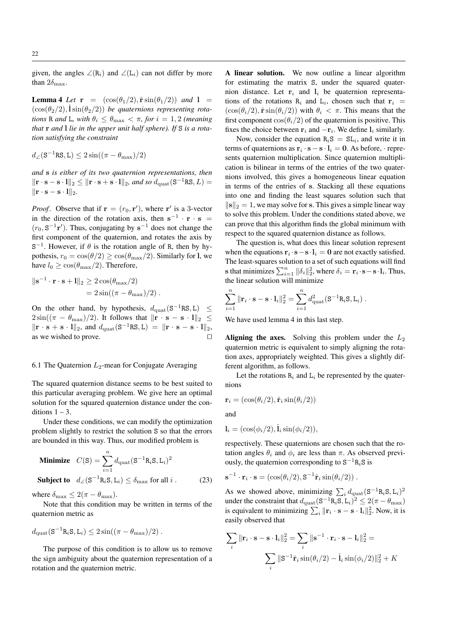given, the angles  $\angle(\mathbf{R}_i)$  and  $\angle(\mathbf{L}_i)$  can not differ by more than  $2\delta_{\text{max}}$ .

**Lemma 4** *Let*  $\mathbf{r} = (\cos(\theta_1/2), \hat{\mathbf{r}} \sin(\theta_1/2))$  *and*  $\mathbf{l} =$  $(\cos(\theta_2/2), \hat{\mathbf{l}}\sin(\theta_2/2))$  *be quaternions representing rotations* R *and* L, with  $\theta_i \leq \theta_{\text{max}} < \pi$ , for  $i = 1, 2$  (meaning *that* r *and* l *lie in the upper unit half sphere). If* S *is a rotation satisfying the constraint*

$$
d_{\angle}(\mathbf{S}^{-1}\mathbf{RS},\mathbf{L}) \leq 2\sin((\pi-\theta_{\max})/2)
$$

*and* s *is either of its two quaternion representations, then*  $\|\mathbf{r} \cdot \mathbf{s} - \mathbf{s} \cdot \mathbf{l}\|_2 \leq \|\mathbf{r} \cdot \mathbf{s} + \mathbf{s} \cdot \mathbf{l}\|_2$ *, and so*  $d_{\text{quat}}(\mathbf{S}^{-1} \text{RS}, L) =$  $\|\mathbf{r} \cdot \mathbf{s} - \mathbf{s} \cdot \mathbf{l}\|_2.$ 

*Proof.* Observe that if  $\mathbf{r} = (r_0, \mathbf{r}')$ , where  $\mathbf{r}'$  is a 3-vector in the direction of the rotation axis, then  $s^{-1} \cdot r \cdot s =$  $(r_0, S^{-1}r')$ . Thus, conjugating by  $s^{-1}$  does not change the first component of the quaternion, and rotates the axis by  $S^{-1}$ . However, if  $\theta$  is the rotation angle of R, then by hypothesis,  $r_0 = \cos(\theta/2) \ge \cos(\theta_{\text{max}}/2)$ . Similarly for l, we have  $l_0 \geq \cos(\theta_{\text{max}}/2)$ . Therefore,

$$
\|\mathbf{s}^{-1}\cdot\mathbf{r}\cdot\mathbf{s} + \mathbf{l}\|_2 \ge 2\cos(\theta_{\text{max}}/2)
$$
  
=  $2\sin((\pi - \theta_{\text{max}})/2).$ 

On the other hand, by hypothesis,  $d_{\text{quat}}(S^{-1}RS, L) \leq$  $2\sin((\pi - \theta_{\text{max}})/2)$ . It follows that  $\|\mathbf{r} \cdot \mathbf{s} - \mathbf{s} \cdot \mathbf{l}\|_2 \leq$  $\|\mathbf{r} \cdot \mathbf{s} + \mathbf{s} \cdot \mathbf{l}\|_2$ , and  $d_{\text{quat}}(\mathbf{S}^{-1} \text{RS}, \mathbf{L}) = \|\mathbf{r} \cdot \mathbf{s} - \mathbf{s} \cdot \mathbf{l}\|_2$ , as we wished to prove.  $\Box$ 

## 6.1 The Quaternion  $L_2$ -mean for Conjugate Averaging

The squared quaternion distance seems to be best suited to this particular averaging problem. We give here an optimal solution for the squared quaternion distance under the conditions  $1 - 3$ .

Under these conditions, we can modify the optimization problem slightly to restrict the solution S so that the errors are bounded in this way. Thus, our modified problem is

**Minimize** 
$$
C(S) = \sum_{i=1}^{n} d_{\text{quat}}(S^{-1}R_iS, L_i)^2
$$
  
\n**Subject to**  $d_{\angle}(S^{-1}R_iS, L_i) \le \delta_{\text{max}}$  for all *i*. (23)

where  $\delta_{\text{max}} \leq 2(\pi - \theta_{\text{max}})$ .

Note that this condition may be written in terms of the quaternion metric as

$$
d_{\rm{quat}}(\mathbf{S}^{-1}\mathbf{R}_i\mathbf{S}, \mathbf{L}_i) \leq 2\sin((\pi - \theta_{\rm{max}})/2) .
$$

The purpose of this condition is to allow us to remove the sign ambiguity about the quaternion representation of a rotation and the quaternion metric.

A linear solution. We now outline a linear algorithm for estimating the matrix S, under the squared quaternion distance. Let  $r_i$  and  $l_i$  be quaternion representations of the rotations  $R_i$  and  $L_i$ , chosen such that  $r_i$  =  $(\cos(\theta_i/2), \hat{\mathbf{r}}\sin(\theta_i/2))$  with  $\theta_i < \pi$ . This means that the first component  $cos(\theta_i/2)$  of the quaternion is positive. This fixes the choice between  $r_i$  and  $-r_i$ . We define  $l_i$  similarly.

Now, consider the equation  $R_iS = SL_i$ , and write it in terms of quaternions as  $\mathbf{r}_i \cdot \mathbf{s} - \mathbf{s} \cdot \mathbf{l}_i = \mathbf{0}$ . As before,  $\cdot$  represents quaternion multiplication. Since quaternion multiplication is bilinear in terms of the entries of the two quaternions involved, this gives a homogeneous linear equation in terms of the entries of s. Stacking all these equations into one and finding the least squares solution such that  $\|\mathbf{s}\|_2 = 1$ , we may solve for s. This gives a simple linear way to solve this problem. Under the conditions stated above, we can prove that this algorithm finds the global minimum with respect to the squared quaternion distance as follows.

The question is, what does this linear solution represent when the equations  $\mathbf{r}_i \cdot \mathbf{s} - \mathbf{s} \cdot \mathbf{l}_i = \mathbf{0}$  are not exactly satisfied. The least-squares solution to a set of such equations will find s that minimizes  $\sum_{i=1}^{n} ||\delta_i||_2^2$ , where  $\delta_i = \mathbf{r}_i \cdot \mathbf{s} - \mathbf{s} \cdot \mathbf{l}_i$ . Thus, the linear solution will minimize

$$
\sum_{i=1}^n \|\mathbf{r}_i \cdot \mathbf{s} - \mathbf{s} \cdot \mathbf{l}_i\|_2^2 = \sum_{i=1}^n d_{\text{quat}}^2 (\mathbf{S}^{-1} \mathbf{R}_i \mathbf{S}, \mathbf{L}_i).
$$

We have used lemma 4 in this last step.

Aligning the axes. Solving this problem under the  $L_2$ quaternion metric is equivalent to simply aligning the rotation axes, appropriately weighted. This gives a slightly different algorithm, as follows.

Let the rotations  $R_i$  and  $L_i$  be represented by the quaternions

$$
\mathbf{r}_i = (\cos(\theta_i/2), \hat{\mathbf{r}}_i \sin(\theta_i/2))
$$

and

$$
\mathbf{l}_i = (\cos(\phi_i/2), \hat{\mathbf{l}}_i \sin(\phi_i/2)),
$$

respectively. These quaternions are chosen such that the rotation angles  $\theta_i$  and  $\phi_i$  are less than  $\pi$ . As observed previously, the quaternion corresponding to  $S^{-1}R_iS$  is

$$
\mathbf{s}^{-1} \cdot \mathbf{r}_i \cdot \mathbf{s} = (\cos(\theta_i/2), \mathbf{S}^{-1} \hat{\mathbf{r}}_i \sin(\theta_i/2)) \ .
$$

As we showed above, minimizing  $\sum_i d_{\text{quat}} (\mathbf{S}^{-1} \mathbf{R}_i \mathbf{S}, \mathbf{L}_i)^2$ under the constraint that  $d_{\text{quad}}(\mathbf{S}^{-1}\mathbf{R}_i\mathbf{S}, \mathbf{L}_i)^2 \leq 2(\pi - \theta_{\text{max}})$ is equivalent to minimizing  $\sum_i ||\mathbf{r}_i \cdot \mathbf{s} - \mathbf{s} \cdot \mathbf{l}_i||_2^2$ . Now, it is easily observed that

$$
\sum_{i} \|\mathbf{r}_{i} \cdot \mathbf{s} - \mathbf{s} \cdot \mathbf{l}_{i}\|_{2}^{2} = \sum_{i} \|\mathbf{s}^{-1} \cdot \mathbf{r}_{i} \cdot \mathbf{s} - \mathbf{l}_{i}\|_{2}^{2} =
$$

$$
\sum_{i} \|\mathbf{S}^{-1}\hat{\mathbf{r}}_{i}\sin(\theta_{i}/2) - \hat{\mathbf{l}}_{i}\sin(\phi_{i}/2)\|_{2}^{2} + K
$$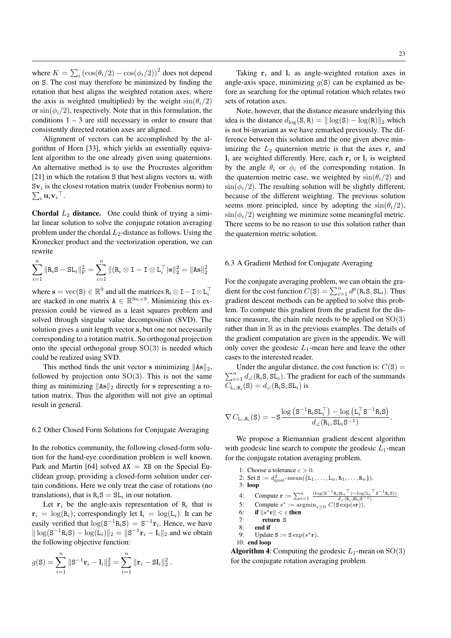where  $K = \sum_i (\cos(\theta_i/2) - \cos(\phi_i/2))^2$  does not depend on S. The cost may therefore be minimized by finding the rotation that best aligns the weighted rotation axes, where the axis is weighted (multiplied) by the weight  $sin(\theta_i/2)$ or  $\sin(\phi_i/2)$ , respectively. Note that in this formulation, the conditions  $1 - 3$  are still necessary in order to ensure that consistently directed rotation axes are aligned.

Alignment of vectors can be accomplished by the algorithm of Horn [33], which yields an essentially equivalent algorithm to the one already given using quaternions. An alternative method is to use the Procrustes algorithm [21] in which the rotation S that best aligns vectors  $\mathbf{u}_i$  with  $sv_i$  is the closest rotation matrix (under Frobenius norm) to  $\sum_i \mathbf{u}_i{\mathbf{v}_i}^{\top}$ .

**Chordal**  $L_2$  **distance.** One could think of trying a similar linear solution to solve the conjugate rotation averaging problem under the chordal  $L_2$ -distance as follows. Using the Kronecker product and the vectorization operation, we can rewrite

$$
\sum_{i=1}^{n} ||R_iS - SL_i||_F^2 = \sum_{i=1}^{n} ||(R_i \otimes I - I \otimes L_i^{\top})S||_2^2 = ||As||_2^2
$$

where  $\mathbf{s} = \text{vec}(\mathbf{S}) \in \mathbb{R}^9$  and all the matrices  $\mathbf{R}_i \otimes \mathbf{I} - \mathbf{I} \otimes \mathbf{L}_i^\top$ are stacked in one matrix  $A \in \mathbb{R}^{9n \times 9}$ . Minimizing this expression could be viewed as a least squares problem and solved through singular value decomposition (SVD). The solution gives a unit length vector s, but one not necessarily corresponding to a rotation matrix. So orthogonal projection onto the special orthogonal group  $SO(3)$  is needed which could be realized using SVD.

This method finds the unit vector s minimizing  $\|\text{As}\|_2$ , followed by projection onto  $SO(3)$ . This is not the same thing as minimizing  $\|\text{As}\|_2$  directly for s representing a rotation matrix. Thus the algorithm will not give an optimal result in general.

# 6.2 Other Closed Form Solutions for Conjugate Averaging

In the robotics community, the following closed-form solution for the hand-eye coordination problem is well known. Park and Martin [64] solved  $AX = XB$  on the Special Euclidean group, providing a closed-form solution under certain conditions. Here we only treat the case of rotations (no translations), that is  $R_iS = SL_i$  in our notation.

Let  $r_i$  be the angle-axis representation of  $R_i$  that is  $\mathbf{r}_i = \log(\mathbf{R}_i)$ ; correspondingly let  $\mathbf{l}_i = \log(\mathbf{L}_i)$ . It can be easily verified that  $\log(S^{-1}R_iS) = S^{-1}r_i$ . Hence, we have  $\|\log(S^{-1}R_iS) - \log(L_i)\|_2 = \|S^{-1}r_i - l_i\|_2$  and we obtain the following objective function:

.

$$
g(\mathbf{S}) = \sum_{i=1}^{n} ||\mathbf{S}^{-1}\mathbf{r}_{i} - \mathbf{l}_{i}||_{2}^{2} = \sum_{i=1}^{n} ||\mathbf{r}_{i} - \mathbf{S}\mathbf{l}_{i}||_{2}^{2}
$$

Taking  $r_i$  and  $l_i$  as angle-weighted rotation axes in angle-axis space, minimizing  $q(S)$  can be explained as before as searching for the optimal rotation which relates two sets of rotation axes.

Note, however, that the distance measure underlying this idea is the distance  $d_{\text{log}}(S, R) = || \log(S) - \log(R)||_2$  which is not bi-invariant as we have remarked previously. The difference between this solution and the one given above minimizing the  $L_2$  quaternion metric is that the axes  $r_i$  and  $l_i$  are weighted differently. Here, each  $r_i$  or  $l_i$  is weighted by the angle  $\theta_i$  or  $\phi_i$  of the corresponding rotation. In the quaternion metric case, we weighted by  $sin(\theta_i/2)$  and  $\sin(\phi_i/2)$ . The resulting solution will be slightly different, because of the different weighting. The previous solution seems more principled, since by adopting the  $sin(\theta_i/2)$ ,  $\sin(\phi_i/2)$  weighting we minimize some meaningful metric. There seems to be no reason to use this solution rather than the quaternion metric solution.

# 6.3 A Gradient Method for Conjugate Averaging

For the conjugate averaging problem, we can obtain the gradient for the cost function  $C(S) = \sum_{i=1}^{n} d^{p}(\text{R}_{i}, \text{S}, \text{SL}_{i})$ . Thus gradient descent methods can be applied to solve this problem. To compute this gradient from the gradient for the distance measure, the chain rule needs to be applied on  $SO(3)$ rather than in  $\mathbb R$  as in the previous examples. The details of the gradient computation are given in the appendix. We will only cover the geodesic  $L_1$ -mean here and leave the other cases to the interested reader.

 $\sum_{i=1}^{n} d_{\angle}$ (R<sub>i</sub>S, SL<sub>i</sub>). The gradient for each of the summands Under the angular distance, the cost function is:  $C(S)$  =  $C_{\text{L}_i,\text{R}_i}(\text{S}) = d_{\angle}(\text{R}_i\text{S},\text{SL}_i)$  is

$$
\nabla C_{\mathrm{L}_{i},\mathrm{R}_{i}}(\mathrm{S})=-\mathrm{S}\frac{\log\left(\mathrm{S}^{-1}\mathrm{R}_{i}\mathrm{SL}_{i}^{\top}\right)-\log\left(\mathrm{L}_{i}^{\top}\mathrm{S}^{-1}\mathrm{R}_{i}\mathrm{S}\right)}{d_{\angle}(\mathrm{R}_{i},\mathrm{SL}_{i}\mathrm{S}^{-1})}.
$$

We propose a Riemannian gradient descent algorithm with geodesic line search to compute the geodesic  $L_1$ -mean for the conjugate rotation averaging problem.

```
1: Choose a tolerance \varepsilon > 0.
  2: Set S := d_{\text{quat}}^2 \text{-mean}(\{L_1, \ldots, L_n, R_1, \ldots, R_n\}).
 3: loop
  4: Compute \mathbf{r} := \sum_{i=1}^{n} \frac{(\log(\mathbf{s}^{-1} \mathbf{R}_i \mathbf{S} \mathbf{L}_i \mathbf{I}) - \log(\mathbf{L}_i \mathbf{T} \mathbf{S}^{-1} \mathbf{R}_i \mathbf{S}))}{d_{\angle}(\mathbf{R}_i, \mathbf{S} \mathbf{L}_i \mathbf{S}^{-1})}.5: Compute s^* := \operatorname{argmin}_{s \geq 0} C(\mathbf{S} \exp(s\mathbf{r})).6: if \|s^*\mathbf{r}\| < \varepsilon then
 7: return S<br>8: end if
             end if
  9: Update S := S \exp(s^*r).
10: end loop
```
**Algorithm 4:** Computing the geodesic  $L_1$ -mean on  $SO(3)$ for the conjugate rotation averaging problem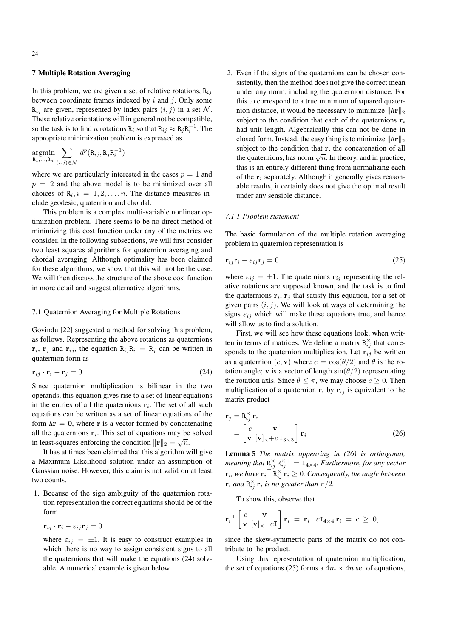# 7 Multiple Rotation Averaging

In this problem, we are given a set of relative rotations,  $R_{ij}$ between coordinate frames indexed by  $i$  and  $j$ . Only some  $R_{ij}$  are given, represented by index pairs  $(i, j)$  in a set N. These relative orientations will in general not be compatible, so the task is to find *n* rotations  $R_i$  so that  $R_{ij} \approx R_j R_i^{-1}$ . The appropriate minimization problem is expressed as

$$
\underset{\text{R}_1,\ldots,\text{R}_n}{\text{argmin}} \sum_{(i,j)\in\mathcal{N}} d^p(\text{R}_{ij},\text{R}_j\text{R}_i^{-1})
$$

where we are particularly interested in the cases  $p = 1$  and  $p = 2$  and the above model is to be minimized over all choices of  $R_i$ ,  $i = 1, 2, \ldots, n$ . The distance measures include geodesic, quaternion and chordal.

This problem is a complex multi-variable nonlinear optimization problem. There seems to be no direct method of minimizing this cost function under any of the metrics we consider. In the following subsections, we will first consider two least squares algorithms for quaternion averaging and chordal averaging. Although optimality has been claimed for these algorithms, we show that this will not be the case. We will then discuss the structure of the above cost function in more detail and suggest alternative algorithms.

## 7.1 Quaternion Averaging for Multiple Rotations

Govindu [22] suggested a method for solving this problem, as follows. Representing the above rotations as quaternions  ${\bf r}_i$ ,  ${\bf r}_j$  and  ${\bf r}_{ij}$ , the equation  ${\bf R}_{ij} {\bf R}_i = {\bf R}_j$  can be written in quaternion form as

$$
\mathbf{r}_{ij} \cdot \mathbf{r}_i - \mathbf{r}_j = 0 \tag{24}
$$

Since quaternion multiplication is bilinear in the two operands, this equation gives rise to a set of linear equations in the entries of all the quaternions  $r_i$ . The set of all such equations can be written as a set of linear equations of the form  $Ar = 0$ , where r is a vector formed by concatenating all the quaternions  $\mathbf{r}_i$ . This set of equations may be solved in least-squares enforcing the condition  $\|\mathbf{r}\|_2 = \sqrt{n}$ .

It has at times been claimed that this algorithm will give a Maximum Likelihood solution under an assumption of Gaussian noise. However, this claim is not valid on at least two counts.

1. Because of the sign ambiguity of the quaternion rotation representation the correct equations should be of the form

$$
\mathbf{r}_{ij} \cdot \mathbf{r}_i - \varepsilon_{ij}\mathbf{r}_j = 0
$$

where  $\varepsilon_{ij} = \pm 1$ . It is easy to construct examples in which there is no way to assign consistent signs to all the quaternions that will make the equations (24) solvable. A numerical example is given below.

2. Even if the signs of the quaternions can be chosen consistently, then the method does not give the correct mean under any norm, including the quaternion distance. For this to correspond to a true minimum of squared quaternion distance, it would be necessary to minimize  $\|\text{Ar}\|_2$ subject to the condition that each of the quaternions  $r_i$ had unit length. Algebraically this can not be done in closed form. Instead, the easy thing is to minimize  $\|\text{Ar}\|_2$ subject to the condition that r, the concatenation of all the quaternions, has norm  $\sqrt{n}$ . In theory, and in practice, this is an entirely different thing from normalizing each of the  $r_i$  separately. Although it generally gives reasonable results, it certainly does not give the optimal result under any sensible distance.

## *7.1.1 Problem statement*

The basic formulation of the multiple rotation averaging problem in quaternion representation is

$$
\mathbf{r}_{ij}\mathbf{r}_i - \varepsilon_{ij}\mathbf{r}_j = 0 \tag{25}
$$

where  $\varepsilon_{ij} = \pm 1$ . The quaternions  $\mathbf{r}_{ij}$  representing the relative rotations are supposed known, and the task is to find the quaternions  $r_i$ ,  $r_j$  that satisfy this equation, for a set of given pairs  $(i, j)$ . We will look at ways of determining the signs  $\varepsilon_{ij}$  which will make these equations true, and hence will allow us to find a solution.

First, we will see how these equations look, when written in terms of matrices. We define a matrix  $R_{ij}^{\times}$  that corresponds to the quaternion multiplication. Let  $r_{ij}$  be written as a quaternion  $(c, \mathbf{v})$  where  $c = \cos(\theta/2)$  and  $\theta$  is the rotation angle; v is a vector of length  $sin(\theta/2)$  representating the rotation axis. Since  $\theta \leq \pi$ , we may choose  $c \geq 0$ . Then multiplication of a quaternion  $r_i$  by  $r_{ij}$  is equivalent to the matrix product

$$
\mathbf{r}_{j} = \mathbf{R}_{ij}^{\times} \mathbf{r}_{i}
$$
  
=  $\begin{bmatrix} c & -\mathbf{v}^{\top} \\ \mathbf{v} & [\mathbf{v}]_{\times} + c \mathbf{I}_{3 \times 3} \end{bmatrix} \mathbf{r}_{i}$  (26)

Lemma 5 *The matrix appearing in (26) is orthogonal,* meaning that  $R_{ij}^{\times} R_{ij}^{\times \top} = I_{4 \times 4}$ *. Furthermore, for any vector*  $\mathbf{r}_i$ , we have  $\mathbf{r}_i^\top \mathbf{R}_{ij}^\times \mathbf{r}_i \geq 0$ . Consequently, the angle between  $\mathbf{r}_i$  *and*  $\mathbf{R}_{ij}^{\times}$   $\mathbf{r}_i$  *is no greater than*  $\pi/2$ *.* 

To show this, observe that

$$
\mathbf{r}_{i}^{\top} \begin{bmatrix} c & -\mathbf{v}^{\top} \\ \mathbf{v} & [\mathbf{v}]_{\times} + c\mathbf{I} \end{bmatrix} \mathbf{r}_{i} = \mathbf{r}_{i}^{\top} c \mathbf{I}_{4 \times 4} \mathbf{r}_{i} = c \geq 0,
$$

since the skew-symmetric parts of the matrix do not contribute to the product.

Using this representation of quaternion multiplication, the set of equations (25) forms a  $4m \times 4n$  set of equations,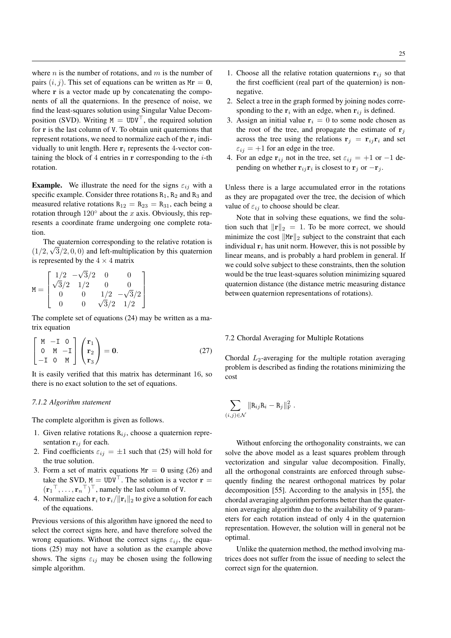where  $n$  is the number of rotations, and  $m$  is the number of pairs  $(i, j)$ . This set of equations can be written as  $Mr = 0$ , where r is a vector made up by concatenating the components of all the quaternions. In the presence of noise, we find the least-squares solution using Singular Value Decomposition (SVD). Writing  $M = UDV^{\top}$ , the required solution for r is the last column of V. To obtain unit quaternions that represent rotations, we need to normalize each of the  $r_i$  individually to unit length. Here  $r_i$  represents the 4-vector containing the block of 4 entries in  $r$  corresponding to the  $i$ -th rotation.

**Example.** We illustrate the need for the signs  $\varepsilon_{ij}$  with a specific example. Consider three rotations  $R_1$ ,  $R_2$  and  $R_3$  and measured relative rotations  $R_{12} = R_{23} = R_{31}$ , each being a rotation through  $120^\circ$  about the x axis. Obviously, this represents a coordinate frame undergoing one complete rotation.

The quaternion corresponding to the relative rotation is  $(1/2, \sqrt{3}/2, 0, 0)$  and left-multiplication by this quaternion is represented by the  $4 \times 4$  matrix

$$
M = \begin{bmatrix} 1/2 & -\sqrt{3}/2 & 0 & 0 \\ \sqrt{3}/2 & 1/2 & 0 & 0 \\ 0 & 0 & 1/2 & -\sqrt{3}/2 \\ 0 & 0 & \sqrt{3}/2 & 1/2 \end{bmatrix}
$$

The complete set of equations (24) may be written as a matrix equation

$$
\begin{bmatrix} M & -I & 0 \ 0 & M & -I \ -I & 0 & M \end{bmatrix} \begin{pmatrix} r_1 \ r_2 \ r_3 \end{pmatrix} = 0.
$$
 (27)

It is easily verified that this matrix has determinant 16, so there is no exact solution to the set of equations.

# *7.1.2 Algorithm statement*

The complete algorithm is given as follows.

- 1. Given relative rotations  $R_{ij}$ , choose a quaternion representation  $r_{ij}$  for each.
- 2. Find coefficients  $\varepsilon_{ij} = \pm 1$  such that (25) will hold for the true solution.
- 3. Form a set of matrix equations  $Mr = 0$  using (26) and take the SVD,  $M = UDV^{\top}$ . The solution is a vector  $r =$  $(\mathbf{r}_1^{\top}, \dots, \mathbf{r}_n^{\top})^{\top}$ , namely the last column of V.
- 4. Normalize each  $\mathbf{r}_i$  to  $\mathbf{r}_i/\|\mathbf{r}_i\|_2$  to give a solution for each of the equations.

Previous versions of this algorithm have ignored the need to select the correct signs here, and have therefore solved the wrong equations. Without the correct signs  $\varepsilon_{ij}$ , the equations (25) may not have a solution as the example above shows. The signs  $\varepsilon_{ij}$  may be chosen using the following simple algorithm.

- 1. Choose all the relative rotation quaternions  $r_{ij}$  so that the first coefficient (real part of the quaternion) is nonnegative.
- 2. Select a tree in the graph formed by joining nodes corresponding to the  $r_i$  with an edge, when  $r_{ij}$  is defined.
- 3. Assign an initial value  $r_i = 0$  to some node chosen as the root of the tree, and propagate the estimate of  $r_i$ across the tree using the relations  $\mathbf{r}_i = \mathbf{r}_{ij} \mathbf{r}_i$  and set  $\varepsilon_{ij} = +1$  for an edge in the tree.
- 4. For an edge  $\mathbf{r}_{ij}$  not in the tree, set  $\varepsilon_{ij} = +1$  or  $-1$  depending on whether  $\mathbf{r}_{ij}\mathbf{r}_i$  is closest to  $\mathbf{r}_j$  or  $-\mathbf{r}_j$ .

Unless there is a large accumulated error in the rotations as they are propagated over the tree, the decision of which value of  $\varepsilon_{ij}$  to choose should be clear.

Note that in solving these equations, we find the solution such that  $\|\mathbf{r}\|_2 = 1$ . To be more correct, we should minimize the cost  $\|Mr\|_2$  subject to the constraint that each individual  $r_i$  has unit norm. However, this is not possible by linear means, and is probably a hard problem in general. If we could solve subject to these constraints, then the solution would be the true least-squares solution minimizing squared quaternion distance (the distance metric measuring distance between quaternion representations of rotations).

# 7.2 Chordal Averaging for Multiple Rotations

Chordal  $L_2$ -averaging for the multiple rotation averaging problem is described as finding the rotations minimizing the cost

$$
\sum_{(i,j)\in\mathcal{N}}\|\mathbf{R}_{ij}\mathbf{R}_{i}-\mathbf{R}_{j}\|_{\mathrm{F}}^{2}.
$$

Without enforcing the orthogonality constraints, we can solve the above model as a least squares problem through vectorization and singular value decomposition. Finally, all the orthogonal constraints are enforced through subsequently finding the nearest orthogonal matrices by polar decomposition [55]. According to the analysis in [55], the chordal averaging algorithm performs better than the quaternion averaging algorithm due to the availability of 9 parameters for each rotation instead of only 4 in the quaternion representation. However, the solution will in general not be optimal.

Unlike the quaternion method, the method involving matrices does not suffer from the issue of needing to select the correct sign for the quaternion.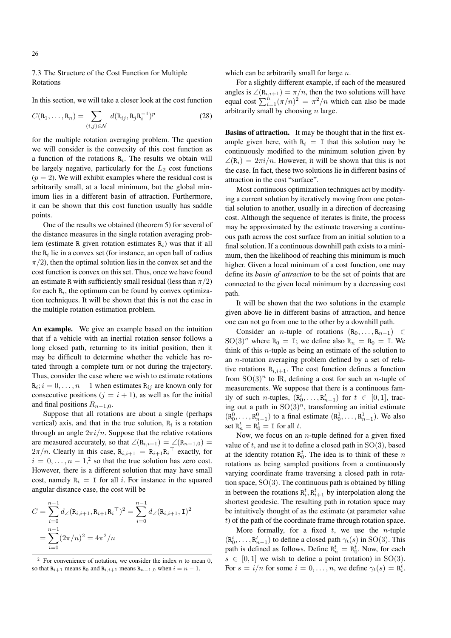# 7.3 The Structure of the Cost Function for Multiple Rotations

In this section, we will take a closer look at the cost function

$$
C(\mathbf{R}_1,\ldots,\mathbf{R}_n)=\sum_{(i,j)\in\mathcal{N}}d(\mathbf{R}_{ij},\mathbf{R}_j\mathbf{R}_i^{-1})^p
$$
 (28)

for the multiple rotation averaging problem. The question we will consider is the convexity of this cost function as a function of the rotations  $R_i$ . The results we obtain will be largely negative, particularly for the  $L_2$  cost functions  $(p = 2)$ . We will exhibit examples where the residual cost is arbitrarily small, at a local minimum, but the global minimum lies in a different basin of attraction. Furthermore, it can be shown that this cost function usually has saddle points.

One of the results we obtained (theorem 5) for several of the distance measures in the single rotation averaging problem (estimate R given rotation estimates  $R_i$ ) was that if all the  $R_i$  lie in a convex set (for instance, an open ball of radius  $\pi/2$ , then the optimal solution lies in the convex set and the cost function is convex on this set. Thus, once we have found an estimate R with sufficiently small residual (less than  $\pi/2$ ) for each  $R_i$ , the optimum can be found by convex optimization techniques. It will be shown that this is not the case in the multiple rotation estimation problem.

An example. We give an example based on the intuition that if a vehicle with an inertial rotation sensor follows a long closed path, returning to its initial position, then it may be difficult to determine whether the vehicle has rotated through a complete turn or not during the trajectory. Thus, consider the case where we wish to estimate rotations  $\mathbf{R}_i$ ;  $i = 0, \dots, n - 1$  when estimates  $\mathbf{R}_{ij}$  are known only for consecutive positions ( $j = i + 1$ ), as well as for the initial and final positions  $R_{n-1,0}$ .

Suppose that all rotations are about a single (perhaps vertical) axis, and that in the true solution,  $R_i$  is a rotation through an angle  $2\pi i/n$ . Suppose that the relative rotations are measured accurately, so that  $\angle(R_{i,i+1}) = \angle(R_{n-1,0})$  =  $2\pi/n$ . Clearly in this case,  $R_{i,i+1} = R_{i+1}R_i^{\top}$  exactly, for  $i = 0, \ldots, n - 1$ <sup>2</sup> so that the true solution has zero cost. However, there is a different solution that may have small cost, namely  $R_i = I$  for all i. For instance in the squared angular distance case, the cost will be

$$
C = \sum_{i=0}^{n-1} d_{\angle}(\mathbf{R}_{i,i+1}, \mathbf{R}_{i+1} \mathbf{R}_{i}^{\top})^2 = \sum_{i=0}^{n-1} d_{\angle}(\mathbf{R}_{i,i+1}, \mathbf{I})^2
$$
  
= 
$$
\sum_{i=0}^{n-1} (2\pi/n)^2 = 4\pi^2/n
$$

which can be arbitrarily small for large  $n$ .

For a slightly different example, if each of the measured angles is  $\angle(\mathbf{R}_{i,i+1}) = \pi/n$ , then the two solutions will have equal cost  $\sum_{i=1}^{n} (\pi/n)^2 = \pi^2/n$  which can also be made arbitrarily small by choosing  $n$  large.

Basins of attraction. It may be thought that in the first example given here, with  $R_i = I$  that this solution may be continuously modified to the minimum solution given by  $\angle(\mathbf{R}_i) = 2\pi i/n$ . However, it will be shown that this is not the case. In fact, these two solutions lie in different basins of attraction in the cost "surface".

Most continuous optimization techniques act by modifying a current solution by iteratively moving from one potential solution to another, usually in a direction of decreasing cost. Although the sequence of iterates is finite, the process may be approximated by the estimate traversing a continuous path across the cost surface from an initial solution to a final solution. If a continuous downhill path exists to a minimum, then the likelihood of reaching this minimum is much higher. Given a local minimum of a cost function, one may define its *basin of attraction* to be the set of points that are connected to the given local minimum by a decreasing cost path.

It will be shown that the two solutions in the example given above lie in different basins of attraction, and hence one can not go from one to the other by a downhill path.

Consider an *n*-tuple of rotations  $(R_0, \ldots, R_{n-1}) \in$  $\text{SO}(3)^n$  where R<sub>0</sub> = I; we define also R<sub>n</sub> = R<sub>0</sub> = I. We think of this n-tuple as being an estimate of the solution to an n-rotation averaging problem defined by a set of relative rotations  $R_{i,i+1}$ . The cost function defines a function from  $SO(3)^n$  to IR, defining a cost for such an *n*-tuple of measurements. We suppose that there is a continuous family of such *n*-tuples,  $(R_0^t, \ldots, R_{n-1}^t)$  for  $t \in [0, 1]$ , tracing out a path in  $SO(3)^n$ , transforming an initial estimate  $(R_0^0, \ldots, R_{n-1}^0)$  to a final estimate  $(R_0^1, \ldots, R_{n-1}^1)$ . We also set  $R_n^t = R_0^t = I$  for all t.

Now, we focus on an *n*-tuple defined for a given fixed value of  $t$ , and use it to define a closed path in  $SO(3)$ , based at the identity rotation  $\mathbb{R}_0^t$ . The idea is to think of these n rotations as being sampled positions from a continuously varying coordinate frame traversing a closed path in rotation space,  $SO(3)$ . The continuous path is obtained by filling in between the rotations  $R_i^t, R_{i+1}^t$  by interpolation along the shortest geodesic. The resulting path in rotation space may be intuitively thought of as the estimate (at parameter value  $t$ ) of the path of the coordinate frame through rotation space.

More formally, for a fixed  $t$ , we use the *n*-tuple  $(R_0^t, \ldots, R_{n-1}^t)$  to define a closed path  $\gamma_t(s)$  in SO(3). This path is defined as follows. Define  $R_n^t = R_0^t$ . Now, for each  $s \in [0, 1]$  we wish to define a point (rotation) in SO(3). For  $s = i/n$  for some  $i = 0, ..., n$ , we define  $\gamma_t(s) = \mathbf{R}_i^t$ .

For convenience of notation, we consider the index  $n$  to mean 0, so that R<sub>i+1</sub> means R<sub>0</sub> and R<sub>i,i+1</sub> means R<sub>n−1,0</sub> when  $i = n - 1$ .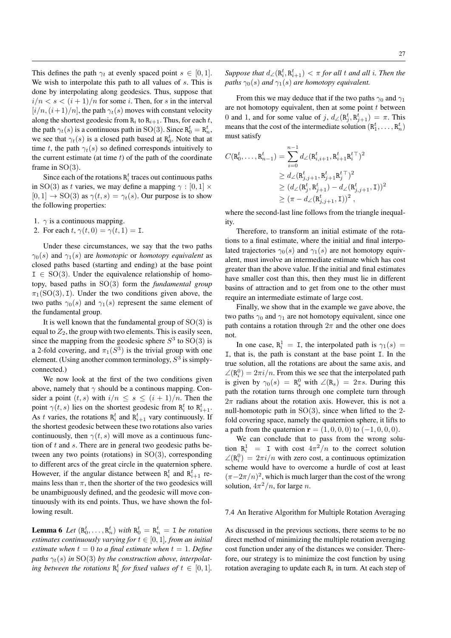This defines the path  $\gamma_t$  at evenly spaced point  $s \in [0,1]$ . We wish to interpolate this path to all values of s. This is done by interpolating along geodesics. Thus, suppose that  $i/n < s < (i+1)/n$  for some i. Then, for s in the interval  $[i/n,(i+1)/n]$ , the path  $\gamma_t(s)$  moves with constant velocity along the shortest geodesic from  $R_i$  to  $R_{i+1}$ . Thus, for each t, the path  $\gamma_t(s)$  is a continuous path in SO(3). Since  $R_0^t = R_n^t$ , we see that  $\gamma_t(s)$  is a closed path based at  $R_0^t$ . Note that at time t, the path  $\gamma_t(s)$  so defined corresponds intuitively to the current estimate (at time  $t$ ) of the path of the coordinate frame in  $SO(3)$ .

Since each of the rotations  $R_i^t$  traces out continuous paths in SO(3) as t varies, we may define a mapping  $\gamma : [0, 1] \times$  $[0, 1] \rightarrow SO(3)$  as  $\gamma(t, s) = \gamma_t(s)$ . Our purpose is to show the following properties:

- 1.  $\gamma$  is a continuous mapping.
- 2. For each  $t, \gamma(t, 0) = \gamma(t, 1) = I$ .

Under these circumstances, we say that the two paths  $\gamma_0(s)$  and  $\gamma_1(s)$  are *homotopic* or *homotopy equivalent* as closed paths based (starting and ending) at the base point  $I \in SO(3)$ . Under the equivalence relationship of homotopy, based paths in SO(3) form the *fundamental group*  $\pi_1(SO(3), I)$ . Under the two conditions given above, the two paths  $\gamma_0(s)$  and  $\gamma_1(s)$  represent the same element of the fundamental group.

It is well known that the fundamental group of  $SO(3)$  is equal to  $Z_2$ , the group with two elements. This is easily seen, since the mapping from the geodesic sphere  $S^3$  to  $SO(3)$  is a 2-fold covering, and  $\pi_1(S^3)$  is the trivial group with one element. (Using another common terminology,  $S<sup>3</sup>$  is simplyconnected.)

We now look at the first of the two conditions given above, namely that  $\gamma$  should be a continuous mapping. Consider a point  $(t, s)$  with  $i/n \leq s \leq (i + 1)/n$ . Then the point  $\gamma(t, s)$  lies on the shortest geodesic from  $R_i^t$  to  $R_{i+1}^t$ . As t varies, the rotations  $R_i^t$  and  $R_{i+1}^t$  vary continuously. If the shortest geodesic between these two rotations also varies continuously, then  $\gamma(t, s)$  will move as a continuous function of  $t$  and  $s$ . There are in general two geodesic paths between any two points (rotations) in  $SO(3)$ , corresponding to different arcs of the great circle in the quaternion sphere. However, if the angular distance between  $R_i^t$  and  $R_{i+1}^t$  remains less than  $\pi$ , then the shorter of the two geodesics will be unambiguously defined, and the geodesic will move continuously with its end points. Thus, we have shown the following result.

**Lemma 6** Let  $(R_0^t, \ldots, R_n^t)$  with  $R_0^t = R_n^t = I$  be rotation *estimates continuously varying for*  $t \in [0, 1]$ *, from an initial estimate when*  $t = 0$  *to a final estimate when*  $t = 1$ *. Define* paths  $\gamma_t(s)$  in SO(3) by the construction above, interpolating between the rotations  $R_i^t$  for fixed values of  $t \in [0,1]$ .

From this we may deduce that if the two paths  $\gamma_0$  and  $\gamma_1$ are not homotopy equivalent, then at some point  $t$  between 0 and 1, and for some value of j,  $d_{\angle}(\mathbf{R}_{j}^{t}, \mathbf{R}_{j+1}^{t}) = \pi$ . This means that the cost of the intermediate solution  $(R_1^t, \ldots, R_n^t)$ must satisfy

$$
C(\mathbf{R}_0^t, \dots, \mathbf{R}_{n-1}^t) = \sum_{i=0}^{n-1} d_{\angle}(\mathbf{R}_{i,i+1}^t, \mathbf{R}_{i+1}^t \mathbf{R}_i^{t\top})^2
$$
  
\n
$$
\geq d_{\angle}(\mathbf{R}_{j,j+1}^t, \mathbf{R}_{j+1}^t \mathbf{R}_j^{t\top})^2
$$
  
\n
$$
\geq (d_{\angle}(\mathbf{R}_j^t, \mathbf{R}_{j+1}^t) - d_{\angle}(\mathbf{R}_{j,j+1}^t, \mathbf{I}))^2
$$
  
\n
$$
\geq (\pi - d_{\angle}(\mathbf{R}_{j,j+1}^t, \mathbf{I}))^2,
$$

where the second-last line follows from the triangle inequality.

Therefore, to transform an initial estimate of the rotations to a final estimate, where the initial and final interpolated trajectories  $\gamma_0(s)$  and  $\gamma_1(s)$  are not homotopy equivalent, must involve an intermediate estimate which has cost greater than the above value. If the initial and final estimates have smaller cost than this, then they must lie in different basins of attraction and to get from one to the other must require an intermediate estimate of large cost.

Finally, we show that in the example we gave above, the two paths  $\gamma_0$  and  $\gamma_1$  are not homotopy equivalent, since one path contains a rotation through  $2\pi$  and the other one does not.

In one case,  $R_i^1 = I$ , the interpolated path is  $\gamma_1(s) =$ I, that is, the path is constant at the base point I. In the true solution, all the rotations are about the same axis, and  $\angle(\mathbf{R}_i^0) = 2\pi i/n$ . From this we see that the interpolated path is given by  $\gamma_0(s) = \mathbb{R}^0_s$  with  $\angle(\mathbb{R}_s) = 2\pi s$ . During this path the rotation turns through one complete turn through  $2\pi$  radians about the rotation axis. However, this is not a null-homotopic path in  $SO(3)$ , since when lifted to the 2fold covering space, namely the quaternion sphere, it lifts to a path from the quaternion  $r = (1, 0, 0, 0)$  to  $(-1, 0, 0, 0)$ .

We can conclude that to pass from the wrong solution  $R_i^1$  = I with cost  $4\pi^2/n$  to the correct solution  $\angle(\mathbf{R}_i^0) = 2\pi i/n$  with zero cost, a continuous optimization scheme would have to overcome a hurdle of cost at least  $(\pi-2\pi/n)^2$ , which is much larger than the cost of the wrong solution,  $4\pi^2/n$ , for large *n*.

# 7.4 An Iterative Algorithm for Multiple Rotation Averaging

As discussed in the previous sections, there seems to be no direct method of minimizing the multiple rotation averaging cost function under any of the distances we consider. Therefore, our strategy is to minimize the cost function by using rotation averaging to update each  $R_i$  in turn. At each step of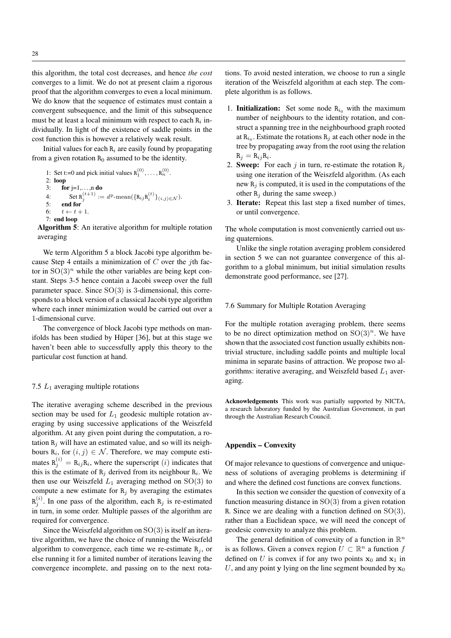this algorithm, the total cost decreases, and hence *the cost* converges to a limit. We do not at present claim a rigorous proof that the algorithm converges to even a local minimum. We do know that the sequence of estimates must contain a convergent subsequence, and the limit of this subsequence must be at least a local minimum with respect to each  $R_i$  individually. In light of the existence of saddle points in the cost function this is however a relatively weak result.

Initial values for each  $R_i$  are easily found by propagating from a given rotation  $R_0$  assumed to be the identity.

1: Set t:=0 and pick initial values  $R_1^{(0)}, \ldots, R_n^{(0)}$ . 2:  $loop$ <br>3:  $fo$  $\mathbf{f}$ or j=1,...,n do 4: Set  $R_j^{(t+1)} := d^p$ -mean $(\{R_{ij}R_i^{(t)}\}_{(i,j)\in\mathcal{N}})$ . 5: end for<br>6:  $t \leftarrow t +$  $t \leftarrow t + 1$ 7: end loop

Algorithm 5: An iterative algorithm for multiple rotation averaging

We term Algorithm 5 a block Jacobi type algorithm because Step 4 entails a minimization of  $C$  over the *i*th factor in  $SO(3)<sup>n</sup>$  while the other variables are being kept constant. Steps 3-5 hence contain a Jacobi sweep over the full parameter space. Since  $SO(3)$  is 3-dimensional, this corresponds to a block version of a classical Jacobi type algorithm where each inner minimization would be carried out over a 1-dimensional curve.

The convergence of block Jacobi type methods on manifolds has been studied by Hüper [36], but at this stage we haven't been able to successfully apply this theory to the particular cost function at hand.

# 7.5  $L_1$  averaging multiple rotations

The iterative averaging scheme described in the previous section may be used for  $L_1$  geodesic multiple rotation averaging by using successive applications of the Weiszfeld algorithm. At any given point during the computation, a rotation  $R_i$  will have an estimated value, and so will its neighbours  $R_i$ , for  $(i, j) \in \mathcal{N}$ . Therefore, we may compute estimates  $R_j^{(i)} = R_{ij}R_i$ , where the superscript (*i*) indicates that this is the estimate of  $R_j$  derived from its neighbour  $R_i$ . We then use our Weiszfeld  $L_1$  averaging method on  $SO(3)$  to compute a new estimate for  $R_i$  by averaging the estimates  $R_j^{(i)}$ . In one pass of the algorithm, each  $R_j$  is re-estimated in turn, in some order. Multiple passes of the algorithm are required for convergence.

Since the Weiszfeld algorithm on  $SO(3)$  is itself an iterative algorithm, we have the choice of running the Weiszfeld algorithm to convergence, each time we re-estimate  $R_i$ , or else running it for a limited number of iterations leaving the convergence incomplete, and passing on to the next rota-

tions. To avoid nested interation, we choose to run a single iteration of the Weiszfeld algorithm at each step. The complete algorithm is as follows.

- 1. **Initialization:** Set some node  $R_{i_0}$  with the maximum number of neighbours to the identity rotation, and construct a spanning tree in the neighbourhood graph rooted at  $\mathbb{R}_{i_0}$ . Estimate the rotations  $\mathbb{R}_j$  at each other node in the tree by propagating away from the root using the relation  $R_j = R_{ij}R_i.$
- 2. Sweep: For each j in turn, re-estimate the rotation  $R_i$ using one iteration of the Weiszfeld algorithm. (As each new  $R_i$  is computed, it is used in the computations of the other  $R_i$  during the same sweep.)
- 3. Iterate: Repeat this last step a fixed number of times, or until convergence.

The whole computation is most conveniently carried out using quaternions.

Unlike the single rotation averaging problem considered in section 5 we can not guarantee convergence of this algorithm to a global minimum, but initial simulation results demonstrate good performance, see [27].

## 7.6 Summary for Multiple Rotation Averaging

For the multiple rotation averaging problem, there seems to be no direct optimization method on  $SO(3)^n$ . We have shown that the associated cost function usually exhibits nontrivial structure, including saddle points and multiple local minima in separate basins of attraction. We propose two algorithms: iterative averaging, and Weiszfeld based  $L_1$  averaging.

Acknowledgements This work was partially supported by NICTA, a research laboratory funded by the Australian Government, in part through the Australian Research Council.

# Appendix – Convexity

Of major relevance to questions of convergence and uniqueness of solutions of averaging problems is determining if and where the defined cost functions are convex functions.

In this section we consider the question of convexity of a function measuring distance in  $SO(3)$  from a given rotation R. Since we are dealing with a function defined on  $SO(3)$ , rather than a Euclidean space, we will need the concept of geodesic convexity to analyze this problem.

The general definition of convexity of a function in  $\mathbb{R}^n$ is as follows. Given a convex region  $U \subset \mathbb{R}^n$  a function f defined on U is convex if for any two points  $x_0$  and  $x_1$  in U, and any point y lying on the line segment bounded by  $x_0$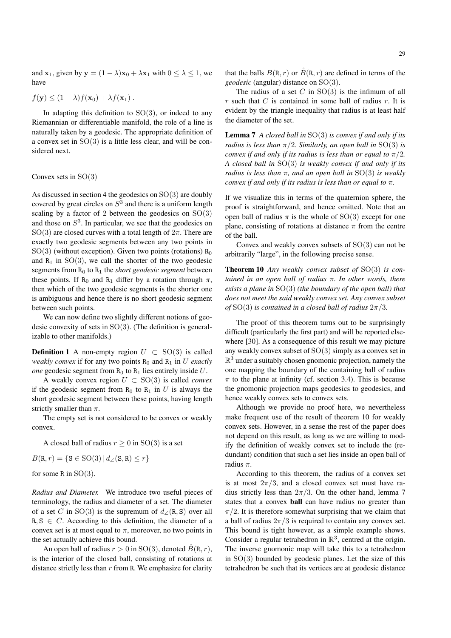and  $x_1$ , given by  $y = (1 - \lambda)x_0 + \lambda x_1$  with  $0 \le \lambda \le 1$ , we have

$$
f(\mathbf{y}) \le (1 - \lambda) f(\mathbf{x}_0) + \lambda f(\mathbf{x}_1).
$$

In adapting this definition to  $SO(3)$ , or indeed to any Riemannian or differentiable manifold, the role of a line is naturally taken by a geodesic. The appropriate definition of a convex set in  $SO(3)$  is a little less clear, and will be considered next.

## Convex sets in  $SO(3)$

As discussed in section 4 the geodesics on  $SO(3)$  are doubly covered by great circles on  $S<sup>3</sup>$  and there is a uniform length scaling by a factor of 2 between the geodesics on  $SO(3)$ and those on  $S<sup>3</sup>$ . In particular, we see that the geodesics on SO(3) are closed curves with a total length of  $2\pi$ . There are exactly two geodesic segments between any two points in  $SO(3)$  (without exception). Given two points (rotations)  $R_0$ and  $R_1$  in  $SO(3)$ , we call the shorter of the two geodesic segments from  $R_0$  to  $R_1$  the *short geodesic segment* between these points. If R<sub>0</sub> and R<sub>1</sub> differ by a rotation through  $\pi$ , then which of the two geodesic segments is the shorter one is ambiguous and hence there is no short geodesic segment between such points.

We can now define two slightly different notions of geodesic convexity of sets in  $SO(3)$ . (The definition is generalizable to other manifolds.)

**Definition 1** A non-empty region  $U \subset SO(3)$  is called *weakly convex* if for any two points  $R_0$  and  $R_1$  in U *exactly one* geodesic segment from  $R_0$  to  $R_1$  lies entirely inside U.

A weakly convex region  $U \subset SO(3)$  is called *convex* if the geodesic segment from  $R_0$  to  $R_1$  in U is always the short geodesic segment between these points, having length strictly smaller than  $\pi$ .

The empty set is not considered to be convex or weakly convex.

A closed ball of radius  $r \geq 0$  in SO(3) is a set

$$
B(\mathbf{R}, r) = \{ \mathbf{S} \in \text{SO}(3) \, | \, d_{\angle}(\mathbf{S}, \mathbf{R}) \le r \}
$$

for some R in  $SO(3)$ .

*Radius and Diameter.* We introduce two useful pieces of terminology, the radius and diameter of a set. The diameter of a set C in SO(3) is the supremum of  $d$  ∕(R, S) over all  $R, S \in C$ . According to this definition, the diameter of a convex set is at most equal to  $\pi$ , moreover, no two points in the set actually achieve this bound.

An open ball of radius  $r > 0$  in SO(3), denoted  $\tilde{B}(R, r)$ , is the interior of the closed ball, consisting of rotations at distance strictly less than  $r$  from R. We emphasize for clarity

that the balls  $B(R, r)$  or  $\check{B}(R, r)$  are defined in terms of the *geodesic* (angular) distance on SO(3).

The radius of a set  $C$  in  $SO(3)$  is the infimum of all  $r$  such that  $C$  is contained in some ball of radius  $r$ . It is evident by the triangle inequality that radius is at least half the diameter of the set.

Lemma 7 *A closed ball in* SO(3) *is convex if and only if its radius is less than*  $\pi/2$ *. Similarly, an open ball in* SO(3) *is convex if and only if its radius is less than or equal to*  $\pi/2$ *. A closed ball in* SO(3) *is weakly convex if and only if its radius is less than* π*, and an open ball in* SO(3) *is weakly convex if and only if its radius is less than or equal to* π*.*

If we visualize this in terms of the quaternion sphere, the proof is straightforward, and hence omitted. Note that an open ball of radius  $\pi$  is the whole of SO(3) except for one plane, consisting of rotations at distance  $\pi$  from the centre of the ball.

Convex and weakly convex subsets of SO(3) can not be arbitrarily "large", in the following precise sense.

Theorem 10 *Any weakly convex subset of* SO(3) *is contained in an open ball of radius* π*. In other words, there exists a plane in* SO(3) *(the boundary of the open ball) that does not meet the said weakly convex set. Any convex subset of* SO(3) *is contained in a closed ball of radius*  $2\pi/3$ *.* 

The proof of this theorem turns out to be surprisingly difficult (particularly the first part) and will be reported elsewhere [30]. As a consequence of this result we may picture any weakly convex subset of SO(3) simply as a convex set in  $\mathbb{R}^3$  under a suitably chosen gnomonic projection, namely the one mapping the boundary of the containing ball of radius  $\pi$  to the plane at infinity (cf. section 3.4). This is because the gnomonic projection maps geodesics to geodesics, and hence weakly convex sets to convex sets.

Although we provide no proof here, we nevertheless make frequent use of the result of theorem 10 for weakly convex sets. However, in a sense the rest of the paper does not depend on this result, as long as we are willing to modify the definition of weakly convex set to include the (redundant) condition that such a set lies inside an open ball of radius  $\pi$ .

According to this theorem, the radius of a convex set is at most  $2\pi/3$ , and a closed convex set must have radius strictly less than  $2\pi/3$ . On the other hand, lemma 7 states that a convex ball can have radius no greater than  $\pi/2$ . It is therefore somewhat surprising that we claim that a ball of radius  $2\pi/3$  is required to contain any convex set. This bound is tight however, as a simple example shows. Consider a regular tetrahedron in  $\mathbb{R}^3$ , centred at the origin. The inverse gnomonic map will take this to a tetrahedron in  $SO(3)$  bounded by geodesic planes. Let the size of this tetrahedron be such that its vertices are at geodesic distance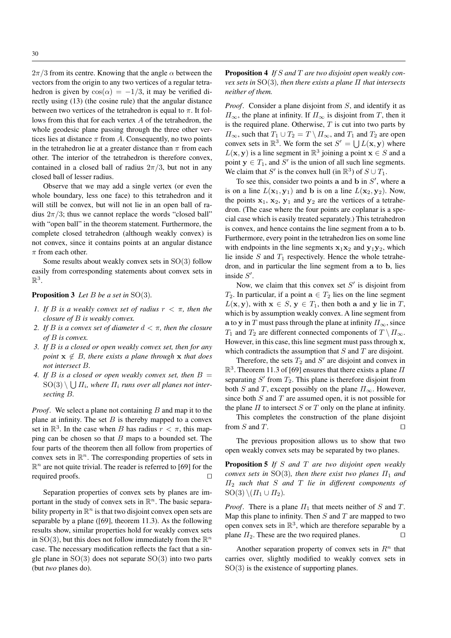$2\pi/3$  from its centre. Knowing that the angle  $\alpha$  between the vectors from the origin to any two vertices of a regular tetrahedron is given by  $cos(\alpha) = -1/3$ , it may be verified directly using (13) (the cosine rule) that the angular distance between two vertices of the tetrahedron is equal to  $\pi$ . It follows from this that for each vertex A of the tetrahedron, the whole geodesic plane passing through the three other vertices lies at distance  $\pi$  from A. Consequently, no two points in the tetrahedron lie at a greater distance than  $\pi$  from each other. The interior of the tetrahedron is therefore convex, contained in a closed ball of radius  $2\pi/3$ , but not in any closed ball of lesser radius.

Observe that we may add a single vertex (or even the whole boundary, less one face) to this tetrahedron and it will still be convex, but will not lie in an open ball of radius  $2\pi/3$ ; thus we cannot replace the words "closed ball" with "open ball" in the theorem statement. Furthermore, the complete closed tetrahedron (although weakly convex) is not convex, since it contains points at an angular distance  $\pi$  from each other.

Some results about weakly convex sets in SO(3) follow easily from corresponding statements about convex sets in  $\mathbb{R}^3$ .

# Proposition 3 *Let* B *be a set in* SO(3)*.*

- *1. If* B *is a weakly convex set of radius* r < π*, then the closure of* B *is weakly convex.*
- *2. If* B *is a convex set of diameter* d < π*, then the closure of* B *is convex.*
- *3. If* B *is a closed or open weakly convex set, then for any point*  $x \notin B$ *, there exists a plane through* x *that does not intersect* B*.*
- *4. If* B *is a closed or open weakly convex set, then* B =  ${\rm SO}(3) \setminus \bigcup \varPi_i$ , where  $\varPi_i$  runs over all planes not inter*secting* B*.*

*Proof.* We select a plane not containing B and map it to the plane at infinity. The set  $B$  is thereby mapped to a convex set in  $\mathbb{R}^3$ . In the case when B has radius  $r < \pi$ , this mapping can be chosen so that  $B$  maps to a bounded set. The four parts of the theorem then all follow from properties of convex sets in  $\mathbb{R}^n$ . The corresponding properties of sets in  $\mathbb{R}^n$  are not quite trivial. The reader is referred to [69] for the required proofs.  $\Box$ 

Separation properties of convex sets by planes are important in the study of convex sets in  $\mathbb{R}^n$ . The basic separability property in  $\mathbb{R}^n$  is that two disjoint convex open sets are separable by a plane ([69], theorem 11.3). As the following results show, similar properties hold for weakly convex sets in SO(3), but this does not follow immediately from the  $\mathbb{R}^n$ case. The necessary modification reflects the fact that a single plane in  $SO(3)$  does not separate  $SO(3)$  into two parts (but *two* planes do).

Proposition 4 *If* S *and* T *are two disjoint open weakly convex sets in* SO(3)*, then there exists a plane* Π *that intersects neither of them.*

*Proof*. Consider a plane disjoint from S, and identify it as  $\Pi_{\infty}$ , the plane at infinity. If  $\Pi_{\infty}$  is disjoint from T, then it is the required plane. Otherwise,  $T$  is cut into two parts by  $\Pi_{\infty}$ , such that  $T_1 \cup T_2 = T \setminus \Pi_{\infty}$ , and  $T_1$  and  $T_2$  are open convex sets in  $\mathbb{R}^3$ . We form the set  $S' = \bigcup L(\mathbf{x}, \mathbf{y})$  where  $L(\mathbf{x}, \mathbf{y})$  is a line segment in  $\mathbb{R}^3$  joining a point  $\mathbf{x} \in S$  and a point  $y \in T_1$ , and S' is the union of all such line segments. We claim that S' is the convex hull (in  $\mathbb{R}^3$ ) of  $S \cup T_1$ .

To see this, consider two points a and b in  $S'$ , where a is on a line  $L(\mathbf{x}_1, \mathbf{y}_1)$  and b is on a line  $L(\mathbf{x}_2, \mathbf{y}_2)$ . Now, the points  $x_1$ ,  $x_2$ ,  $y_1$  and  $y_2$  are the vertices of a tetrahedron. (The case where the four points are coplanar is a special case which is easily treated separately.) This tetrahedron is convex, and hence contains the line segment from a to b. Furthermore, every point in the tetrahedron lies on some line with endpoints in the line segments  $x_1x_2$  and  $y_1y_2$ , which lie inside  $S$  and  $T_1$  respectively. Hence the whole tetrahedron, and in particular the line segment from a to b, lies inside  $S'$ .

Now, we claim that this convex set  $S'$  is disjoint from  $T_2$ . In particular, if a point  $a \in T_2$  lies on the line segment  $L(\mathbf{x}, \mathbf{y})$ , with  $\mathbf{x} \in S$ ,  $\mathbf{y} \in T_1$ , then both a and y lie in T, which is by assumption weakly convex. A line segment from a to y in T must pass through the plane at infinity  $\Pi_{\infty}$ , since  $T_1$  and  $T_2$  are different connected components of  $T \setminus \Pi_{\infty}$ . However, in this case, this line segment must pass through x, which contradicts the assumption that  $S$  and  $T$  are disjoint.

Therefore, the sets  $T_2$  and  $S'$  are disjoint and convex in  $\mathbb{R}^3$ . Theorem 11.3 of [69] ensures that there exists a plane  $\Pi$ separating  $S'$  from  $T_2$ . This plane is therefore disjoint from both S and T, except possibly on the plane  $\Pi_{\infty}$ . However, since both  $S$  and  $T$  are assumed open, it is not possible for the plane  $\Pi$  to intersect  $S$  or  $T$  only on the plane at infinity.

This completes the construction of the plane disjoint from  $S$  and  $T$ .

The previous proposition allows us to show that two open weakly convex sets may be separated by two planes.

Proposition 5 *If* S *and* T *are two disjoint open weakly convex sets in* SO(3)*, then there exist two planes*  $\Pi_1$  *and* Π<sup>2</sup> *such that* S *and* T *lie in different components of*  $SO(3)\setminus (H_1\cup H_2)$ *.* 

*Proof.* There is a plane  $\Pi_1$  that meets neither of S and T. Map this plane to infinity. Then  $S$  and  $T$  are mapped to two open convex sets in  $\mathbb{R}^3$ , which are therefore separable by a plane  $\Pi_2$ . These are the two required planes.

Another separation property of convex sets in  $R<sup>n</sup>$  that carries over, slightly modified to weakly convex sets in  $SO(3)$  is the existence of supporting planes.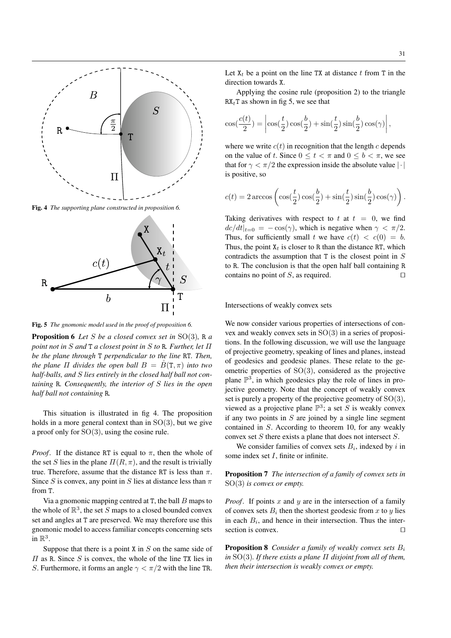

Fig. 4 *The supporting plane constructed in proposition 6.*



Fig. 5 *The gnomonic model used in the proof of proposition 6.*

Proposition 6 *Let* S *be a closed convex set in* SO(3)*,* R *a point not in* S *and* T *a closest point in* S *to* R*. Further, let* Π *be the plane through* T *perpendicular to the line* RT*. Then, the plane*  $\Pi$  *divides the open ball*  $B = \dot{B}(T, \pi)$  *into two half-balls, and* S *lies entirely in the closed half ball not containing* R*. Consequently, the interior of* S *lies in the open half ball not containing* R*.*

This situation is illustrated in fig 4. The proposition holds in a more general context than in  $SO(3)$ , but we give a proof only for SO(3), using the cosine rule.

*Proof.* If the distance RT is equal to  $\pi$ , then the whole of the set S lies in the plane  $\Pi(R, \pi)$ , and the result is trivially true. Therefore, assume that the distance RT is less than  $\pi$ . Since S is convex, any point in S lies at distance less than  $\pi$ from T.

Via a gnomonic mapping centred at  $T$ , the ball  $B$  maps to the whole of  $\mathbb{R}^3$ , the set S maps to a closed bounded convex set and angles at T are preserved. We may therefore use this gnomonic model to access familiar concepts concerning sets in  $\mathbb{R}^3$ .

Suppose that there is a point  $X$  in  $S$  on the same side of  $\Pi$  as R. Since S is convex, the whole of the line TX lies in S. Furthermore, it forms an angle  $\gamma < \pi/2$  with the line TR.

Let  $X_t$  be a point on the line TX at distance t from T in the direction towards X.

Applying the cosine rule (proposition 2) to the triangle  $RX_tT$  as shown in fig 5, we see that

$$
\cos(\frac{c(t)}{2}) = \left| \cos(\frac{t}{2}) \cos(\frac{b}{2}) + \sin(\frac{t}{2}) \sin(\frac{b}{2}) \cos(\gamma) \right|,
$$

where we write  $c(t)$  in recognition that the length c depends on the value of t. Since  $0 \le t < \pi$  and  $0 \le b < \pi$ , we see that for  $\gamma < \pi/2$  the expression inside the absolute value  $|\cdot|$ is positive, so

$$
c(t) = 2 \arccos \left( \cos(\frac{t}{2}) \cos(\frac{b}{2}) + \sin(\frac{t}{2}) \sin(\frac{b}{2}) \cos(\gamma) \right).
$$

Taking derivatives with respect to t at  $t = 0$ , we find  $\frac{dc}{dt}|_{t=0} = -\cos(\gamma)$ , which is negative when  $\gamma < \pi/2$ . Thus, for sufficiently small t we have  $c(t) < c(0) = b$ . Thus, the point  $X_t$  is closer to R than the distance RT, which contradicts the assumption that  $T$  is the closest point in  $S$ to R. The conclusion is that the open half ball containing R contains no point of  $S$ , as required.  $\square$ 

# Intersections of weakly convex sets

We now consider various properties of intersections of convex and weakly convex sets in SO(3) in a series of propositions. In the following discussion, we will use the language of projective geometry, speaking of lines and planes, instead of geodesics and geodesic planes. These relate to the geometric properties of SO(3), considered as the projective plane  $\mathbb{P}^3$ , in which geodesics play the role of lines in projective geometry. Note that the concept of weakly convex set is purely a property of the projective geometry of SO(3), viewed as a projective plane  $\mathbb{P}^3$ ; a set S is weakly convex if any two points in  $S$  are joined by a single line segment contained in S. According to theorem 10, for any weakly convex set  $S$  there exists a plane that does not intersect  $S$ .

We consider families of convex sets  $B_i$ , indexed by i in some index set *I*, finite or infinite.

Proposition 7 *The intersection of a family of convex sets in* SO(3) *is convex or empty.*

*Proof.* If points x and y are in the intersection of a family of convex sets  $B_i$  then the shortest geodesic from x to y lies in each  $B_i$ , and hence in their intersection. Thus the intersection is convex.  $\Box$ 

Proposition 8 *Consider a family of weakly convex sets* B<sup>i</sup> *in* SO(3)*. If there exists a plane* Π *disjoint from all of them, then their intersection is weakly convex or empty.*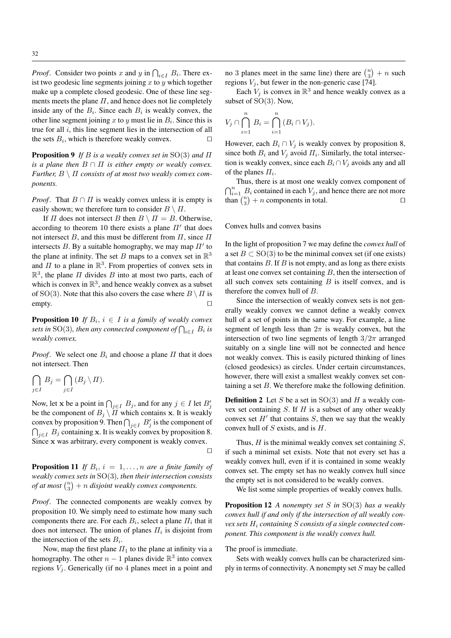*Proof.* Consider two points x and y in  $\bigcap_{i \in I} B_i$ . There exist two geodesic line segments joining  $x$  to  $y$  which together make up a complete closed geodesic. One of these line segments meets the plane  $\Pi$ , and hence does not lie completely inside any of the  $B_i$ . Since each  $B_i$  is weakly convex, the other line segment joining x to y must lie in  $B_i$ . Since this is true for all  $i$ , this line segment lies in the intersection of all the sets  $B_i$ , which is therefore weakly convex.

Proposition 9 *If* B *is a weakly convex set in* SO(3) *and* Π *is a plane then*  $B \cap \Pi$  *is either empty or weakly convex. Further,* B \ Π *consists of at most two weakly convex components.*

*Proof.* That  $B \cap \Pi$  is weakly convex unless it is empty is easily shown; we therefore turn to consider  $B \setminus \Pi$ .

If  $\Pi$  does not intersect  $B$  then  $B \setminus \Pi = B$ . Otherwise, according to theorem 10 there exists a plane  $\Pi'$  that does not intersect B, and this must be different from  $\Pi$ , since  $\Pi$ intersects  $B$ . By a suitable homography, we may map  $\Pi'$  to the plane at infinity. The set B maps to a convex set in  $\mathbb{R}^3$ and  $\Pi$  to a plane in  $\mathbb{R}^3$ . From properties of convex sets in  $\mathbb{R}^3$ , the plane  $\Pi$  divides  $B$  into at most two parts, each of which is convex in  $\mathbb{R}^3$ , and hence weakly convex as a subset of SO(3). Note that this also covers the case where  $B \setminus \Pi$  is  $\Box$ 

**Proposition 10** If  $B_i$ ,  $i \in I$  is a family of weakly convex sets in SO(3), then any connected component of  $\bigcap_{i\in I}\, B_i$  is *weakly convex.*

*Proof.* We select one  $B_i$  and choose a plane  $\Pi$  that it does not intersect. Then

$$
\bigcap_{j\in I} B_j = \bigcap_{j\in I} (B_j \setminus \Pi).
$$

Now, let x be a point in  $\bigcap_{j\in I} B_j$ , and for any  $j \in I$  let  $B'_j$ be the component of  $B_j \setminus \overline{II}$  which contains x. It is weakly convex by proposition 9. Then  $\bigcap_{j\in I} B'_j$  is the component of  $\bigcap_{j\in I} B_j$  containing x. It is weakly convex by proposition 8. Since x was arbitrary, every component is weakly convex.

 $\Box$ 

**Proposition 11** If  $B_i$ ,  $i = 1, \ldots, n$  are a finite family of *weakly convex sets in* SO(3)*, then their intersection consists of at most*  $\binom{n}{3} + n$  *disjoint weakly convex components.* 

*Proof*. The connected components are weakly convex by proposition 10. We simply need to estimate how many such components there are. For each  $B_i$ , select a plane  $\Pi_i$  that it does not intersect. The union of planes  $\Pi_i$  is disjoint from the intersection of the sets  $B_i$ .

Now, map the first plane  $\Pi_1$  to the plane at infinity via a homography. The other  $n-1$  planes divide  $\mathbb{R}^3$  into convex regions  $V_i$ . Generically (if no 4 planes meet in a point and

no 3 planes meet in the same line) there are  $\binom{n}{3} + n$  such regions  $V_i$ , but fewer in the non-generic case [74].

Each  $V_j$  is convex in  $\mathbb{R}^3$  and hence weakly convex as a subset of SO(3). Now,

$$
V_j \cap \bigcap_{i=1}^n B_i = \bigcap_{i=1}^n (B_i \cap V_j).
$$

However, each  $B_i \cap V_j$  is weakly convex by proposition 8, since both  $B_i$  and  $V_j$  avoid  $\Pi_i$ . Similarly, the total intersection is weakly convex, since each  $B_i \cap V_j$  avoids any and all of the planes  $\Pi_i$ .

Thus, there is at most one weakly convex component of  $\bigcap_{i=1}^n B_i$  contained in each  $V_j$ , and hence there are not more than  $\binom{n}{3} + n$  components in total.

## Convex hulls and convex basins

In the light of proposition 7 we may define the *convex hull* of a set  $B \subset SO(3)$  to be the minimal convex set (if one exists) that contains  $B$ . If  $B$  is not empty, and as long as there exists at least one convex set containing  $B$ , then the intersection of all such convex sets containing  $B$  is itself convex, and is therefore the convex hull of B.

Since the intersection of weakly convex sets is not generally weakly convex we cannot define a weakly convex hull of a set of points in the same way. For example, a line segment of length less than  $2\pi$  is weakly convex, but the intersection of two line segments of length  $3/2\pi$  arranged suitably on a single line will not be connected and hence not weakly convex. This is easily pictured thinking of lines (closed geodesics) as circles. Under certain circumstances, however, there will exist a smallest weakly convex set containing a set  $B$ . We therefore make the following definition.

**Definition 2** Let S be a set in  $SO(3)$  and H a weakly convex set containing  $S$ . If  $H$  is a subset of any other weakly convex set  $H'$  that contains  $S$ , then we say that the weakly convex hull of  $S$  exists, and is  $H$ .

Thus,  $H$  is the minimal weakly convex set containing  $S$ , if such a minimal set exists. Note that not every set has a weakly convex hull, even if it is contained in some weakly convex set. The empty set has no weakly convex hull since the empty set is not considered to be weakly convex.

We list some simple properties of weakly convex hulls.

Proposition 12 *A nonempty set* S *in* SO(3) *has a weakly convex hull if and only if the intersection of all weakly convex sets* H<sup>i</sup> *containing* S *consists of a single connected component. This component is the weakly convex hull.*

#### The proof is immediate.

Sets with weakly convex hulls can be characterized simply in terms of connectivity. A nonempty set  $S$  may be called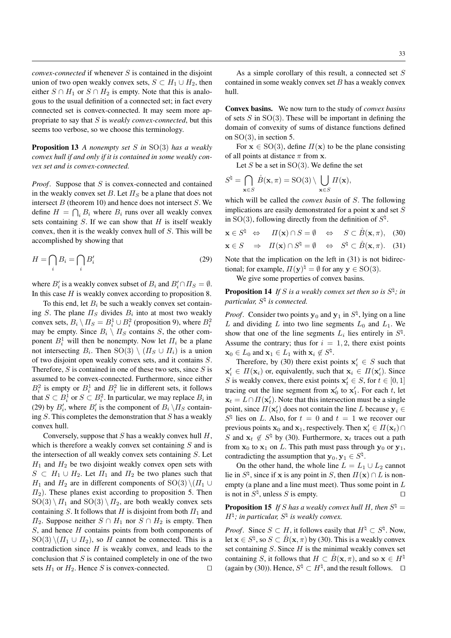*convex-connected* if whenever S is contained in the disjoint union of two open weakly convex sets,  $S \subset H_1 \cup H_2$ , then either  $S \cap H_1$  or  $S \cap H_2$  is empty. Note that this is analogous to the usual definition of a connected set; in fact every connected set is convex-connected. It may seem more appropriate to say that S is *weakly convex-connected*, but this seems too verbose, so we choose this terminology.

Proposition 13 *A nonempty set* S *in* SO(3) *has a weakly convex hull if and only if it is contained in some weakly convex set and is convex-connected.*

*Proof.* Suppose that S is convex-connected and contained in the weakly convex set B. Let  $\Pi_S$  be a plane that does not intersect  $B$  (theorem 10) and hence does not intersect  $S$ . We define  $H = \bigcap_i B_i$  where  $B_i$  runs over all weakly convex sets containing  $S$ . If we can show that  $H$  is itself weakly convex, then it is the weakly convex hull of S. This will be accomplished by showing that

$$
H = \bigcap_{i} B_i = \bigcap_{i} B'_i \tag{29}
$$

where  $B_i'$  is a weakly convex subset of  $B_i$  and  $B_i' \cap \Pi_S = \emptyset$ . In this case  $H$  is weakly convex according to proposition 8.

To this end, let  $B_i$  be such a weakly convex set containing S. The plane  $\Pi_S$  divides  $B_i$  into at most two weakly convex sets,  $B_i \setminus \Pi_S = B_i^1 \cup B_i^2$  (proposition 9), where  $B_i^2$ may be empty. Since  $B_i \setminus \Pi_S$  contains S, the other component  $B_i^1$  will then be nonempty. Now let  $\Pi_i$  be a plane not intersecting  $B_i$ . Then  $\mathrm{SO}(3)\setminus (II_S\cup II_i)$  is a union of two disjoint open weakly convex sets, and it contains S. Therefore,  $S$  is contained in one of these two sets, since  $S$  is assumed to be convex-connected. Furthermore, since either  $B_i^2$  is empty or  $B_i^1$  and  $B_i^2$  lie in different sets, it follows that  $S \subset B_i^1$  or  $S \subset B_i^2$ . In particular, we may replace  $B_i$  in (29) by  $B'_i$ , where  $B'_i$  is the component of  $B_i \setminus \Pi_S$  containing  $S$ . This completes the demonstration that  $S$  has a weakly convex hull.

Conversely, suppose that  $S$  has a weakly convex hull  $H$ , which is therefore a weakly convex set containing  $S$  and is the intersection of all weakly convex sets containing S. Let  $H_1$  and  $H_2$  be two disjoint weakly convex open sets with  $S \subset H_1 \cup H_2$ . Let  $\Pi_1$  and  $\Pi_2$  be two planes such that  $H_1$  and  $H_2$  are in different components of SO(3)  $\setminus (H_1 \cup$  $\Pi_2$ ). These planes exist according to proposition 5. Then  $SO(3) \setminus \Pi_1$  and  $SO(3) \setminus \Pi_2$ , are both weakly convex sets containing S. It follows that H is disjoint from both  $\Pi_1$  and  $\Pi_2$ . Suppose neither  $S \cap H_1$  nor  $S \cap H_2$  is empty. Then  $S$ , and hence  $H$  contains points from both components of  $SO(3) \setminus (\Pi_1 \cup \Pi_2)$ , so H cannot be connected. This is a contradiction since  $H$  is weakly convex, and leads to the conclusion that  $S$  is contained completely in one of the two sets  $H_1$  or  $H_2$ . Hence S is convex-connected.

As a simple corollary of this result, a connected set S contained in some weakly convex set  $B$  has a weakly convex hull.

Convex basins. We now turn to the study of *convex basins* of sets  $S$  in  $SO(3)$ . These will be important in defining the domain of convexity of sums of distance functions defined on  $SO(3)$ , in section 5.

For  $x \in SO(3)$ , define  $\Pi(x)$  to be the plane consisting of all points at distance  $\pi$  from x.

Let S be a set in  $SO(3)$ . We define the set

$$
S^{\natural} = \bigcap_{\mathbf{x} \in S} \overset{\circ}{B}(\mathbf{x}, \pi) = \mathrm{SO}(3) \setminus \bigcup_{\mathbf{x} \in S} \Pi(\mathbf{x}),
$$

which will be called the *convex basin* of S. The following implications are easily demonstrated for a point  $x$  and set  $S$ in SO(3), following directly from the definition of  $S^{\natural}$ .

$$
\mathbf{x} \in S^{\natural} \Leftrightarrow \quad \Pi(\mathbf{x}) \cap S = \emptyset \quad \Leftrightarrow \quad S \subset \overset{\circ}{B}(\mathbf{x}, \pi), \quad (30)
$$
\n
$$
\mathbf{x} \in S \quad \Rightarrow \quad \Pi(\mathbf{x}) \cap S^{\natural} = \emptyset \quad \Leftrightarrow \quad S^{\natural} \subset \overset{\circ}{B}(\mathbf{x}, \pi). \quad (31)
$$

Note that the implication on the left in (31) is not bidirectional; for example,  $\Pi(\mathbf{y})^{\natural} = \emptyset$  for any  $\mathbf{y} \in \text{SO}(3)$ .

We give some properties of convex basins.

**Proposition 14** If S is a weakly convex set then so is  $S^{\natural}$ ; in *particular,* S \ *is connected.*

*Proof.* Consider two points  $y_0$  and  $y_1$  in  $S^{\natural}$ , lying on a line L and dividing L into two line segments  $L_0$  and  $L_1$ . We show that one of the line segments  $L_i$  lies entirely in  $S^{\natural}$ . Assume the contrary; thus for  $i = 1, 2$ , there exist points  $\mathbf{x}_0 \in L_0$  and  $\mathbf{x}_1 \in L_1$  with  $\mathbf{x}_i \notin S^{\natural}$ .

Therefore, by (30) there exist points  $x'_i \in S$  such that  $x'_i \in \Pi(\mathbf{x}_i)$  or, equivalently, such that  $\mathbf{x}_i \in \Pi(\mathbf{x}'_i)$ . Since S is weakly convex, there exist points  $x'_t \in S$ , for  $t \in [0, 1]$ tracing out the line segment from  $x'_0$  to  $x'_1$ . For each t, let  $\mathbf{x}_t = L \cap \Pi(\mathbf{x}'_t)$ . Note that this intersection must be a single point, since  $\Pi(\mathbf{x}'_t)$  does not contain the line L because  $\mathbf{y}_i \in$  $S^{\natural}$  lies on L. Also, for  $t = 0$  and  $t = 1$  we recover our previous points  $\mathbf{x}_0$  and  $\mathbf{x}_1$ , respectively. Then  $\mathbf{x}'_t \in \Pi(\mathbf{x}_t) \cap$ S and  $\mathbf{x}_t \notin S^{\natural}$  by (30). Furthermore,  $\mathbf{x}_t$  traces out a path from  $x_0$  to  $x_1$  on L. This path must pass through  $y_0$  or  $y_1$ , contradicting the assumption that  $y_0, y_1 \in S^{\natural}$ .

On the other hand, the whole line  $L = L_1 \cup L_2$  cannot lie in  $S^{\natural}$ , since if x is any point in S, then  $\Pi(\mathbf{x}) \cap L$  is nonempty (a plane and a line must meet). Thus some point in  $L$ is not in  $S^{\natural}$ , unless S is empty.

**Proposition 15** If S has a weakly convex hull H, then  $S^{\natural}$  =  $H^{\natural}$ ; in particular,  $S^{\natural}$  is weakly convex.

*Proof.* Since  $S \subset H$ , it follows easily that  $H^{\natural} \subset S^{\natural}$ . Now, let  $\mathbf{x} \in S^{\natural}$ , so  $S \subset \overset{\circ}{B}(\mathbf{x}, \pi)$  by (30). This is a weakly convex set containing  $S$ . Since  $H$  is the minimal weakly convex set containing S, it follows that  $H \subset \check{B}(\mathbf{x}, \pi)$ , and so  $\mathbf{x} \in H^{\natural}$ (again by (30)). Hence,  $S^{\natural} \subset H^{\natural}$ , and the result follows.  $\square$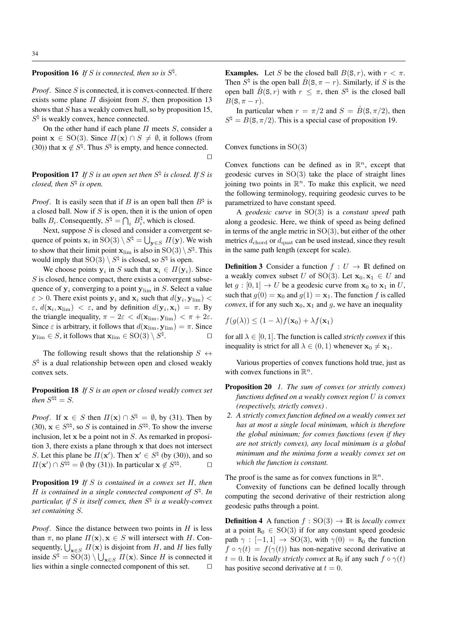**Proposition 16** If S is connected, then so is  $S^{\natural}$ .

*Proof.* Since S is connected, it is convex-connected. If there exists some plane  $\Pi$  disjoint from  $S$ , then proposition 13 shows that  $S$  has a weakly convex hull, so by proposition 15,  $S^{\natural}$  is weakly convex, hence connected.

On the other hand if each plane  $\Pi$  meets  $S$ , consider a point  $\mathbf{x} \in SO(3)$ . Since  $\Pi(\mathbf{x}) \cap S \neq \emptyset$ , it follows (from (30)) that  $x \notin S^{\natural}$ . Thus  $S^{\natural}$  is empty, and hence connected.  $\Box$ 

**Proposition 17** If S is an open set then  $S^{\natural}$  is closed. If S is *closed, then* S \ *is open.*

*Proof.* It is easily seen that if B is an open ball then  $B^{\natural}$  is a closed ball. Now if  $S$  is open, then it is the union of open balls  $B_i$ . Consequently,  $S^{\natural} = \bigcap_i B_i^{\natural}$ , which is closed.

Next, suppose  $S$  is closed and consider a convergent sequence of points  $\mathbf{x}_i$  in  $\text{SO}(3) \setminus S^{\natural} = \bigcup_{\mathbf{y} \in S} \Pi(\mathbf{y})$ . We wish to show that their limit point  $\mathbf{x}_{\lim}$  is also in  $\mathrm{SO}(3)\setminus S^{\natural}.$  This would imply that  $SO(3) \setminus S^{\natural}$  is closed, so  $S^{\natural}$  is open.

We choose points  $y_i$  in S such that  $x_i \in \Pi(y_i)$ . Since  $S$  is closed, hence compact, there exists a convergent subsequence of  $y_i$  converging to a point  $y_{\text{lim}}$  in S. Select a value  $\varepsilon > 0$ . There exist points  $y_i$  and  $x_i$  such that  $d(y_i, y_{\text{lim}})$  <  $\varepsilon$ ,  $d(\mathbf{x}_i, \mathbf{x}_{\text{lim}}) < \varepsilon$ , and by definition  $d(\mathbf{y}_i, \mathbf{x}_i) = \pi$ . By the triangle inequality,  $\pi - 2\varepsilon < d(\mathbf{x}_{\text{lim}}, \mathbf{y}_{\text{lim}}) < \pi + 2\varepsilon$ . Since  $\varepsilon$  is arbitrary, it follows that  $d(\mathbf{x}_{\text{lim}}, \mathbf{y}_{\text{lim}}) = \pi$ . Since  $\mathbf{y}_{\text{lim}}\in S,$  it follows that  $\mathbf{x}_{\text{lim}}\in \text{SO(3)}\setminus S^{\natural}$ .  $\Box$ 

The following result shows that the relationship  $S \leftrightarrow$  $S^{\natural}$  is a dual relationship between open and closed weakly convex sets.

Proposition 18 *If* S *is an open or closed weakly convex set* then  $S^{\natural \natural} = S$ .

*Proof.* If  $x \in S$  then  $\Pi(x) \cap S^{\natural} = \emptyset$ , by (31). Then by (30),  $\mathbf{x} \in S^{\natural \natural}$ , so S is contained in  $S^{\natural \natural}$ . To show the inverse inclusion, let  $x$  be a point not in  $S$ . As remarked in proposition 3, there exists a plane through x that does not intersect S. Let this plane be  $\Pi(\mathbf{x}')$ . Then  $\mathbf{x}' \in S^{\natural}$  (by (30)), and so  $\Pi(\mathbf{x}') \cap S^{\natural \natural} = \emptyset$  (by (31)). In particular  $\mathbf{x} \notin S^{\natural \natural}$  $\Box$ 

Proposition 19 *If* S *is contained in a convex set* H*, then*  $H$  is contained in a single connected component of  $S^{\natural}$ . In *particular, if* S *is itself convex, then* S \ *is a weakly-convex set containing* S*.*

*Proof.* Since the distance between two points in H is less than  $\pi$ , no plane  $\Pi(\mathbf{x}), \mathbf{x} \in S$  will intersect with H. Consequently,  $\bigcup_{\mathbf{x} \in S} \Pi(\mathbf{x})$  is disjoint from H, and H lies fully inside  $S^{\natural} = SO(3) \setminus \bigcup_{\mathbf{x} \in S} \Pi(\mathbf{x})$ . Since H is connected it lies within a single connected component of this set.  $\Box$ 

**Examples.** Let S be the closed ball  $B(S, r)$ , with  $r < \pi$ . Then  $S^{\natural}$  is the open ball  $\mathring{B}(\mathbf{S}, \pi - r)$ . Similarly, if S is the open ball  $\overset{\circ}{B}(S,r)$  with  $r \leq \pi$ , then  $S^{\natural}$  is the closed ball  $B(S, \pi - r).$ 

In particular when  $r = \pi/2$  and  $S = \overset{\circ}{B}(S, \pi/2)$ , then  $S^{\natural} = B(S, \pi/2)$ . This is a special case of proposition 19.

Convex functions in SO(3)

Convex functions can be defined as in  $\mathbb{R}^n$ , except that geodesic curves in  $SO(3)$  take the place of straight lines joining two points in  $\mathbb{R}^n$ . To make this explicit, we need the following terminology, requiring geodesic curves to be parametrized to have constant speed.

A *geodesic curve* in SO(3) is a *constant speed* path along a geodesic. Here, we think of speed as being defined in terms of the angle metric in  $SO(3)$ , but either of the other metrics  $d_{\text{chord}}$  or  $d_{\text{quad}}$  can be used instead, since they result in the same path length (except for scale).

**Definition 3** Consider a function  $f: U \to \mathbb{R}$  defined on a weakly convex subset U of SO(3). Let  $x_0, x_1 \in U$  and let  $g : [0, 1] \rightarrow U$  be a geodesic curve from  $x_0$  to  $x_1$  in U, such that  $q(0) = \mathbf{x}_0$  and  $q(1) = \mathbf{x}_1$ . The function f is called *convex*, if for any such  $x_0$ ,  $x_1$  and g, we have an inequality

$$
f(g(\lambda)) \le (1 - \lambda)f(\mathbf{x}_0) + \lambda f(\mathbf{x}_1)
$$

for all  $\lambda \in [0, 1]$ . The function is called *strictly convex* if this inequality is strict for all  $\lambda \in (0, 1)$  whenever  $\mathbf{x}_0 \neq \mathbf{x}_1$ .

Various properties of convex functions hold true, just as with convex functions in  $\mathbb{R}^n$ .

- Proposition 20 *1. The sum of convex (or strictly convex) functions defined on a weakly convex region* U *is convex (respectively, strictly convex) .*
- *2. A strictly convex function defined on a weakly convex set has at most a single local minimum, which is therefore the global minimum; for convex functions (even if they are not strictly convex), any local minimum is a global minimum and the minima form a weakly convex set on which the function is constant.*

The proof is the same as for convex functions in  $\mathbb{R}^n$ .

Convexity of functions can be defined locally through computing the second derivative of their restriction along geodesic paths through a point.

**Definition 4** A function  $f : SO(3) \rightarrow \mathbb{R}$  is *locally convex* at a point  $R_0 \in SO(3)$  if for any constant speed geodesic path  $\gamma : [-1, 1] \rightarrow SO(3)$ , with  $\gamma(0) = R_0$  the function  $f \circ \gamma(t) = f(\gamma(t))$  has non-negative second derivative at  $t = 0$ . It is *locally strictly convex* at R<sub>0</sub> if any such  $f \circ \gamma(t)$ has positive second derivative at  $t = 0$ .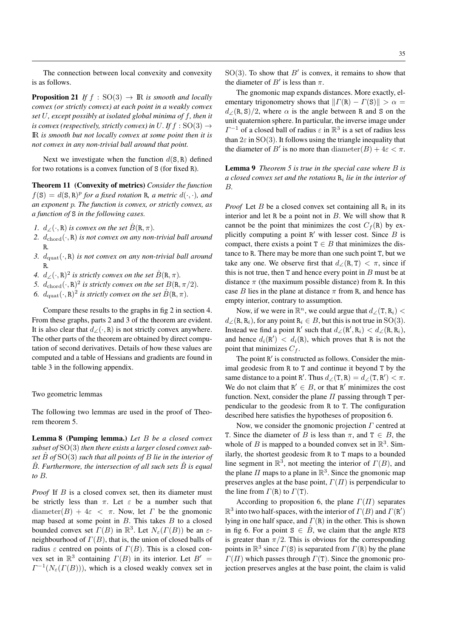The connection between local convexity and convexity is as follows.

**Proposition 21** *If*  $f : SO(3) \rightarrow \mathbb{R}$  *is smooth and locally convex (or strictly convex) at each point in a weakly convex set* U*, except possibly at isolated global minima of* f*, then it is convex (respectively, strictly convex) in* U. If  $f : SO(3) \rightarrow$ IR *is smooth but not locally convex at some point then it is not convex in any non-trivial ball around that point.*

Next we investigate when the function  $d(S, R)$  defined for two rotations is a convex function of S (for fixed R).

Theorem 11 (Convexity of metrics) *Consider the function*  $f(S) = d(S, R)^p$  for a fixed rotation R, a metric  $d(\cdot, \cdot)$ , and *an exponent* p*. The function is convex, or strictly convex, as a function of* S *in the following cases.*

- *1.*  $d_{\angle}(\cdot, \mathbf{R})$  *is convex on the set*  $\check{B}(\mathbf{R}, \pi)$ *.*
- 2.  $d_{\text{chord}}(\cdot, \mathbf{R})$  *is not convex on any non-trivial ball around* R*.*
- *3.*  $d_{\text{quad}}(\cdot, \mathbf{R})$  *is not convex on any non-trivial ball around* R*.*
- *4.*  $d_{\angle}(\cdot, \mathbf{R})^2$  is strictly convex on the set  $\overset{\circ}{B}(\mathbf{R}, \pi)$ .
- 5.  $d_{\text{chord}}(\cdot, \mathbf{R})^2$  is strictly convex on the set  $B(\mathbf{R}, \pi/2)$ .
- 6.  $d_{\text{quad}}(\cdot, \mathbf{R})^2$  is strictly convex on the set  $\mathring{B}(\mathbf{R}, \pi)$ .

Compare these results to the graphs in fig 2 in section 4. From these graphs, parts 2 and 3 of the theorem are evident. It is also clear that  $d \angle(\cdot, R)$  is not strictly convex anywhere. The other parts of the theorem are obtained by direct computation of second derivatives. Details of how these values are computed and a table of Hessians and gradients are found in table 3 in the following appendix.

Two geometric lemmas

The following two lemmas are used in the proof of Theorem theorem 5.

Lemma 8 (Pumping lemma.) *Let* B *be a closed convex subset of* SO(3) *then there exists a larger closed convex subset* Bˆ *of* SO(3) *such that all points of* B *lie in the interior of* B. Furthermore, the intersection of all such sets B is equal *to* B*.*

*Proof* If B is a closed convex set, then its diameter must be strictly less than  $\pi$ . Let  $\varepsilon$  be a number such that diameter(B) +  $4\varepsilon$  <  $\pi$ . Now, let  $\Gamma$  be the gnomonic map based at some point in  $B$ . This takes  $B$  to a closed bounded convex set  $\Gamma(B)$  in  $\mathbb{R}^3$ . Let  $N_{\varepsilon}(\Gamma(B))$  be an  $\varepsilon$ neighbourhood of  $\Gamma(B)$ , that is, the union of closed balls of radius  $\varepsilon$  centred on points of  $\Gamma(B)$ . This is a closed convex set in  $\mathbb{R}^3$  containing  $\Gamma(B)$  in its interior. Let  $B' =$  $\Gamma^{-1}(N_{\varepsilon}(\Gamma(B))),$  which is a closed weakly convex set in

 $SO(3)$ . To show that  $B'$  is convex, it remains to show that the diameter of  $B'$  is less than  $\pi$ .

The gnomonic map expands distances. More exactly, elementary trigonometry shows that  $||T(R) - T(S)|| > \alpha$  =  $d_{\angle}(\mathbf{R}, \mathbf{S})/2$ , where  $\alpha$  is the angle between R and S on the unit quaternion sphere. In particular, the inverse image under  $\Gamma^{-1}$  of a closed ball of radius  $\varepsilon$  in  $\mathbb{R}^3$  is a set of radius less than  $2\varepsilon$  in SO(3). It follows using the triangle inequality that the diameter of B' is no more than diameter(B) +  $4\varepsilon < \pi$ .

Lemma 9 *Theorem 5 is true in the special case where* B *is a closed convex set and the rotations* R<sup>i</sup> *lie in the interior of* B*.*

*Proof* Let  $B$  be a closed convex set containing all  $R_i$  in its interior and let R be a point not in  $B$ . We will show that R cannot be the point that minimizes the cost  $C_f(R)$  by explicitly computing a point  $R'$  with lesser cost. Since  $B$  is compact, there exists a point  $T \in B$  that minimizes the distance to R. There may be more than one such point T, but we take any one. We observe first that  $d/(R, T) < \pi$ , since if this is not true, then  $T$  and hence every point in  $B$  must be at distance  $\pi$  (the maximum possible distance) from R. In this case B lies in the plane at distance  $\pi$  from R, and hence has empty interior, contrary to assumption.

Now, if we were in  $\mathbb{R}^n$ , we could argue that  $d_{\angle}(\mathbf{T}, \mathbf{R}_i)$  <  $d_{\angle}$ (R, R<sub>i</sub>), for any point R<sub>i</sub>  $\in$  B, but this is not true in SO(3). Instead we find a point R' such that  $d_{\angle}(\mathbb{R}', \mathbb{R}_i) < d_{\angle}(\mathbb{R}, \mathbb{R}_i)$ , and hence  $d_i(\mathbf{R}') \, < \, d_i(\mathbf{R})$ , which proves that R is not the point that minimizes  $C_f$ .

The point R' is constructed as follows. Consider the minimal geodesic from R to T and continue it beyond T by the same distance to a point R'. Thus  $d_{\angle}(\mathbf{T}, \mathbf{R}) = d_{\angle}(\mathbf{T}, \mathbf{R}') < \pi$ . We do not claim that  $R' \in B$ , or that R' minimizes the cost function. Next, consider the plane  $\Pi$  passing through T perpendicular to the geodesic from R to T. The configuration described here satisfies the hypotheses of proposition 6.

Now, we consider the gnomonic projection  $\Gamma$  centred at T. Since the diameter of B is less than  $\pi$ , and  $T \in B$ , the whole of B is mapped to a bounded convex set in  $\mathbb{R}^3$ . Similarly, the shortest geodesic from R to T maps to a bounded line segment in  $\mathbb{R}^3$ , not meeting the interior of  $\Gamma(B)$ , and the plane  $\Pi$  maps to a plane in  $\mathbb{R}^3$ . Since the gnomonic map preserves angles at the base point,  $\Gamma(\Pi)$  is perpendicular to the line from  $\Gamma(R)$  to  $\Gamma(T)$ .

According to proposition 6, the plane  $\Gamma(\Pi)$  separates  $\mathbb{R}^3$  into two half-spaces, with the interior of  $\Gamma(B)$  and  $\Gamma(\mathbb{R}')$ lying in one half space, and  $\Gamma(R)$  in the other. This is shown in fig 6. For a point  $S \in \tilde{B}$ , we claim that the angle RTS is greater than  $\pi/2$ . This is obvious for the corresponding points in  $\mathbb{R}^3$  since  $\Gamma(S)$  is separated from  $\Gamma(R)$  by the plane  $\Gamma(\Pi)$  which passes through  $\Gamma(\texttt{T})$ . Since the gnomonic projection preserves angles at the base point, the claim is valid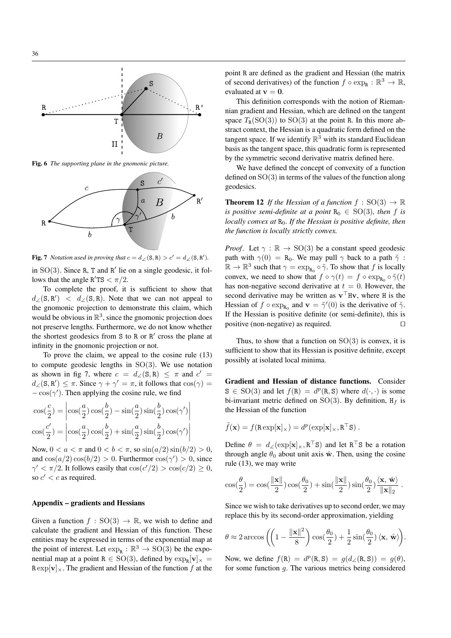

Fig. 6 *The supporting plane in the gnomonic picture.*



**Fig. 7** *Notation used in proving that*  $c = d_{\angle}(\mathbf{S}, \mathbf{R}) > c' = d_{\angle}(\mathbf{S}, \mathbf{R}').$ 

in  $SO(3)$ . Since R, T and R' lie on a single geodesic, it follows that the angle  $R'TS < \pi/2$ .

To complete the proof, it is sufficient to show that  $d_{\angle}(\mathbf{S}, \mathbf{R}')$  <  $d_{\angle}(\mathbf{S}, \mathbf{R})$ . Note that we can not appeal to the gnomonic projection to demonstrate this claim, which would be obvious in  $\mathbb{R}^3$ , since the gnomonic projection does not preserve lengths. Furthermore, we do not know whether the shortest geodesics from  $S$  to  $R$  or  $R'$  cross the plane at infinity in the gnomonic projection or not.

To prove the claim, we appeal to the cosine rule (13) to compute geodesic lengths in  $SO(3)$ . We use notation as shown in fig 7, where  $c = d_{\angle}(\mathbf{S}, \mathbf{R}) \leq \pi$  and  $c' =$  $d_{\angle}(\mathbf{S}, \mathbf{R}') \leq \pi$ . Since  $\gamma + \gamma' = \pi$ , it follows that  $\cos(\gamma) =$  $-\cos(\gamma')$ . Then applying the cosine rule, we find

$$
\cos(\frac{c}{2}) = \left| \cos(\frac{a}{2}) \cos(\frac{b}{2}) - \sin(\frac{a}{2}) \sin(\frac{b}{2}) \cos(\gamma') \right|
$$
  

$$
\cos(\frac{c'}{2}) = \left| \cos(\frac{a}{2}) \cos(\frac{b}{2}) + \sin(\frac{a}{2}) \sin(\frac{b}{2}) \cos(\gamma') \right|
$$

Now,  $0 < a < \pi$  and  $0 < b < \pi$ , so  $\sin(a/2) \sin(b/2) > 0$ , and  $cos(a/2) cos(b/2) > 0$ . Furthermor  $cos(\gamma') > 0$ , since  $\gamma' < \pi/2$ . It follows easily that  $\cos(c'/2) > \cos(c/2) \ge 0$ , so  $c' < c$  as required.

# Appendix – gradients and Hessians

Given a function  $f : SO(3) \rightarrow \mathbb{R}$ , we wish to define and calculate the gradient and Hessian of this function. These entities may be expressed in terms of the exponential map at the point of interest. Let  $\exp_{\mathbf{R}} : \mathbb{R}^3 \to \text{SO}(3)$  be the exponential map at a point  $R \in SO(3)$ , defined by  $\exp_R[v]_{\times} =$  $\operatorname{R} \exp[\mathbf{v}]_{\times}$ . The gradient and Hessian of the function f at the

point R are defined as the gradient and Hessian (the matrix of second derivatives) of the function  $f \circ \exp_{\mathbf{R}} : \mathbb{R}^3 \to \mathbb{R}$ , evaluated at  $v = 0$ .

This definition corresponds with the notion of Riemannian gradient and Hessian, which are defined on the tangent space  $T_R(SO(3))$  to  $SO(3)$  at the point R. In this more abstract context, the Hessian is a quadratic form defined on the tangent space. If we identify  $\mathbb{R}^3$  with its standard Euclidean basis as the tangent space, this quadratic form is represented by the symmetric second derivative matrix defined here.

We have defined the concept of convexity of a function defined on  $SO(3)$  in terms of the values of the function along geodesics.

**Theorem 12** *If the Hessian of a function*  $f : SO(3) \rightarrow \mathbb{R}$ *is positive semi-definite at a point*  $R_0 \in SO(3)$ *, then* f *is locally convex at*  $R_0$ *. If the Hessian is positive definite, then the function is locally strictly convex.*

*Proof.* Let  $\gamma : \mathbb{R} \to SO(3)$  be a constant speed geodesic path with  $\gamma(0) = R_0$ . We may pull  $\gamma$  back to a path  $\tilde{\gamma}$ :  $\mathbb{R} \to \mathbb{R}^3$  such that  $\gamma = \exp_{\mathsf{R}_0} \circ \tilde{\gamma}$ . To show that f is locally convex, we need to show that  $f \circ \gamma(t) = f \circ \exp_{R_0} \circ \tilde{\gamma}(t)$ has non-negative second derivative at  $t = 0$ . However, the second derivative may be written as  $\mathbf{v}^\top \mathbf{H} \mathbf{v}$ , where H is the Hessian of  $f \circ \exp_{R_0}$  and  $\mathbf{v} = \tilde{\gamma}'(0)$  is the derivative of  $\tilde{\gamma}$ . If the Hessian is positive definite (or semi-definite), this is positive (non-negative) as required.  $\square$ 

Thus, to show that a function on  $SO(3)$  is convex, it is sufficient to show that its Hessian is positive definite, except possibly at isolated local minima.

Gradient and Hessian of distance functions. Consider  $S \in SO(3)$  and let  $f(R) = d^p(R, S)$  where  $d(\cdot, \cdot)$  is some bi-invariant metric defined on SO(3). By definition,  $H_f$  is the Hessian of the function

$$
\tilde{f}(\mathbf{x}) = f(\mathbf{R} \exp[\mathbf{x}]_{\times}) = d^p(\exp[\mathbf{x}]_{\times}, \mathbf{R}^{\top} \mathbf{S}).
$$

Define  $\theta = d_{\angle}(\exp[\mathbf{x}]_{\times}, \mathbf{R}^{\top} \mathbf{S})$  and let  $\mathbf{R}^{\top} \mathbf{S}$  be a rotation through angle  $\theta_0$  about unit axis  $\hat{\mathbf{w}}$ . Then, using the cosine rule (13), we may write

$$
\cos(\frac{\theta}{2}) = \cos(\frac{\|\mathbf{x}\|}{2})\cos(\frac{\theta_0}{2}) + \sin(\frac{\|\mathbf{x}\|}{2})\sin(\frac{\theta_0}{2})\frac{\langle \mathbf{x}, \hat{\mathbf{w}} \rangle}{\|\mathbf{x}\|_2}.
$$

Since we wish to take derivatives up to second order, we may replace this by its second-order approximation, yielding

$$
\theta \approx 2 \arccos \left( \left( 1 - \frac{\|\mathbf{x}\|^2}{8} \right) \cos\left(\frac{\theta_0}{2}\right) + \frac{1}{2} \sin\left(\frac{\theta_0}{2}\right) \langle \mathbf{x}, \hat{\mathbf{w}} \rangle \right).
$$

Now, we define  $f(\mathbf{R}) = d^p(\mathbf{R}, \mathbf{S}) = g(d_{\angle}(\mathbf{R}, \mathbf{S})) = g(\theta)$ , for some function g. The various metrics being considered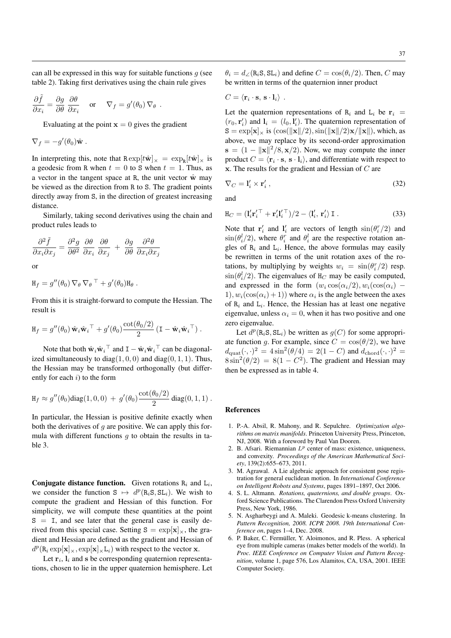can all be expressed in this way for suitable functions  $g$  (see table 2). Taking first derivatives using the chain rule gives

$$
\frac{\partial \tilde{f}}{\partial x_i} = \frac{\partial g}{\partial \theta} \; \frac{\partial \theta}{\partial x_i} \quad \text{ or } \quad \nabla_f = g'(\theta_0) \, \nabla_\theta \; .
$$

Evaluating at the point  $x = 0$  gives the gradient

$$
\nabla_f = -g'(\theta_0)\hat{\mathbf{w}}.
$$

In interpreting this, note that  $\text{R} \exp[t\hat{\mathbf{w}}]_{\times} = \exp_{\mathbf{R}}[t\hat{\mathbf{w}}]_{\times}$  is a geodesic from R when  $t = 0$  to S when  $t = 1$ . Thus, as a vector in the tangent space at R, the unit vector  $\hat{w}$  may be viewed as the direction from R to S. The gradient points directly away from S, in the direction of greatest increasing distance.

Similarly, taking second derivatives using the chain and product rules leads to

$$
\frac{\partial^2 \tilde{f}}{\partial x_i \partial x_j} = \frac{\partial^2 g}{\partial \theta^2} \frac{\partial \theta}{\partial x_i} \frac{\partial \theta}{\partial x_j} + \frac{\partial g}{\partial \theta} \frac{\partial^2 \theta}{\partial x_i \partial x_j}
$$

or

$$
H_f = g''(\theta_0) \nabla_{\theta} \nabla_{\theta}^{\top} + g'(\theta_0) H_{\theta} .
$$

From this it is straight-forward to compute the Hessian. The result is

$$
\mathbf{H}_f = g''(\theta_0) \hat{\mathbf{w}}_i \hat{\mathbf{w}}_i^{\top} + g'(\theta_0) \frac{\cot(\theta_0/2)}{2} (\mathbf{I} - \hat{\mathbf{w}}_i \hat{\mathbf{w}}_i^{\top}).
$$

Note that both  $\hat{w}_i \hat{w}_i^\top$  and  $I - \hat{w}_i \hat{w}_i^\top$  can be diagonalized simultaneously to diag $(1, 0, 0)$  and diag $(0, 1, 1)$ . Thus, the Hessian may be transformed orthogonally (but differently for each  $i$ ) to the form

$$
H_f \approx g''(\theta_0) \text{diag}(1,0,0) + g'(\theta_0) \frac{\cot(\theta_0/2)}{2} \text{diag}(0,1,1).
$$

In particular, the Hessian is positive definite exactly when both the derivatives of  $q$  are positive. We can apply this formula with different functions  $q$  to obtain the results in table 3.

**Conjugate distance function.** Given rotations  $R_i$  and  $L_i$ , we consider the function  $S \mapsto d^p(R_iS, SL_i)$ . We wish to compute the gradient and Hessian of this function. For simplicity, we will compute these quantities at the point  $S = I$ , and see later that the general case is easily derived from this special case. Setting  $S = \exp[\mathbf{x}]_{\times}$ , the gradient and Hessian are defined as the gradient and Hessian of  $d^p(\mathbf{R}_i \exp[\mathbf{x}]_\times, \exp[\mathbf{x}]_\times \mathbf{L}_i)$  with respect to the vector **x**.

Let  $\mathbf{r}_i$ ,  $\mathbf{l}_i$  and s be corresponding quaternion representations, chosen to lie in the upper quaternion hemisphere. Let  $\theta_i = d_{\angle}(\text{R}_i \text{S}, \text{SL}_i)$  and define  $C = \cos(\theta_i/2)$ . Then, C may be written in terms of the quaternion inner product

$$
C = \langle \mathbf{r}_i \cdot \mathbf{s}, \, \mathbf{s} \cdot \mathbf{l}_i \rangle \ .
$$

Let the quaternion representations of  $R_i$  and  $L_i$  be  $r_i$  $(r_0, \mathbf{r}'_i)$  and  $\mathbf{l}_i = (l_0, \mathbf{l}'_i)$ . The quaternion representation of  $S = \exp[\mathbf{x}] \times$  is  $(\cos(\|\mathbf{x}\|/2), \sin(\|\mathbf{x}\|/2)\mathbf{x}/\|\mathbf{x}\|)$ , which, as above, we may replace by its second-order approximation  $s = (1 - ||\mathbf{x}||^2/8, \mathbf{x}/2)$ . Now, we may compute the inner product  $C = \langle \mathbf{r}_i \cdot \mathbf{s}, \, \mathbf{s} \cdot \mathbf{l}_i \rangle$ , and differentiate with respect to  $x$ . The results for the gradient and Hessian of  $C$  are

$$
\nabla_C = \mathbf{l}'_i \times \mathbf{r}'_i \,,\tag{32}
$$

and

$$
\mathbf{H}_C = (\mathbf{l}_i' \mathbf{r}_i'^\top + \mathbf{r}_i' \mathbf{l}_i'^\top)/2 - \langle \mathbf{l}_i', \mathbf{r}_i' \rangle \mathbf{I} . \tag{33}
$$

Note that  $\mathbf{r}'_i$  and  $\mathbf{l}'_i$  are vectors of length  $\sin(\theta_i^r/2)$  and  $\sin(\theta_i^l/2)$ , where  $\theta_i^r$  and  $\theta_i^l$  are the respective rotation angles of  $R_i$  and  $L_i$ . Hence, the above formulas may easily be rewritten in terms of the unit rotation axes of the rotations, by multiplying by weights  $w_i = \sin(\theta_i^r/2)$  resp.  $\sin(\theta_i^l/2)$ . The eigenvalues of H<sub>C</sub> may be easily computed, and expressed in the form  $(w_i \cos(\alpha_i/2), w_i(\cos(\alpha_i)$  – 1),  $w_i(\cos(\alpha_i) + 1)$  where  $\alpha_i$  is the angle between the axes of  $R_i$  and  $L_i$ . Hence, the Hessian has at least one negative eigenvalue, unless  $\alpha_i = 0$ , when it has two positive and one zero eigenvalue.

Let  $d^p(\mathbf{R}_i \mathbf{S}, \mathbf{SL}_i)$  be written as  $g(C)$  for some appropriate function g. For example, since  $C = \cos(\theta/2)$ , we have  $d_{\text{quat}}(\cdot, \cdot)^2 = 4\sin^2(\theta/4) = 2(1 - C)$  and  $d_{\text{chord}}(\cdot, \cdot)^2 =$  $8\sin^2(\theta/2) = 8(1 - C^2)$ . The gradient and Hessian may then be expressed as in table 4.

# References

- 1. P.-A. Absil, R. Mahony, and R. Sepulchre. *Optimization algorithms on matrix manifolds*. Princeton University Press, Princeton, NJ, 2008. With a foreword by Paul Van Dooren.
- 2. B. Afsari. Riemannian  $L^p$  center of mass: existence, uniqueness, and convexity. *Proceedings of the American Mathematical Society*, 139(2):655–673, 2011.
- 3. M. Agrawal. A Lie algebraic approach for consistent pose registration for general euclidean motion. In *International Conference on Intelligent Robots and Systems*, pages 1891–1897, Oct 2006.
- 4. S. L. Altmann. *Rotations, quaternions, and double groups*. Oxford Science Publications. The Clarendon Press Oxford University Press, New York, 1986.
- 5. N. Asgharbeygi and A. Maleki. Geodesic k-means clustering. In *Pattern Recognition, 2008. ICPR 2008. 19th International Conference on*, pages 1–4, Dec. 2008.
- 6. P. Baker, C. Fermüller, Y. Aloimonos, and R. Pless. A spherical eye from multiple cameras (makes better models of the world). In *Proc. IEEE Conference on Computer Vision and Pattern Recognition*, volume 1, page 576, Los Alamitos, CA, USA, 2001. IEEE Computer Society.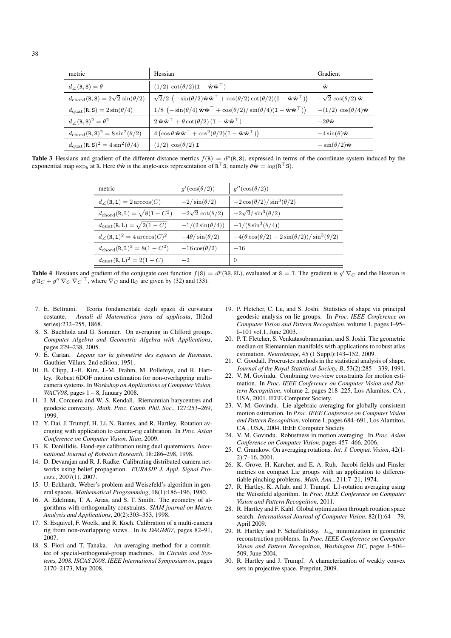| metric                                                            | Hessian                                                                                                                                                              | Gradient                                  |
|-------------------------------------------------------------------|----------------------------------------------------------------------------------------------------------------------------------------------------------------------|-------------------------------------------|
| $d_{\angle}(\mathbf{R}, \mathbf{S}) = \theta$                     | $(1/2) \cot(\theta/2)(I - \hat{\mathbf{w}}\hat{\mathbf{w}}^{\top})$                                                                                                  | $-\hat{\mathbf{w}}$                       |
| $d_{\text{chord}}(R, S) = 2\sqrt{2} \sin(\theta/2)$               | $\sqrt{2}/2 \left(-\sin(\theta/2)\hat{\mathbf{w}}\hat{\mathbf{w}}^{\top}+\cos(\theta/2)\cot(\theta/2)(\mathbf{I}-\hat{\mathbf{w}}\hat{\mathbf{w}}^{\top})\right)$    | $-\sqrt{2}\cos(\theta/2)\hat{\mathbf{w}}$ |
| $d_{\text{quat}}(R, S) = 2 \sin(\theta/4)$                        | $1/8$ $\left(-\sin(\theta/4) \hat{\mathbf{w}} \hat{\mathbf{w}}^{\top} + \cos(\theta/2)/\sin(\theta/4)(\mathbf{I} - \hat{\mathbf{w}} \hat{\mathbf{w}}^{\top})\right)$ | $-(1/2)\cos(\theta/4)\hat{\mathbf{w}}$    |
| $d/(R, S)^2 = \theta^2$                                           | $2\hat{\mathbf{w}}\hat{\mathbf{w}}^{\top} + \theta \cot(\theta/2) (\mathbf{I} - \hat{\mathbf{w}}\hat{\mathbf{w}}^{\top})$                                            | $-2\theta \hat{\mathbf{w}}$               |
| $d_{\text{chord}}(\mathbf{R}, \mathbf{S})^2 = 8 \sin^2(\theta/2)$ | $4\left(\cos\theta\,\hat{\mathbf{w}}\hat{\mathbf{w}}^{\top} + \cos^2(\theta/2)(\mathbf{I} - \hat{\mathbf{w}}\hat{\mathbf{w}}^{\top})\right)$                         | $-4\sin(\theta)$ w                        |
| $d_{\text{quat}}(\mathbf{R}, \mathbf{S})^2 = 4 \sin^2(\theta/4)$  | $(1/2) \cos(\theta/2)$ I                                                                                                                                             | $-\sin(\theta/2)\hat{\mathbf{w}}$         |

Table 3 Hessians and gradient of the different distance metrics  $f(R) = d^p(R, S)$ , expressed in terms of the coordinate system induced by the exponential map  $\exp_R$  at R. Here  $\theta \hat{w}$  is the angle-axis representation of  $R^{\top}S$ , namely  $\theta \hat{w} = \log(R^{\top}S)$ .

| metric                                                 | $q'(\cos(\theta/2))$       | $q''(\cos(\theta/2))$                                        |
|--------------------------------------------------------|----------------------------|--------------------------------------------------------------|
| $d_{\angle}(\mathbf{R}, L) = 2 \arccos(C)$             | $-2/\sin(\theta/2)$        | $-2\cos(\theta/2)/\sin^3(\theta/2)$                          |
| $d_{\rm chord}({\bf R},{\bf L}) = \sqrt{8(1-C^2)}$     | $-2\sqrt{2}\cot(\theta/2)$ | $-2\sqrt{2}/\sin^3(\theta/2)$                                |
| $d_{\text{quat}}(\texttt{R},\texttt{L})=\sqrt{2(1-C)}$ | $-1/(2\sin(\theta/4))$     | $-1/(8\sin^3(\theta/4))$                                     |
| $d/(R,L)^2 = 4 \arccos(C)^2$                           | $-4\theta/\sin(\theta/2)$  | $-4(\theta \cos(\theta/2)-2\sin(\theta/2))/\sin^3(\theta/2)$ |
| $d_{\rm chord}$ (R, L) <sup>2</sup> = 8(1 – $C^2$ )    | $-16\cos(\theta/2)$        | $-16$                                                        |
| $d_{\text{quad}}(R, L)^2 = 2(1 - C)$                   | $^{-2}$                    | $\theta$                                                     |

**Table 4** Hessians and gradient of the conjugate cost function  $f(s) = d^p(\text{RS}, \text{SL})$ , evaluated at  $s = 1$ . The gradient is  $g' \nabla_C$  and the Hessian is  $g'$ H<sub>C</sub> +  $g''$   $\nabla_C$   $\nabla_C$ <sup>T</sup>, where  $\nabla_C$  and H<sub>C</sub> are given by (32) and (33).

- 7. E. Beltrami. Teoria fondamentale degli spazii di curvatura costante. *Annali di Matematica pura ed applicata*, II(2nd series):232–255, 1868.
- 8. S. Buchholz and G. Sommer. On averaging in Clifford groups. *Computer Algebra and Geometric Algebra with Applications*, pages 229–238, 2005.
- 9. É. Cartan. *Leçons sur la géométrie des espaces de Riemann*. Gauthier-Villars, 2nd edition, 1951.
- 10. B. Clipp, J.-H. Kim, J.-M. Frahm, M. Pollefeys, and R. Hartley. Robust 6DOF motion estimation for non-overlapping multicamera systems. In *Workshop on Applications of Computer Vision, WACV08*, pages 1 – 8, January 2008.
- 11. J. M. Corcuera and W. S. Kendall. Riemannian barycentres and geodesic convexity. *Math. Proc. Camb. Phil. Soc.*, 127:253–269, 1999.
- 12. Y. Dai, J. Trumpf, H. Li, N. Barnes, and R. Hartley. Rotation averaging with application to camera-rig calibration. In *Proc. Asian Conference on Computer Vision, Xian*, 2009.
- 13. K. Daniilidis. Hand-eye calibration using dual quaternions. *International Journal of Robotics Research*, 18:286–298, 1998.
- 14. D. Devarajan and R. J. Radke. Calibrating distributed camera networks using belief propagation. *EURASIP J. Appl. Signal Process.*, 2007(1), 2007.
- 15. U. Eckhardt. Weber's problem and Weiszfeld's algorithm in general spaces. *Mathematical Programming*, 18(1):186–196, 1980.
- 16. A. Edelman, T. A. Arias, and S. T. Smith. The geometry of algorithms with orthogonality constraints. *SIAM journal on Matrix Analysis and Applications*, 20(2):303–353, 1998.
- 17. S. Esquivel, F. Woelk, and R. Koch. Calibration of a multi-camera rig from non-overlapping views. In *In DAGM07*, pages 82–91, 2007.
- 18. S. Fiori and T. Tanaka. An averaging method for a committee of special-orthogonal-group machines. In *Circuits and Systems, 2008. ISCAS 2008. IEEE International Symposium on*, pages 2170–2173, May 2008.
- 19. P. Fletcher, C. Lu, and S. Joshi. Statistics of shape via principal geodesic analysis on lie groups. In *Proc. IEEE Conference on Computer Vision and Pattern Recognition*, volume 1, pages I–95– I–101 vol.1, June 2003.
- 20. P. T. Fletcher, S. Venkatasubramanian, and S. Joshi. The geometric median on Riemannian manifolds with applications to robust atlas estimation. *Neuroimage*, 45 (1 Suppl):143–152, 2009.
- 21. C. Goodall. Procrustes methods in the statistical analysis of shape. *Journal of the Royal Statistical Society, B*, 53(2):285 – 339, 1991.
- 22. V. M. Govindu. Combining two-view constraints for motion estimation. In *Proc. IEEE Conference on Computer Vision and Pattern Recognition*, volume 2, pages 218–225, Los Alamitos, CA , USA, 2001. IEEE Computer Society.
- 23. V. M. Govindu. Lie-algebraic averaging for globally consistent motion estimation. In *Proc. IEEE Conference on Computer Vision and Pattern Recognition*, volume 1, pages 684–691, Los Alamitos, CA , USA, 2004. IEEE Computer Society.
- 24. V. M. Govindu. Robustness in motion averaging. In *Proc. Asian Conference on Computer Vision*, pages 457–466, 2006.
- 25. C. Gramkow. On averaging rotations. *Int. J. Comput. Vision*, 42(1- 2):7–16, 2001.
- 26. K. Grove, H. Karcher, and E. A. Ruh. Jacobi fields and Finsler metrics on compact Lie groups with an application to differentiable pinching problems. *Math. Ann.*, 211:7–21, 1974.
- 27. R. Hartley, K. Aftab, and J. Trumpf. L1-rotation averaging using the Weiszfeld algorithm. In *Proc. IEEE Conference on Computer Vision and Pattern Recognition*, 2011.
- 28. R. Hartley and F. Kahl. Global optimization through rotation space search. *International Journal of Computer Vision*, 82(1):64 – 79, April 2009.
- 29. R. Hartley and F. Schaffalitzky.  $L_{\infty}$  minimization in geometric reconstruction problems. In *Proc. IEEE Conference on Computer Vision and Pattern Recognition, Washington DC*, pages I–504– 509, June 2004.
- 30. R. Hartley and J. Trumpf. A characterization of weakly convex sets in projective space. Preprint, 2009.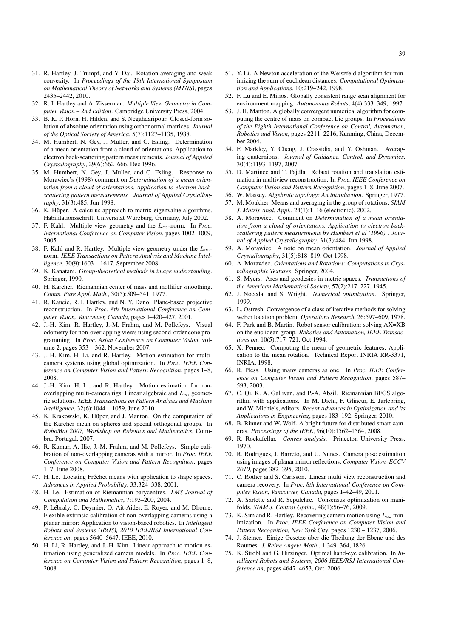- 31. R. Hartley, J. Trumpf, and Y. Dai. Rotation averaging and weak convexity. In *Proceedings of the 19th International Symposium on Mathematical Theory of Networks and Systems (MTNS)*, pages 2435–2442, 2010.
- 32. R. I. Hartley and A. Zisserman. *Multiple View Geometry in Computer Vision – 2nd Edition*. Cambridge University Press, 2004.
- 33. B. K. P. Horn, H. Hilden, and S. Negahdaripour. Closed-form solution of absolute orientation using orthonormal matrices. *Journal of the Optical Society of America*, 5(7):1127–1135, 1988.
- 34. M. Humbert, N. Gey, J. Muller, and C. Esling. Determination of a mean orientation from a cloud of orientations. Application to electron back-scattering pattern measurements. *Journal of Applied Crystallography*, 29(6):662–666, Dec 1996.
- 35. M. Humbert, N. Gey, J. Muller, and C. Esling. Response to Morawiec's (1998) comment on *Determination of a mean orientation from a cloud of orientations. Application to electron backscattering pattern measurements* . *Journal of Applied Crystallography*, 31(3):485, Jun 1998.
- 36. K. Hüper. A calculus approach to matrix eigenvalue algorithms. Habilitationsschrift, Universität Würzburg, Germany, July 2002.
- 37. F. Kahl. Multiple view geometry and the L∞-norm. In *Proc. International Conference on Computer Vision*, pages 1002–1009, 2005.
- 38. F. Kahl and R. Hartley. Multiple view geometry under the  $L_{\infty}$ norm. *IEEE Transactions on Pattern Analysis and Machine Intelligence*, 30(9):1603 – 1617, September 2008.
- 39. K. Kanatani. *Group-theoretical methods in image understanding*. Springer, 1990.
- 40. H. Karcher. Riemannian center of mass and mollifier smoothing. *Comm. Pure Appl. Math.*, 30(5):509–541, 1977.
- 41. R. Kaucic, R. I. Hartley, and N. Y. Dano. Plane-based projective reconstruction. In *Proc. 8th International Conference on Computer Vision, Vancouver, Canada*, pages I–420–427, 2001.
- 42. J.-H. Kim, R. Hartley, J.-M. Frahm, and M. Pollefeys. Visual odometry for non-overlapping views using second-order cone programming. In *Proc. Asian Conference on Computer Vision*, volume 2, pages 353 – 362, November 2007.
- 43. J.-H. Kim, H. Li, and R. Hartley. Motion estimation for multicamera systems using global optimization. In *Proc. IEEE Conference on Computer Vision and Pattern Recognition*, pages 1–8, 2008.
- 44. J.-H. Kim, H. Li, and R. Hartley. Motion estimation for nonoverlapping multi-camera rigs: Linear algebraic and  $L_{\infty}$  geometric solutions. *IEEE Transactions on Pattern Analysis and Machine Intelligence*, 32(6):1044 – 1059, June 2010.
- 45. K. Krakowski, K. Hüper, and J. Manton. On the computation of the Karcher mean on spheres and special orthogonal groups. In *RoboMat 2007, Workshop on Robotics and Mathematics*, Coimbra, Portugal, 2007.
- 46. R. Kumar, A. Ilie, J.-M. Frahm, and M. Pollefeys. Simple calibration of non-overlapping cameras with a mirror. In *Proc. IEEE Conference on Computer Vision and Pattern Recognition*, pages 1–7, June 2008.
- 47. H. Le. Locating Fréchet means with application to shape spaces. *Advances in Applied Probability*, 33:324–338, 2001.
- 48. H. Le. Estimation of Riemannian barycentres. *LMS Journal of Computation and Mathematics*, 7:193–200, 2004.
- 49. P. Lebraly, C. Deymier, O. Ait-Aider, E. Royer, and M. Dhome. ´ Flexible extrinsic calibration of non-overlapping cameras using a planar mirror: Application to vision-based robotics. In *Intelligent Robots and Systems (IROS), 2010 IEEE/RSJ International Conference on*, pages 5640–5647. IEEE, 2010.
- 50. H. Li, R. Hartley, and J.-H. Kim. Linear approach to motion estimation using generalized camera models. In *Proc. IEEE Conference on Computer Vision and Pattern Recognition*, pages 1–8, 2008.
- 51. Y. Li. A Newton acceleration of the Weiszfeld algorithm for minimizing the sum of euclidean distances. *Computational Optimization and Applications*, 10:219–242, 1998.
- 52. F. Lu and E. Milios. Globally consistent range scan alignment for environment mapping. *Autonomous Robots*, 4(4):333–349, 1997.
- 53. J. H. Manton. A globally convergent numerical algorithm for computing the centre of mass on compact Lie groups. In *Proceedings of the Eighth International Conference on Control, Automation, Robotics and Vision*, pages 2211–2216, Kunming, China, December 2004.
- 54. F. Markley, Y. Cheng, J. Crassidis, and Y. Oshman. Averaging quaternions. *Journal of Guidance, Control, and Dynamics*, 30(4):1193–1197, 2007.
- 55. D. Martinec and T. Pajdla. Robust rotation and translation estimation in multiview reconstruction. In *Proc. IEEE Conference on Computer Vision and Pattern Recognition*, pages 1–8, June 2007.
- 56. W. Massey. *Algebraic topology: An introduction*. Springer, 1977.
- 57. M. Moakher. Means and averaging in the group of rotations. *SIAM J. Matrix Anal. Appl.*, 24(1):1–16 (electronic), 2002.
- 58. A. Morawiec. Comment on *Determination of a mean orientation from a cloud of orientations. Application to electron backscattering pattern measurements by Humbert et al (1996)* . *Journal of Applied Crystallography*, 31(3):484, Jun 1998.
- 59. A. Morawiec. A note on mean orientation. *Journal of Applied Crystallography*, 31(5):818–819, Oct 1998.
- 60. A. Morawiec. *Orientations and Rotations: Computations in Crystallographic Textures*. Springer, 2004.
- 61. S. Myers. Arcs and geodesics in metric spaces. *Transactions of the American Mathematical Society*, 57(2):217–227, 1945.
- 62. J. Nocedal and S. Wright. *Numerical optimization*. Springer, 1999.
- 63. L. Ostresh. Convergence of a class of iterative methods for solving weber location problem. *Operations Research*, 26:597–609, 1978.
- 64. F. Park and B. Martin. Robot sensor calibration: solving AX=XB on the euclidean group. *Robotics and Automation, IEEE Transactions on*, 10(5):717–721, Oct 1994.
- 65. X. Pennec. Computing the mean of geometric features: Application to the mean rotation. Technical Report INRIA RR-3371, INRIA, 1998.
- 66. R. Pless. Using many cameras as one. In *Proc. IEEE Conference on Computer Vision and Pattern Recognition*, pages 587– 593, 2003.
- 67. C. Qi, K. A. Gallivan, and P.-A. Absil. Riemannian BFGS algorithm with applications. In M. Diehl, F. Glineur, E. Jarlebring, and W. Michiels, editors, *Recent Advances in Optimization and its Applications in Engineering*, pages 183–192. Springer, 2010.
- 68. B. Rinner and W. Wolf. A bright future for distributed smart cameras. *Processings of the IEEE*, 96(10):1562–1564, 2008.
- 69. R. Rockafellar. *Convex analysis*. Princeton University Press, 1970.
- 70. R. Rodrigues, J. Barreto, and U. Nunes. Camera pose estimation using images of planar mirror reflections. *Computer Vision–ECCV 2010*, pages 382–395, 2010.
- 71. C. Rother and S. Carlsson. Linear multi view reconstruction and camera recovery. In *Proc. 8th International Conference on Computer Vision, Vancouver, Canada*, pages I–42–49, 2001.
- 72. A. Sarlette and R. Sepulchre. Consensus optimization on manifolds. *SIAM J. Control Optim.*, 48(1):56–76, 2009.
- 73. K. Sim and R. Hartley. Recovering camera motion using  $L_{\infty}$  minimization. In *Proc. IEEE Conference on Computer Vision and Pattern Recognition, New York City*, pages 1230 – 1237, 2006.
- 74. J. Steiner. Einige Gesetze über die Theilung der Ebene und des Raumes. *J. Reine Angew. Math.*, 1:349–364, 1826.
- 75. K. Strobl and G. Hirzinger. Optimal hand-eye calibration. In *Intelligent Robots and Systems, 2006 IEEE/RSJ International Conference on*, pages 4647–4653, Oct. 2006.